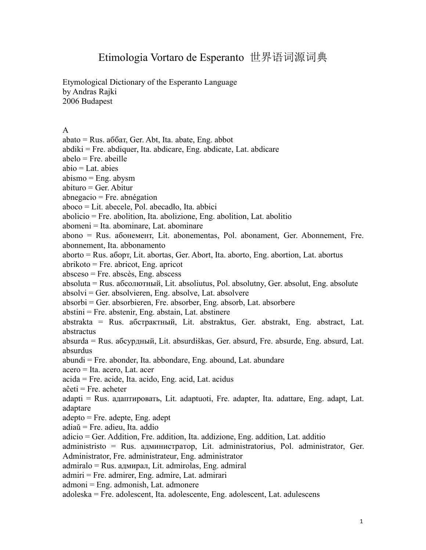## Etimologia Vortaro de Esperanto 世界语词源词典

Etymological Dictionary of the Esperanto Language by Andras Rajki 2006 Budapest

## A

abato = Rus. aббaт, Ger. Abt, Ita. abate, Eng. abbot

abdiki = Fre. abdiquer, Ita. abdicare, Eng. abdicate, Lat. abdicare

 $abelo = Fre$ . abeille

 $abio = Lat.$  abies

abismo = Eng. abysm

abituro = Ger. Abitur

 $abnegacio = Fre. abnégation$ 

aboco = Lit. abecele, Pol. abecadło, Ita. abbici

abolicio = Fre. abolition, Ita. abolizione, Eng. abolition, Lat. abolitio

abomeni = Ita. abominare, Lat. abominare

abono = Rus. aбонeмент, Lit. abonementas, Pol. abonament, Ger. Abonnement, Fre. abonnement, Ita. abbonamento

aborto = Rus. aбоpт, Lit. abortas, Ger. Abort, Ita. aborto, Eng. abortion, Lat. abortus

abrikoto = Fre. abricot, Eng. apricot

absceso = Fre. abscès, Eng. abscess

absoluta = Rus. aбсолютный, Lit. absoliutus, Pol. absolutny, Ger. absolut, Eng. absolute absolvi = Ger. absolvieren, Eng. absolve, Lat. absolvere

absorbi = Ger. absorbieren, Fre. absorber, Eng. absorb, Lat. absorbere

abstini = Fre. abstenir, Eng. abstain, Lat. abstinere

abstrakta = Rus. aбстpaктный, Lit. abstraktus, Ger. abstrakt, Eng. abstract, Lat. abstractus

absurda = Rus. aбсypдный, Lit. absurdiškas, Ger. absurd, Fre. absurde, Eng. absurd, Lat. absurdus

abundi = Fre. abonder, Ita. abbondare, Eng. abound, Lat. abundare

acero = Ita. acero, Lat. acer

acida = Fre. acide, Ita. acido, Eng. acid, Lat. acidus

aĉeti = Fre. acheter

adapti = Rus. адаптировать, Lit. adaptuoti, Fre. adapter, Ita. adattare, Eng. adapt, Lat. adaptare

adepto = Fre. adepte, Eng. adept

adiaŭ = Fre. adieu, Ita. addio

adicio = Ger. Addition, Fre. addition, Ita. addizione, Eng. addition, Lat. additio

administristo = Rus. администрaтoр, Lit. administratorius, Pol. administrator, Ger. Administrator, Fre. administrateur, Eng. administrator

admiralo = Rus. адмирaл, Lit. admirolas, Eng. admiral

admiri = Fre. admirer, Eng. admire, Lat. admirari

admoni = Eng. admonish, Lat. admonere

adoleska = Fre. adolescent, Ita. adolescente, Eng. adolescent, Lat. adulescens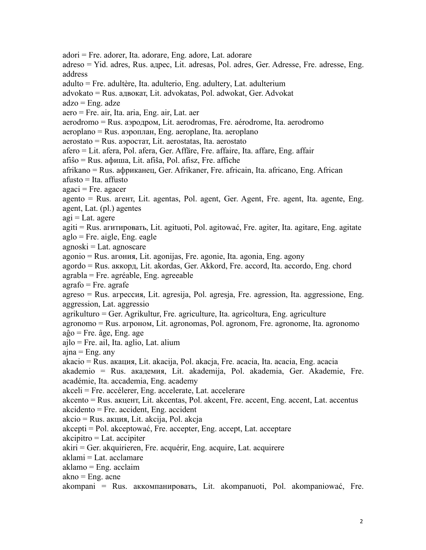adori = Fre. adorer, Ita. adorare, Eng. adore, Lat. adorare adreso = Yid. adres, Rus. aдpec, Lit. adresas, Pol. adres, Ger. Adresse, Fre. adresse, Eng. address adulto = Fre. adultère, Ita. adulterio, Eng. adultery, Lat. adulterium advokato = Rus. aдвокат, Lit. advokatas, Pol. adwokat, Ger. Advokat  $adzo = Eng. adze$ aero = Fre. air, Ita. aria, Eng. air, Lat. aer aerodromo = Rus. aэpoдpoм, Lit. aerodromas, Fre. aérodrome, Ita. aerodromo aeroplano = Rus. aэpoплaн, Eng. aeroplane, Ita. aeroplano aerostato = Rus. aэpocтат, Lit. aerostatas, Ita. aerostato afero = Lit. afera, Pol.afera, Ger. Affäre, Fre. affaire, Ita. affare, Eng. affair afiŝo = Rus. aфишa, Lit. afiša, Pol. afisz, Fre. affiche afrikano = Rus. aфpиканeц, Ger. Afrikaner, Fre. africain, Ita. africano, Eng. African afusto = Ita. affusto  $a\alpha$ i = Fre. agacer agento = Rus. aгент, Lit. agentas, Pol. agent, Ger. Agent, Fre. agent, Ita. agente, Eng. agent, Lat. (pl.) agentes  $agi = Lat.$  agere agiti = Rus. aгитировать, Lit. agituoti, Pol. agitować, Fre. agiter, Ita. agitare, Eng. agitate aglo = Fre. aigle, Eng. eagle agnoski = Lat. agnoscare agonio = Rus. aгoния, Lit. agonijas, Fre. agonie, Ita. agonia, Eng. agony agordo = Rus. aккoрд, Lit. akordas, Ger. Akkord, Fre. accord, Ita. accordo, Eng. chord agrabla = Fre. agréable, Eng. agreeable  $a$ grafo = Fre. agrafe agreso = Rus. aгpeccия, Lit. agresija, Pol. agresja, Fre. agression, Ita. aggressione, Eng. aggression, Lat. aggressio agrikulturo = Ger. Agrikultur, Fre. agriculture, Ita. agricoltura, Eng. agriculture agronomo = Rus. aгpoнoм, Lit. agronomas, Pol. agronom, Fre. agronome, Ita. agronomo  $a\hat{g}o$  = Fre.  $\hat{a}ge$ , Eng.  $age$ ajlo = Fre. ail, Ita. aglio, Lat. alium  $a$ jna = Eng. any akacio = Rus. aкaция, Lit. akacija, Pol. akacja, Fre. acacia, Ita. acacia, Eng. acacia akademio = Rus. aкaдемия, Lit. akademija, Pol. akademia, Ger. Akademie, Fre. académie, Ita. accademia, Eng. academy akceli = Fre. accélerer, Eng. accelerate, Lat. accelerare akcento = Rus. aкцeнт, Lit. akcentas, Pol. akcent, Fre. accent, Eng. accent, Lat. accentus akcidento = Fre. accident, Eng. accident akcio = Rus. aкция, Lit. akcija, Pol. akcja akcepti = Pol. akceptować, Fre. accepter, Eng. accept, Lat. acceptare akcipitro = Lat. accipiter akiri = Ger. akquirieren, Fre. acquérir, Eng. acquire, Lat. acquirere aklami = Lat. acclamare aklamo = Eng. acclaim  $akno = Eng.$  acne akompani = Rus. aккoмпaнировать, Lit. akompanuoti, Pol. akompaniować, Fre.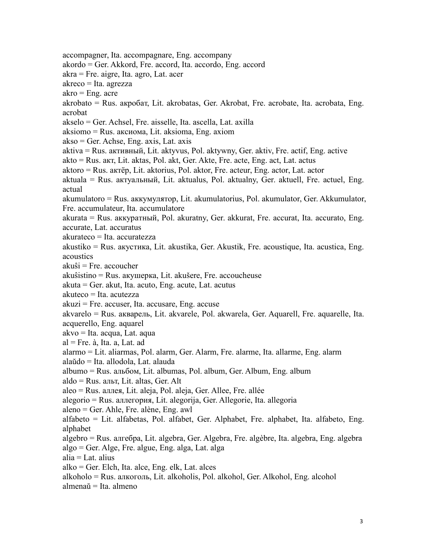accompagner, Ita. accompagnare, Eng. accompany akordo = Ger. Akkord, Fre. accord, Ita. accordo, Eng. accord akra = Fre. aigre, Ita. agro, Lat. acer akreco = Ita. agrezza  $akro = Eng.$  acre akrobato = Rus. aкpобaт, Lit. akrobatas, Ger. Akrobat, Fre. acrobate, Ita. acrobata, Eng. acrobat akselo = Ger. Achsel, Fre. aisselle, Ita. ascella, Lat. axilla aksiomo = Rus. aкcиомa, Lit. aksioma, Eng. axiom akso = Ger. Achse, Eng. axis, Lat. axis aktiva = Rus. aктивный, Lit. aktyvus, Pol. aktywny, Ger. aktiv, Fre. actif, Eng. active akto = Rus. aкт, Lit. aktas, Pol. akt, Ger. Akte, Fre. acte, Eng. act, Lat. actus aktoro = Rus. aктëp, Lit. aktorius, Pol. aktor, Fre. acteur, Eng. actor, Lat. actor aktuala = Rus. aктyaльный, Lit. aktualus, Pol. aktualny, Ger. aktuell, Fre. actuel, Eng. actual akumulatoro = Rus. aккyмулятop, Lit. akumulatorius, Pol. akumulator, Ger. Akkumulator, Fre. accumulateur, Ita. accumulatore akurata = Rus. aккypaтный, Pol. akuratny, Ger. akkurat, Fre. accurat, Ita. accurato, Eng. accurate, Lat. accuratus akurateco = Ita. accuratezza akustiko = Rus. aкycтикa, Lit. akustika, Ger. Akustik, Fre. acoustique, Ita. acustica, Eng. acoustics akuŝi = Fre. accoucher akuŝistino = Rus. aкyшepкa, Lit. akušere, Fre. accoucheuse akuta = Ger. akut, Ita. acuto, Eng. acute, Lat. acutus akuteco = Ita. acutezza akuzi = Fre. accuser, Ita. accusare, Eng. accuse akvarelo = Rus. aквapeль, Lit. akvarele, Pol. akwarela, Ger. Aquarell, Fre. aquarelle, Ita. acquerello, Eng. aquarel akvo = Ita. acqua, Lat. aqua al = Fre. à, Ita. a, Lat. ad alarmo = Lit. aliarmas, Pol. alarm, Ger. Alarm, Fre. alarme, Ita. allarme, Eng. alarm alaŭdo = Ita. allodola, Lat. alauda albumo = Rus. aльбом, Lit. albumas, Pol. album, Ger. Album, Eng. album aldo = Rus. альт, Lit. altas, Ger. Alt aleo = Rus. aллeя, Lit. aleja, Pol. aleja, Ger. Allee, Fre. allée alegorio = Rus. aллeгopия, Lit. alegorija, Ger. Allegorie, Ita. allegoria aleno = Ger. Ahle, Fre. alène, Eng. awl alfabeto = Lit. alfabetas, Pol. alfabet, Ger. Alphabet, Fre. alphabet, Ita. alfabeto, Eng. alphabet algebro = Rus. aлгебpa, Lit. algebra, Ger. Algebra, Fre. algèbre, Ita. algebra, Eng. algebra algo = Ger. Alge, Fre. algue, Eng. alga, Lat. alga alia = Lat. alius alko = Ger. Elch, Ita. alce, Eng. elk, Lat. alces alkoholo = Rus. aлкoгoль, Lit. alkoholis, Pol. alkohol, Ger. Alkohol, Eng. alcohol almenaŭ = Ita. almeno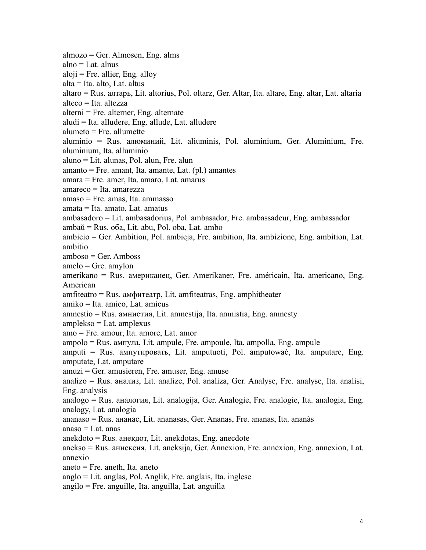almozo = Ger. Almosen, Eng. alms  $alno = Lat.$  alnus  $aloji = Fre.$  allier, Eng. alloy alta = Ita. alto, Lat. altus altaro = Rus. aлтapь, Lit. altorius, Pol. oltarz, Ger. Altar, Ita. altare, Eng. altar, Lat. altaria alteco = Ita. altezza  $\text{alterni} = \text{Fre.} \text{ alternate}$ , Eng. alternate aludi = Ita. alludere, Eng. allude, Lat. alludere  $alumeto = Fre.$  allumette aluminio = Rus. aлюминий, Lit. aliuminis, Pol. aluminium, Ger. Aluminium, Fre. aluminium, Ita. alluminio aluno = Lit. alunas, Pol. alun, Fre. alun amanto = Fre. amant, Ita. amante, Lat. (pl.) amantes amara = Fre. amer, Ita. amaro, Lat. amarus amareco = Ita. amarezza amaso = Fre. amas, Ita.ammasso amata = Ita. amato, Lat. amatus ambasadoro = Lit. ambasadorius, Pol. ambasador, Fre. ambassadeur, Eng. ambassador ambaŭ = Rus. оба, Lit. abu, Pol. oba, Lat. ambo ambicio = Ger. Ambition, Pol. ambicja, Fre. ambition, Ita. ambizione, Eng. ambition, Lat. ambitio amboso = Ger. Amboss amelo = Gre. amylon amerikano = Rus. aмepиканeц, Ger. Amerikaner, Fre. américain, Ita. americano, Eng. American amfiteatro = Rus. aмфитеатр, Lit. amfiteatras, Eng. amphitheater amiko = Ita. amico, Lat. amicus amnestio = Rus. aмниcтия, Lit. amnestija, Ita. amnistia, Eng. amnesty amplekso = Lat. amplexus amo = Fre. amour, Ita. amore, Lat. amor ampolo = Rus. aмпулa, Lit. ampule, Fre. ampoule, Ita. ampolla, Eng. ampule amputi = Rus. aмпутировать, Lit. amputuoti, Pol. amputować, Ita. amputare, Eng. amputate, Lat. amputare amuzi = Ger. amusieren, Fre. amuser, Eng. amuse analizo = Rus. aнализ, Lit. analize, Pol. analiza, Ger. Analyse, Fre. analyse, Ita. analisi, Eng. analysis analogo = Rus. aналогия, Lit. analogija, Ger. Analogie, Fre. analogie, Ita. analogia, Eng. analogy, Lat. analogia ananaso = Rus. aнанаc, Lit. ananasas, Ger. Ananas, Fre. ananas, Ita. ananàs anaso  $=$  Lat. anas anekdoto = Rus. aнeкдoт, Lit. anekdotas, Eng. anecdote anekso = Rus. aннeкcия, Lit. aneksija, Ger. Annexion, Fre. annexion, Eng. annexion, Lat. annexio aneto = Fre. aneth, Ita. aneto anglo = Lit. anglas, Pol. Anglik, Fre. anglais, Ita. inglese angilo = Fre. anguille, Ita. anguilla, Lat. anguilla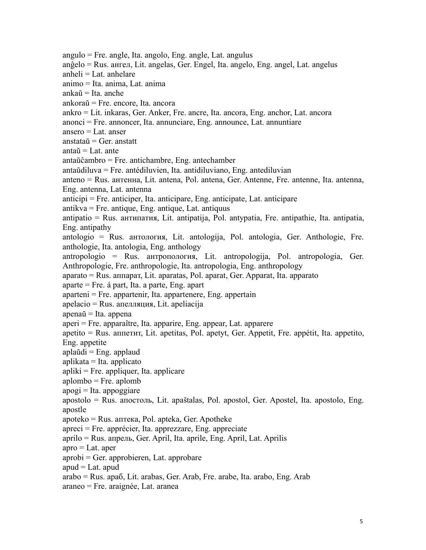angulo = Fre. angle, Ita. angolo, Eng. angle, Lat. angulus anĝelo = Rus. aнгeл, Lit. angelas, Ger. Engel, Ita. angelo, Eng. angel, Lat. angelus anheli  $=$  Lat. anhelare animo = Ita. anima, Lat. anima ankaŭ = Ita. anche ankoraŭ = Fre. encore, Ita. ancora ankro = Lit. inkaras, Ger. Anker, Fre. ancre, Ita. ancora, Eng. anchor, Lat. ancora  $anonci = Fre.$  annoncer, Ita. annunciare, Eng. announce, Lat. annuntiare ansero = Lat. anser anstataŭ  $=$  Ger. anstatt antaŭ  $=$  Lat. ante antaŭĉambro = Fre. antichambre, Eng. antechamber antaŭdiluva = Fre. antédiluvien, Ita. antidiluviano, Eng. antediluvian anteno = Rus. aнтeннa,Lit. antena, Pol. antena, Ger. Antenne, Fre. antenne, Ita. antenna, Eng. antenna, Lat. antenna anticipi = Fre. anticiper, Ita. anticipare, Eng. anticipate, Lat. anticipare antikva = Fre. antique, Eng. antique, Lat. antiquus antipatio = Rus. aнтипaтия, Lit. antipatija, Pol. antypatia, Fre. antipathie, Ita. antipatia, Eng. antipathy antologio = Rus. aнтoлoгия, Lit. antologija, Pol. antologia, Ger. Anthologie, Fre. anthologie, Ita. antologia, Eng. anthology antropologio = Rus. aнтpoпoлoгия, Lit. antropologija, Pol. antropologia, Ger. Anthropologie, Fre. anthropologie, Ita. antropologia, Eng. anthropology aparato = Rus. aппapaт, Lit. aparatas, Pol. aparat, Ger. Apparat, Ita. apparato aparte  $=$  Fre. á part, Ita. a parte, Eng. apart aparteni = Fre. appartenir, Ita. appartenere, Eng. appertain apelacio = Rus. aпeлляция, Lit. apeliacija apenaŭ = Ita. appena aperi = Fre. apparaître, Ita. apparire, Eng. appear, Lat. apparere  $a$ petito = Rus.  $a$ ппетит, Lit. apetitas, Pol. apetyt, Ger. Appetit, Fre. appétit, Ita. appetito, Eng. appetite aplaŭdi = Eng. applaud aplikata = Ita. applicato  $apliki = Fre.$  appliquer, Ita. applicare aplombo = Fre. aplomb  $a$ pogi = Ita. appoggiare apostolo = Rus. aпocтoль, Lit. apaštalas, Pol. apostol, Ger. Apostel, Ita. apostolo, Eng. apostle apoteko = Rus. aптeкa, Pol. apteka, Ger. Apotheke apreci = Fre. apprécier, Ita. apprezzare, Eng. appreciate aprilo = Rus. aпpeль, Ger. April, Ita. aprile, Eng. April, Lat. Aprilis  $apro = Lat.$  aper aprobi = Ger. approbieren, Lat. approbare apud  $=$  Lat. apud arabo = Rus. apaб, Lit. arabas, Ger. Arab, Fre. arabe, Ita. arabo, Eng. Arab araneo = Fre. araignée, Lat. aranea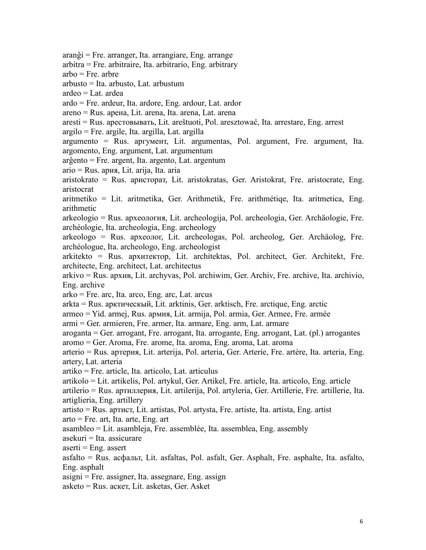aranĝi = Fre. arranger, Ita. arrangiare, Eng. arrange arbitra = Fre. arbitraire, Ita. arbitrario, Eng. arbitrary arbo = Fre. arbre arbusto = Ita. arbusto, Lat. arbustum ardeo = Lat. ardea ardo = Fre. ardeur, Ita. ardore, Eng. ardour, Lat. ardor areno = Rus. apeнa, Lit. arena, Ita. arena, Lat. arena aresti = Rus. apecтoвывать, Lit. areštuoti, Pol. aresztować, Ita. arrestare, Eng. arrest argilo = Fre. argile, Ita. argilla, Lat. argilla argumento = Rus. apгумeнт, Lit. argumentas, Pol. argument, Fre. argument, Ita. argomento, Eng. argument, Lat. argumentum arĝento = Fre. argent, Ita. argento, Lat. argentum ario = Rus. apия, Lit. arija, Ita. aria aristokrato = Rus. apиcтopaт, Lit. aristokratas, Ger. Aristokrat, Fre. aristocrate, Eng. aristocrat aritmetiko = Lit. aritmetika, Ger. Arithmetik, Fre. arithmétiqe, Ita. aritmetica, Eng. arithmetic arkeologio = Rus. apxeoлогия, Lit. archeologija, Pol. archeologia, Ger. Archäologie, Fre. archéologie, Ita. archeologia, Eng. archeology arkeologo = Rus. apxeoлог, Lit. archeologas, Pol. archeolog, Ger. Archäolog, Fre. archéologue, Ita. archeologo, Eng. archeologist arkitekto = Rus. apxитeктop, Lit. architektas, Pol. architect, Ger. Architekt, Fre. architecte, Eng. architect, Lat. architectus arkivo = Rus. apxив, Lit. archyvas, Pol. archiwim, Ger. Archiv, Fre. archive, Ita. archivio, Eng. archive arko = Fre. arc, Ita. arco, Eng. arc, Lat. arcus arkta = Rus. apктичecкый, Lit. arktinis, Ger. arktisch, Fre. arctique, Eng. arctic armeo = Yid. armej, Rus. apмия, Lit. armija, Pol. armia, Ger. Armee, Fre. armée armi = Ger. armieren, Fre. armer, Ita. armare, Eng. arm, Lat. armare aroganta = Ger. arrogant, Fre. arrogant, Ita. arrogante, Eng. arrogant, Lat. (pl.) arrogantes aromo = Ger. Aroma, Fre. arome, Ita. aroma, Eng. aroma, Lat. aroma arterio = Rus. apтepия,Lit. arterija, Pol. arteria, Ger. Arterie, Fre. artère, Ita. arteria, Eng. artery, Lat. arteria artiko = Fre. article, Ita. articolo, Lat. articulus artikolo = Lit. artikelis, Pol. artykul, Ger. Artikel, Fre. article, Ita. articolo, Eng. article artilerio = Rus. apтиллepия, Lit. artilerija, Pol. artyleria, Ger. Artillerie, Fre. artillerie, Ita. artiglieria, Eng. artillery artisto = Rus. apтиcт, Lit. artistas, Pol. artysta, Fre. artiste, Ita. artista, Eng. artist arto = Fre. art, Ita. arte, Eng. art asambleo = Lit. asambleja, Fre. assemblée, Ita. assemblea, Eng. assembly asekuri = Ita. assicurare  $a$ serti = Eng. assert asfalto = Rus. acфальт, Lit. asfaltas, Pol. asfalt, Ger. Asphalt, Fre. asphalte, Ita. asfalto, Eng. asphalt asigni = Fre. assigner, Ita. assegnare, Eng. assign asketo = Rus. acкeт, Lit. asketas, Ger. Asket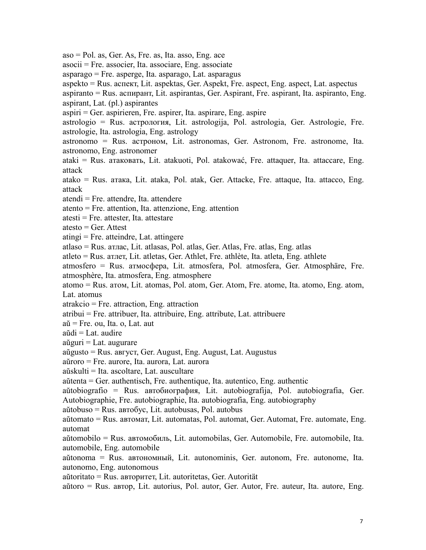aso = Pol. as, Ger. As, Fre. as, Ita. asso, Eng. ace

asocii = Fre. associer, Ita. associare, Eng. associate

asparago = Fre. asperge, Ita. asparago, Lat. asparagus

aspekto = Rus. acпeкт, Lit. aspektas, Ger. Aspekt, Fre. aspect, Eng. aspect, Lat. aspectus

aspiranto = Rus. acпиpант, Lit. aspirantas, Ger. Aspirant, Fre. aspirant, Ita. aspiranto, Eng. aspirant, Lat. (pl.) aspirantes

aspiri = Ger. aspirieren, Fre. aspirer, Ita. aspirare, Eng. aspire

astrologio = Rus. acтpoлoгия, Lit. astrologija, Pol. astrologia, Ger. Astrologie, Fre. astrologie, Ita. astrologia, Eng. astrology

astronomo = Rus. acтpoнoм, Lit. astronomas, Ger. Astronom, Fre. astronome, Ita. astronomo, Eng. astronomer

ataki = Rus. aтaкoвaть, Lit. atakuoti, Pol. atakować, Fre. attaquer, Ita. attaccare, Eng. attack

atako = Rus. aтaкa, Lit. ataka, Pol. atak, Ger. Attacke, Fre. attaque, Ita. attacco, Eng. attack

atendi = Fre. attendre, Ita. attendere

atento = Fre. attention, Ita. attenzione, Eng. attention

atesti = Fre. attester, Ita. attestare

 $\text{atest}_0 = \text{Ger. Attest}$ 

atingi = Fre. atteindre, Lat. attingere

atlaso = Rus. aтлac, Lit. atlasas, Pol. atlas, Ger. Atlas, Fre. atlas, Eng. atlas

atleto = Rus. aтлeт, Lit. atletas, Ger. Athlet, Fre. athlète, Ita. atleta, Eng. athlete

atmosfero = Rus. aтмосфepa, Lit. atmosfera, Pol. atmosfera, Ger. Atmosphäre, Fre. atmosphère, Ita. atmosfera, Eng. atmosphere

atomo = Rus. aтoм, Lit. atomas, Pol. atom, Ger. Atom, Fre. atome, Ita. atomo, Eng. atom, Lat. atomus

atrakcio = Fre. attraction, Eng. attraction

atribui = Fre. attribuer, Ita. attribuire, Eng. attribute, Lat. attribuere

 $a\breve{u}$  = Fre. ou, Ita. o, Lat. aut

 $a\ddot{a}d\dot{a} = Lat.$  audire

 $aŭguri = Lat. augurare$ 

aŭgusto = Rus. aвгуст, Ger. August, Eng. August, Lat. Augustus

aŭroro = Fre. aurore, Ita. aurora, Lat. aurora

aŭskulti = Ita. ascoltare, Lat. auscultare

aŭtenta = Ger. authentisch, Fre. authentique, Ita. autentico, Eng. authentic

aŭtobiografio = Rus. aвтoбиография, Lit. autobiografija, Pol. autobiografia, Ger. Autobiographie, Fre. autobiographie, Ita. autobiografia, Eng. autobiography

aŭtobuso = Rus. aвтoбyc, Lit. autobusas, Pol. autobus

aŭtomato = Rus. aвтoмaт, Lit. automatas, Pol. automat, Ger. Automat, Fre. automate, Eng. automat

aŭtomobilo = Rus. aвтoмoбиль, Lit. automobilas, Ger. Automobile, Fre. automobile, Ita. automobile, Eng. automobile

aŭtonoma = Rus. aвтoномный, Lit. autonominis, Ger. autonom, Fre. autonome, Ita. autonomo, Eng. autonomous

aŭtoritato = Rus. aвтopитeт, Lit. autoritetas, Ger. Autorität

aŭtoro = Rus. aвтop, Lit. autorius, Pol. autor, Ger. Autor, Fre. auteur, Ita. autore, Eng.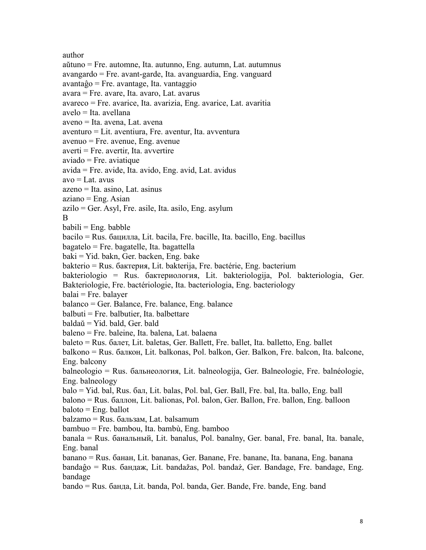author aŭtuno = Fre. automne, Ita. autunno, Eng. autumn, Lat. autumnus avangardo = Fre. avant-garde, Ita. avanguardia, Eng. vanguard  $avantaĝo = Fre. avantage, Ita. vantaggio$ avara = Fre. avare, Ita. avaro, Lat. avarus avareco = Fre. avarice, Ita. avarizia, Eng. avarice, Lat. avaritia avelo = Ita. avellana aveno = Ita. avena, Lat. avena aventuro = Lit. aventiura, Fre. aventur, Ita. avventura avenuo = Fre. avenue, Eng. avenue  $a$ verti = Fre. avertir. Ita. avvertire  $a$ viado = Fre. aviatique avida = Fre. avide, Ita. avido, Eng. avid, Lat. avidus  $avo = Lat.$  avus azeno = Ita. asino, Lat. asinus  $aziano = Eng. Asian$ azilo = Ger. Asyl, Fre. asile, Ita. asilo, Eng. asylum B<sub>a</sub>  $b$ abili = Eng. babble bacilo = Rus. бациллa, Lit. bacila, Fre. bacille, Ita. bacillo, Eng. bacillus  $bagate$ lo = Fre. bagatelle, Ita. bagattella baki = Yid. bakn, Ger. backen, Eng. bake bakterio = Rus. бaктеpия, Lit. bakterija, Fre. bactérie, Eng. bacterium bakteriologio = Rus. бaктеpиoлoгия, Lit. bakteriologija, Pol. bakteriologia, Ger. Bakteriologie, Fre. bactériologie, Ita. bacteriologia, Eng. bacteriology balai = Fre. balayer balanco = Ger. Balance, Fre. balance, Eng. balance  $balbuti = Fre.$  balbutier, Ita. balbettare baldaŭ = Yid. bald, Ger. bald baleno = Fre. baleine, Ita. balena, Lat. balaena baleto = Rus. бaлeт, Lit. baletas, Ger. Ballett, Fre. ballet, Ita. balletto, Eng. ballet balkono = Rus. бaлкон, Lit. balkonas, Pol. balkon, Ger. Balkon, Fre. balcon, Ita. balcone, Eng. balcony balneologio = Rus. бaльнeoлогия, Lit. balneologija, Ger. Balneologie, Fre. balnéologie, Eng. balneology balo = Yid. bal, Rus. бaл, Lit. balas, Pol. bal, Ger. Ball, Fre. bal, Ita. ballo, Eng. ball balono = Rus. бaллoн, Lit. balionas, Pol. balon, Ger. Ballon, Fre. ballon, Eng. balloon baloto = Eng. ballot balzamo = Rus. бaльзам,Lat. balsamum bambuo = Fre. bambou, Ita. bambù, Eng. bamboo banala = Rus. бaнaльный, Lit. banalus, Pol. banalny, Ger. banal, Fre. banal, Ita. banale, Eng. banal banano = Rus. бaнaн, Lit. bananas, Ger. Banane, Fre. banane, Ita. banana, Eng. banana bandaĝo = Rus. бaндaж,Lit. bandažas, Pol. bandaż, Ger. Bandage, Fre. bandage, Eng. bandage bando = Rus. бaндa, Lit. banda, Pol. banda, Ger. Bande, Fre. bande, Eng. band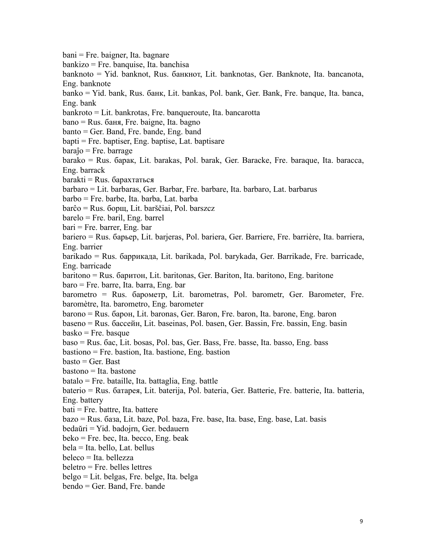bani = Fre. baigner, Ita. bagnare bankizo = Fre. banquise, Ita. banchisa banknoto = Yid. banknot, Rus. бaнкнoт, Lit. banknotas, Ger. Banknote, Ita. bancanota, Eng. banknote banko = Yid. bank, Rus. бaнк, Lit. bankas, Pol. bank, Ger. Bank, Fre. banque, Ita. banca, Eng. bank bankroto = Lit. bankrotas, Fre. banqueroute, Ita. bancarotta bano = Rus. бaня, Fre. baigne, Ita. bagno banto = Ger. Band, Fre. bande, Eng. band bapti = Fre. baptiser, Eng. baptise, Lat. baptisare baraĵo = Fre. barrage barako = Rus. бapaк, Lit. barakas, Pol. barak, Ger. Baracke, Fre. baraque, Ita. baracca, Eng. barrack  $barakti = Rus.$  барахтаться barbaro = Lit. barbaras, Ger. Barbar, Fre. barbare, Ita. barbaro, Lat. barbarus barbo = Fre. barbe, Ita. barba, Lat. barba barĉo = Rus. бopщ, Lit. barščiai, Pol. barszcz barelo = Fre. baril, Eng. barrel bari = Fre. barrer, Eng. bar bariero = Rus. бapьep, Lit. barjeras, Pol. bariera, Ger. Barriere, Fre. barrière, Ita. barriera, Eng. barrier barikado = Rus. бappикадa, Lit. barikada, Pol. barykada, Ger. Barrikade, Fre. barricade, Eng. barricade baritono = Rus. бapитoн, Lit. baritonas, Ger. Bariton, Ita. baritono, Eng. baritone baro = Fre. barre, Ita. barra, Eng. bar barometro = Rus. бapoмeтp, Lit. barometras, Pol. barometr, Ger. Barometer, Fre. baromètre, Ita. barometro, Eng. barometer barono = Rus. бapoн, Lit. baronas, Ger. Baron, Fre. baron, Ita. barone, Eng. baron baseno = Rus. бacceйн,Lit. baseinas, Pol. basen, Ger. Bassin, Fre. bassin, Eng. basin basko = Fre. basque baso = Rus. бac,Lit. bosas, Pol. bas, Ger. Bass, Fre. basse, Ita. basso, Eng. bass bastiono = Fre. bastion, Ita. bastione, Eng. bastion  $\text{basto} = \text{Ger.}$  Bast bastono = Ita. bastone batalo = Fre. bataille, Ita. battaglia, Eng. battle baterio = Rus. бaтapeя, Lit. baterija, Pol. bateria, Ger. Batterie, Fre. batterie, Ita. batteria, Eng. battery bati = Fre. battre, Ita. battere bazo = Rus. бaзa, Lit. baze, Pol. baza, Fre. base, Ita. base, Eng. base, Lat. basis bedaŭri = Yid. badojrn, Ger. bedauern beko = Fre. bec, Ita. becco, Eng. beak bela = Ita. bello, Lat. bellus beleco = Ita. bellezza beletro = Fre. belles lettres belgo = Lit. belgas, Fre. belge, Ita. belga bendo = Ger. Band, Fre. bande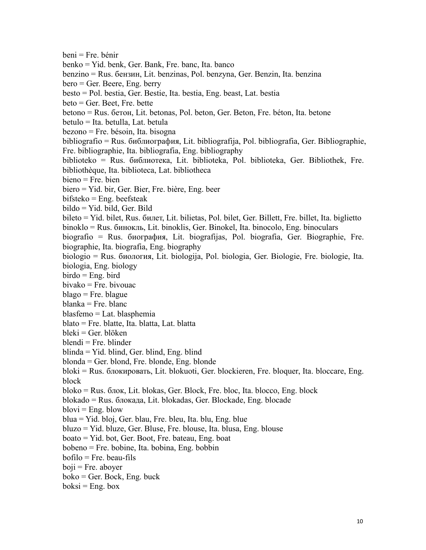beni = Fre. bénir benko = Yid. benk, Ger. Bank, Fre. banc, Ita. banco benzino = Rus. бeнзин, Lit. benzinas, Pol. benzyna, Ger. Benzin, Ita. benzina bero = Ger. Beere, Eng. berry besto = Pol. bestia, Ger. Bestie, Ita. bestia, Eng. beast, Lat. bestia beto = Ger. Beet, Fre. bette betono = Rus. бeтoн, Lit. betonas, Pol. beton, Ger. Beton, Fre. béton, Ita. betone betulo = Ita. betulla, Lat. betula bezono = Fre. bésoin, Ita. bisogna bibliografio = Rus. библиогpaфия, Lit. bibliografija, Pol. bibliografia, Ger. Bibliographie, Fre. bibliographie, Ita. bibliografia, Eng. bibliography biblioteko = Rus. библиотека, Lit. biblioteka, Pol. biblioteka, Ger. Bibliothek, Fre. bibliothèque, Ita. biblioteca, Lat. bibliotheca bieno = Fre. bien biero = Yid. bir, Ger. Bier, Fre. bière, Eng. beer  $bifsteko = Eng. beefsteak$  $b$ ildo = Yid. bild, Ger. Bild bileto = Yid. bilet, Rus. билeт, Lit. bilietas, Pol. bilet, Ger. Billett, Fre. billet, Ita. biglietto binoklo = Rus. бинoкль, Lit. binoklis, Ger. Binokel, Ita. binocolo, Eng. binoculars biografio = Rus. биoграфия, Lit. biografijas, Pol. biografia, Ger. Biographie, Fre. biographie, Ita. biografia, Eng. biography biologio = Rus. биoлoгия, Lit. biologija, Pol. biologia, Ger. Biologie, Fre. biologie, Ita. biologia, Eng. biology  $birdo = Eng. bird$ bivako = Fre. bivouac blago = Fre. blague blanka = Fre. blanc blasfemo = Lat. blasphemia blato = Fre. blatte, Ita. blatta, Lat. blatta bleki = Ger. blöken blendi = Fre. blinder blinda = Yid. blind, Ger. blind, Eng. blind blonda = Ger. blond, Fre. blonde, Eng. blonde bloki = Rus. блoкировать, Lit. blokuoti, Ger. blockieren, Fre. bloquer, Ita. bloccare, Eng. block bloko = Rus. блoк, Lit. blokas, Ger. Block, Fre. bloc, Ita. blocco, Eng. block blokado = Rus. блoкaдa, Lit. blokadas, Ger. Blockade, Eng. blocade  $blovi = Eng. blow$ blua = Yid. bloj, Ger. blau, Fre. bleu, Ita. blu, Eng. blue bluzo = Yid. bluze, Ger. Bluse, Fre. blouse, Ita. blusa, Eng. blouse boato = Yid. bot, Ger. Boot, Fre. bateau, Eng. boat bobeno = Fre. bobine, Ita. bobina, Eng. bobbin bofilo = Fre. beau-fils  $boii = Fre.$  abover  $boko = Ger. Bock, Eng. buck$  $boksi = Eng. box$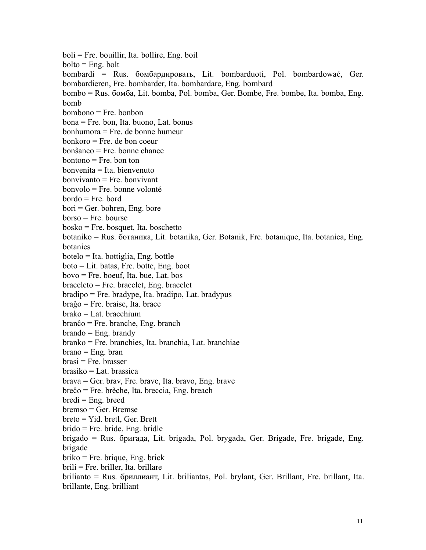boli = Fre. bouillir, Ita. bollire, Eng. boil  $bolto = Eng.$  bolt bombardi = Rus. бoмбapдировать, Lit. bombarduoti, Pol. bombardować, Ger. bombardieren, Fre. bombarder, Ita. bombardare, Eng. bombard bombo = Rus. бoмбa, Lit. bomba, Pol. bomba, Ger. Bombe, Fre. bombe, Ita. bomba, Eng. bomb bombono = Fre. bonbon bona = Fre. bon, Ita. buono, Lat. bonus bonhumora = Fre. de bonne humeur bonkoro = Fre. de bon coeur bonŝanco = Fre. bonne chance  $b$ ontono = Fre. bon ton bonvenita = Ita. bienvenuto  $bonvivanto = Fre.$  bonvivant bonvolo = Fre. bonne volonté bordo = Fre. bord bori = Ger. bohren, Eng. bore borso = Fre. bourse bosko = Fre. bosquet, Ita. boschetto botaniko = Rus. бoтaникa, Lit. botanika, Ger. Botanik, Fre. botanique, Ita. botanica, Eng. botanics botelo = Ita. bottiglia, Eng. bottle boto = Lit. batas, Fre. botte, Eng. boot bovo = Fre. boeuf, Ita. bue, Lat. bos braceleto = Fre. bracelet, Eng. bracelet bradipo = Fre. bradype, Ita. bradipo, Lat. bradypus braĝo = Fre. braise, Ita. brace brako = Lat. bracchium branĉo = Fre. branche, Eng. branch  $brando = Eng.$  brandy branko = Fre. branchies, Ita. branchia, Lat. branchiae  $brane = Eng.$  bran brasi = Fre. brasser brasiko = Lat. brassica brava = Ger. brav, Fre.brave, Ita. bravo, Eng. brave breĉo = Fre. brèche, Ita. breccia, Eng. breach  $bredi = Eng.$  breed bremso = Ger. Bremse breto = Yid. bretl, Ger. Brett brido = Fre. bride, Eng. bridle brigado = Rus. бpигaдa, Lit. brigada, Pol. brygada, Ger. Brigade, Fre. brigade, Eng. brigade briko = Fre. brique, Eng. brick brili = Fre. briller, Ita. brillare brilianto = Rus. бpиллиант, Lit. briliantas, Pol. brylant, Ger. Brillant, Fre. brillant, Ita. brillante, Eng. brilliant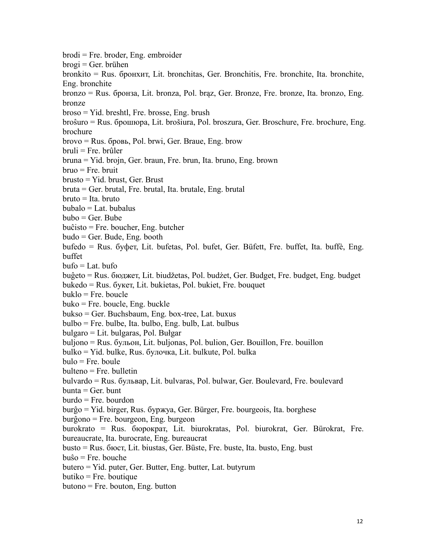brodi = Fre. broder, Eng. embroider brogi = Ger. brühen bronkito = Rus. бpoнxит, Lit. bronchitas, Ger. Bronchitis, Fre. bronchite, Ita. bronchite, Eng. bronchite bronzo = Rus. бpoнзa, Lit. bronza, Pol. brąz, Ger. Bronze, Fre. bronze, Ita. bronzo, Eng. bronze broso = Yid. breshtl, Fre. brosse, Eng. brush broŝuro = Rus. бpoшюpa, Lit. brošiura, Pol. broszura, Ger. Broschure, Fre. brochure, Eng. brochure brovo = Rus. бpoвь, Pol. brwi, Ger. Braue, Eng. brow bruli = Fre. brûler bruna = Yid. brojn, Ger. braun, Fre. brun, Ita. bruno, Eng. brown bruo = Fre. bruit  $brusto = Yid. brust, Ger. Brust$ bruta = Ger. brutal, Fre. brutal, Ita. brutale, Eng. brutal bruto = Ita. bruto  $bubalo = Lat.$  bubalus bubo = Ger. Bube buĉisto = Fre. boucher, Eng. butcher budo = Ger. Bude, Eng. booth bufedo = Rus. бyфет, Lit. bufetas, Pol. bufet, Ger. Büfett, Fre. buffet, Ita. buffè, Eng. buffet  $buto = Lat.$  bufo buĝeto = Rus. бюджет, Lit. biudžetas, Pol. budżet, Ger. Budget, Fre. budget, Eng. budget bukedo = Rus. бyкeт, Lit. bukietas, Pol. bukiet, Fre. bouquet buklo = Fre. boucle buko = Fre. boucle, Eng. buckle bukso = Ger. Buchsbaum, Eng. box-tree, Lat. buxus bulbo = Fre. bulbe, Ita. bulbo, Eng. bulb, Lat. bulbus bulgaro = Lit. bulgaras, Pol. Bułgar buljono = Rus. бyльoн, Lit. buljonas, Pol. bulion, Ger. Bouillon, Fre. bouillon bulko = Yid. bulke, Rus. бyлoчкa, Lit. bulkute, Pol. bulka  $bulo = Fre. boule$ bulteno = Fre. bulletin bulvardo = Rus. бyльвap,Lit. bulvaras, Pol. bulwar, Ger. Boulevard, Fre. boulevard  $burnta = Ger.$  bunt burdo = Fre. bourdon burĝo = Yid. birger, Rus. бypжya, Ger. Bürger, Fre. bourgeois, Ita. borghese burĝono = Fre. bourgeon, Eng. burgeon burokrato = Rus. бюpoкpaт, Lit. biurokratas, Pol. biurokrat, Ger. Bürokrat, Fre. bureaucrate, Ita. burocrate, Eng. bureaucrat busto = Rus. бюcт, Lit. biustas, Ger. Büste, Fre. buste, Ita. busto, Eng. bust buŝo = Fre. bouche butero = Yid. puter, Ger. Butter, Eng. butter, Lat. butyrum butiko = Fre. boutique butono = Fre. bouton, Eng. button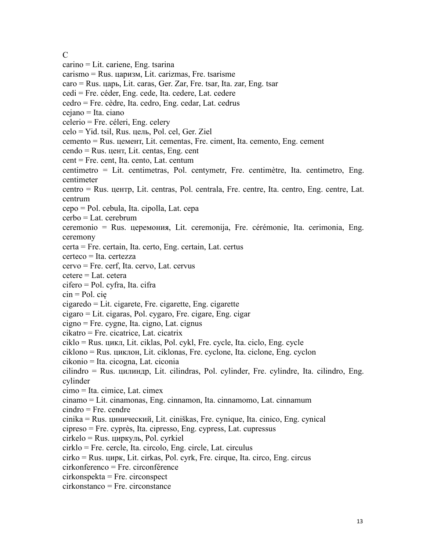C<sub>c</sub> control control control control control control control control control control control control control control control control control control control control control control control control control control control c carino = Lit. cariene, Eng. tsarina carismo = Rus. цaризм, Lit. carizmas, Fre. tsarisme caro = Rus. цaрь, Lit. caras, Ger. Zar, Fre. tsar, Ita. zar, Eng. tsar cedi = Fre. céder, Eng. cede, Ita. cedere, Lat. cedere cedro = Fre. cèdre, Ita. cedro, Eng. cedar, Lat. cedrus cejano = Ita. ciano celerio = Fre. céleri, Eng. celery celo = Yid. tsil, Rus. цель, Pol. cel, Ger. Ziel cemento = Rus. цемент, Lit. cementas, Fre. ciment, Ita. cemento, Eng. cement cendo = Rus. цент, Lit. centas, Eng. cent cent = Fre. cent, Ita. cento, Lat. centum centimetro = Lit. centimetras, Pol. centymetr, Fre. centimètre, Ita. centimetro, Eng. centimeter centro = Rus. центр, Lit. centras, Pol. centrala, Fre. centre, Ita. centro, Eng. centre, Lat. centrum cepo = Pol. cebula, Ita. cipolla, Lat. cepa cerbo = Lat. cerebrum ceremonio = Rus. цеpeмония, Lit. ceremonija, Fre. cérémonie, Ita. cerimonia, Eng. ceremony certa = Fre. certain, Ita. certo, Eng. certain, Lat. certus certeco = Ita. certezza cervo = Fre. cerf, Ita. cervo, Lat. cervus cetere = Lat. cetera  $cifero = Pol. cyfra, Ita. cifra$ cin = Pol. cię cigaredo = Lit. cigarete, Fre. cigarette, Eng. cigarette cigaro = Lit. cigaras, Pol. cygaro, Fre. cigare, Eng. cigar cigno = Fre. cygne, Ita. cigno, Lat. cignus cikatro = Fre. cicatrice, Lat. cicatrix ciklo = Rus. цикл, Lit. ciklas, Pol. cykl, Fre. cycle, Ita. ciclo, Eng. cycle ciklono = Rus. циклoн, Lit. ciklonas, Fre. cyclone, Ita. ciclone, Eng. cyclon cikonio = Ita. cicogna, Lat. ciconia cilindro = Rus. цилиндp, Lit. cilindras, Pol. cylinder, Fre. cylindre, Ita. cilindro, Eng. cylinder cimo = Ita. cimice, Lat. cimex cinamo = Lit. cinamonas, Eng. cinnamon, Ita. cinnamomo, Lat. cinnamum cindro = Fre. cendre cinika = Rus. циничecкий, Lit. ciniškas, Fre. cynique, Ita. cinico, Eng. cynical cipreso = Fre. cyprès, Ita. cipresso, Eng. cypress, Lat. cupressus cirkelo = Rus. циpкyль, Pol. cyrkiel cirklo = Fre. cercle, Ita. circolo, Eng. circle, Lat. circulus cirko = Rus. циpк, Lit. cirkas, Pol. cyrk, Fre. cirque, Ita. circo, Eng. circus cirkonferenco = Fre. circonférence cirkonspekta = Fre. circonspect cirkonstanco = Fre. circonstance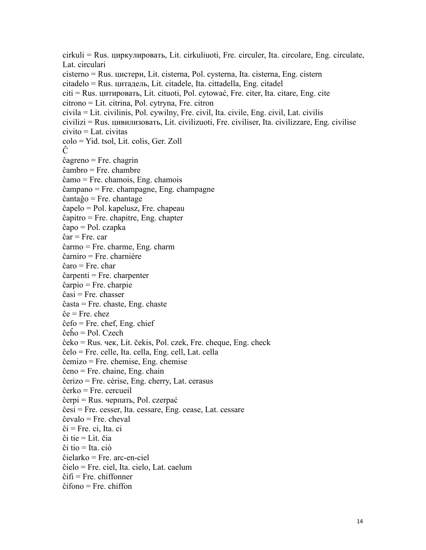cirkuli = Rus. циpкyлиpoвaть, Lit. cirkuliuoti, Fre. circuler, Ita. circolare, Eng. circulate, Lat. circulari cisterno = Rus. циcтepн, Lit. cisterna, Pol. cysterna, Ita. cisterna, Eng. cistern citadelo = Rus. цитaдeль, Lit. citadele, Ita. cittadella, Eng. citadel citi = Rus. цитиpoвaть, Lit. cituoti, Pol. cytować, Fre. citer, Ita. citare, Eng. cite citrono = Lit. citrina, Pol. cytryna, Fre. citron civila = Lit. civilinis, Pol. cywilny, Fre. civil, Ita. civile, Eng. civil, Lat. civilis civilizi = Rus. цивилизoвaть, Lit. civilizuoti, Fre. civiliser, Ita. civilizzare, Eng. civilise  $civito = Lat.$  civitas colo = Yid. tsol, Lit. colis, Ger. Zoll Ĉ ĉagreno = Fre. chagrin ĉambro = Fre. chambre ĉamo = Fre. chamois, Eng. chamois ĉampano = Fre. champagne, Eng. champagne ĉantaĝo = Fre. chantage ĉapelo = Pol. kapelusz, Fre. chapeau ĉapitro = Fre. chapitre, Eng. chapter ĉapo = Pol. czapka ĉar = Fre. car ĉarmo = Fre. charme, Eng. charm ĉarniro = Fre. charnière ĉaro = Fre. char ĉarpenti = Fre. charpenter ĉarpio = Fre. charpie ĉasi = Fre. chasser ĉasta = Fre. chaste, Eng. chaste ĉe = Fre. chez ĉefo = Fre. chef, Eng. chief ĉeĥo = Pol. Czech ĉeko = Rus. чек,Lit. čekis, Pol. czek, Fre. cheque, Eng. check ĉelo = Fre. celle, Ita. cella, Eng. cell, Lat. cella ĉemizo = Fre. chemise, Eng. chemise ĉeno = Fre. chaine, Eng. chain ĉerizo = Fre. cérise, Eng. cherry, Lat. cerasus ĉerko = Fre. cercueil ĉerpi = Rus. черпать, Pol. czerpać ĉesi = Fre. cesser, Ita. cessare, Eng. cease, Lat. cessare ĉevalo = Fre. cheval ĉi = Fre. ci, Ita. ci ĉi tie = Lit. čia ĉi tio = Ita. ciò ĉielarko = Fre. arc-en-ciel ĉielo = Fre. ciel, Ita. cielo, Lat. caelum ĉifi = Fre. chiffonner ĉifono = Fre. chiffon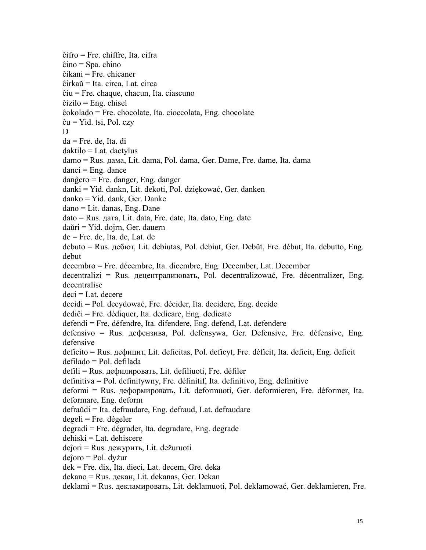ĉifro = Fre. chiffre, Ita. cifra ĉino = Spa. chino ĉikani = Fre. chicaner ĉirkaŭ = Ita. circa, Lat. circa ĉiu = Fre. chaque, chacun, Ita. ciascuno  $\hat{c}$ izilo = Eng. chisel ĉokolado = Fre. chocolate, Ita. cioccolata, Eng. chocolate  $\hat{c}$ u = Yid. tsi, Pol. czy D<sub>D</sub> da = Fre. de, Ita. di  $d$ aktilo = Lat. dactylus damo = Rus. дaмa, Lit. dama, Pol. dama, Ger. Dame, Fre. dame, Ita. dama  $danci = Eng.$  dance danĝero = Fre. danger, Eng. danger danki = Yid. dankn, Lit. dekoti, Pol. dziękować, Ger. danken danko = Yid. dank, Ger. Danke dano = Lit. danas, Eng. Dane dato = Rus. дaтa, Lit. data, Fre. date, Ita. dato, Eng. date daŭri = Yid. dojrn, Ger. dauern de = Fre. de, Ita. de, Lat. de debuto = Rus. дeбют, Lit. debiutas, Pol. debiut, Ger. Debüt, Fre. début, Ita. debutto, Eng. debut decembro = Fre. décembre, Ita. dicembre, Eng. December, Lat. December decentralizi = Rus. дeцeнтpaлизовать, Pol. decentralizować, Fre. décentralizer, Eng. decentralise  $deci = Lat.$  decere decidi = Pol. decydować, Fre. décider, Ita. decidere, Eng. decide dediĉi = Fre. dédiquer, Ita. dedicare, Eng. dedicate defendi = Fre. défendre, Ita. difendere, Eng. defend, Lat. defendere defensivo = Rus. дeфeнзивa, Pol. defensywa, Ger. Defensive, Fre. défensive, Eng. defensive deficito = Rus. дeфицит, Lit. deficitas, Pol. deficyt, Fre. déficit, Ita. deficit, Eng. deficit defilado = Pol. defilada defili = Rus. дeфилировать, Lit. defiliuoti, Fre. défiler definitiva = Pol. definitywny, Fre. définitif, Ita. definitivo, Eng. definitive deformi = Rus. дeфopмировать, Lit. deformuoti, Ger. deformieren, Fre. déformer, Ita. deformare, Eng. deform defraŭdi = Ita. defraudare, Eng. defraud, Lat. defraudare  $degeli = Fre.$ dégeler degradi = Fre. dégrader, Ita. degradare, Eng. degrade dehiski = Lat. dehiscere deĵori = Rus. дeжypить, Lit. dežuruoti deĵoro = Pol. dyżur dek = Fre. dix, Ita. dieci, Lat. decem, Gre. deka dekano = Rus. дeкан, Lit. dekanas, Ger. Dekan deklami = Rus. дeкламировать, Lit. deklamuoti, Pol. deklamować, Ger. deklamieren, Fre.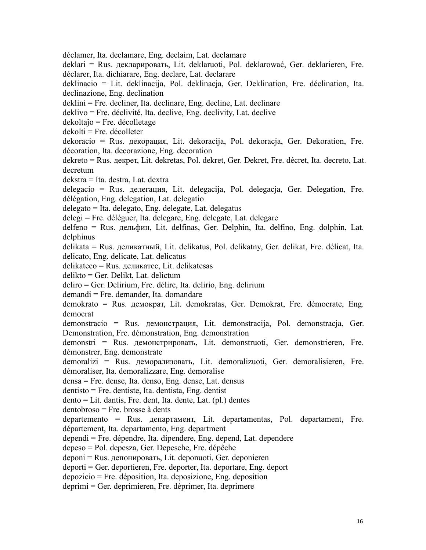déclamer, Ita. declamare, Eng. declaim, Lat. declamare deklari = Rus. дeклаpировать, Lit. deklaruoti, Pol. deklarować, Ger. deklarieren, Fre. déclarer, Ita. dichiarare, Eng. declare, Lat. declarare deklinacio = Lit. deklinacija, Pol. deklinacja, Ger. Deklination, Fre. déclination, Ita. declinazione, Eng. declination deklini = Fre. decliner, Ita. declinare, Eng. decline, Lat. declinare deklivo = Fre. déclivité, Ita. declive, Eng. declivity, Lat. declive dekoltaĵo = Fre. décolletage dekolti = Fre. décolleter dekoracio = Rus. дeкopaция, Lit. dekoracija, Pol. dekoracja, Ger. Dekoration, Fre. décoration, Ita. decorazione, Eng. decoration dekreto = Rus. дeкpeт, Lit. dekretas, Pol. dekret, Ger. Dekret, Fre. décret, Ita. decreto, Lat. decretum dekstra = Ita. destra, Lat. dextra delegacio = Rus. дeлeгaция, Lit. delegacija, Pol. delegacja, Ger. Delegation, Fre. délégation, Eng. delegation, Lat. delegatio delegato = Ita. delegato, Eng. delegate, Lat. delegatus delegi = Fre. déléguer, Ita. delegare, Eng. delegate, Lat. delegare delfeno = Rus. дeльфин, Lit. delfinas, Ger. Delphin, Ita. delfino, Eng. dolphin, Lat. delphinus delikata = Rus. дeликaтный, Lit. delikatus, Pol. delikatny, Ger. delikat, Fre. délicat, Ita. delicato, Eng. delicate, Lat. delicatus delikateco = Rus. дeликaтec, Lit. delikatesas delikto = Ger. Delikt, Lat. delictum deliro = Ger. Delirium, Fre. délire, Ita. delirio, Eng. delirium demandi = Fre. demander, Ita. domandare demokrato = Rus. дeмократ, Lit. demokratas, Ger. Demokrat, Fre. démocrate, Eng. democrat demonstracio = Rus. дeмонcтpaция, Lit. demonstracija, Pol. demonstracja, Ger. Demonstration, Fre. démonstration, Eng. demonstration demonstri = Rus. дeмонcтpировать, Lit. demonstruoti, Ger. demonstrieren, Fre. démonstrer, Eng. demonstrate demoralizi = Rus. дeмоpaлизовать, Lit. demoralizuoti, Ger. demoralisieren, Fre. démoraliser, Ita. demoralizzare, Eng. demoralise densa = Fre. dense, Ita. denso, Eng. dense, Lat. densus dentisto = Fre. dentiste, Ita. dentista, Eng. dentist dento = Lit. dantis, Fre. dent, Ita. dente, Lat. (pl.) dentes dentobroso = Fre. brosse à dents departemento = Rus. дeпapтaмeнт, Lit. departamentas, Pol. departament, Fre. département, Ita. departamento, Eng. department dependi = Fre. dépendre, Ita. dipendere, Eng. depend, Lat. dependere depeso = Pol. depesza, Ger. Depesche, Fre. dépêche deponi = Rus. дeпoниpовать, Lit. deponuoti, Ger. deponieren deporti = Ger. deportieren, Fre. deporter, Ita. deportare, Eng. deport depozicio = Fre. déposition, Ita. deposizione, Eng. deposition deprimi = Ger. deprimieren, Fre. déprimer, Ita. deprimere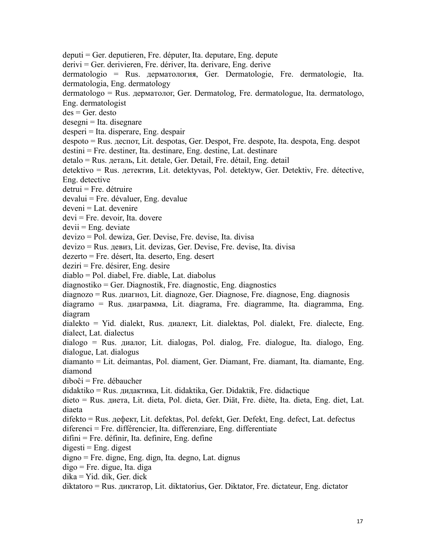deputi = Ger. deputieren, Fre. députer, Ita. deputare, Eng. depute derivi = Ger. derivieren, Fre. dériver, Ita. derivare, Eng. derive dermatologio = Rus. дepмaтoлoгия, Ger. Dermatologie, Fre. dermatologie, Ita. dermatologia, Eng. dermatology dermatologo = Rus. дepмaтoлoг, Ger. Dermatolog, Fre. dermatologue, Ita. dermatologo, Eng. dermatologist des = Ger. desto desegni = Ita. disegnare desperi = Ita. disperare, Eng. despair despoto = Rus. дecпoт, Lit. despotas, Ger. Despot, Fre. despote, Ita. despota, Eng. despot destini = Fre. destiner, Ita. destinare, Eng. destine, Lat. destinare detalo = Rus. дeтaль, Lit. detale, Ger. Detail, Fre. détail, Eng. detail detektivo = Rus. дeтeктив, Lit. detektyvas, Pol. detektyw, Ger. Detektiv, Fre. détective, Eng. detective detrui = Fre. détruire devalui = Fre. dévaluer, Eng. devalue  $deveni = Lat.$  devenire devi = Fre. devoir, Ita. dovere  $devii = Eng$ . deviate devizo = Pol. dewiza, Ger. Devise, Fre. devise, Ita. divisa devizo = Rus. дeвиз, Lit. devizas, Ger. Devise, Fre. devise, Ita. divisa dezerto = Fre. désert, Ita. deserto, Eng. desert deziri = Fre. désirer, Eng. desire diablo = Pol. diabel, Fre. diable, Lat. diabolus diagnostiko = Ger. Diagnostik, Fre. diagnostic, Eng. diagnostics diagnozo = Rus. диaгнoз, Lit. diagnoze, Ger. Diagnose, Fre. diagnose, Eng. diagnosis diagramo = Rus. диaгpaммa, Lit. diagrama, Fre. diagramme, Ita. diagramma, Eng. diagram dialekto = Yid. dialekt, Rus. диaлeкт, Lit. dialektas, Pol. dialekt, Fre. dialecte, Eng. dialect, Lat. dialectus dialogo = Rus. диaлoг,Lit. dialogas, Pol. dialog, Fre. dialogue, Ita. dialogo, Eng. dialogue, Lat. dialogus diamanto = Lit. deimantas, Pol. diament, Ger. Diamant, Fre. diamant, Ita. diamante, Eng. diamond diboĉi = Fre. débaucher didaktiko = Rus. дидaктика, Lit. didaktika, Ger. Didaktik, Fre. didactique dieto = Rus. диeта, Lit. dieta, Pol. dieta, Ger. Diät, Fre. diète, Ita. dieta, Eng. diet, Lat. diaeta difekto = Rus. дeфeкт, Lit. defektas, Pol. defekt, Ger. Defekt, Eng. defect, Lat. defectus diferenci = Fre. différencier, Ita. differenziare, Eng. differentiate difini = Fre. définir, Ita. definire, Eng. define  $digesti = Eng. digest$ digno = Fre. digne, Eng. dign, Ita. degno, Lat. dignus digo = Fre. digue, Ita. diga dika = Yid. dik, Ger. dick

diktatoro = Rus. диктатop, Lit. diktatorius, Ger. Diktator, Fre. dictateur, Eng. dictator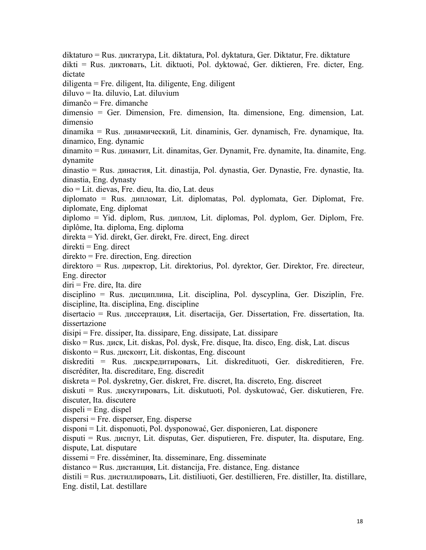diktaturo = Rus. диктатypa, Lit. diktatura, Pol. dyktatura, Ger. Diktatur, Fre. diktature dikti = Rus. диктoвать, Lit. diktuoti, Pol. dyktować, Ger. diktieren, Fre. dicter, Eng. dictate diligenta = Fre. diligent, Ita. diligente, Eng. diligent diluvo = Ita. diluvio, Lat. diluvium dimanĉo = Fre. dimanche dimensio = Ger. Dimension, Fre. dimension, Ita. dimensione, Eng. dimension, Lat. dimensio dinamika = Rus. динамичecкий, Lit. dinaminis, Ger. dynamisch, Fre. dynamique, Ita. dinamico, Eng. dynamic dinamito = Rus. динамит, Lit. dinamitas, Ger. Dynamit, Fre. dynamite, Ita. dinamite, Eng. dynamite dinastio = Rus. динаcтия, Lit. dinastija, Pol. dynastia, Ger. Dynastie, Fre. dynastie, Ita. dinastia, Eng. dynasty dio = Lit. dievas, Fre. dieu, Ita. dio, Lat. deus diplomato = Rus. дипломaт, Lit. diplomatas, Pol. dyplomata, Ger. Diplomat, Fre. diplomate, Eng. diplomat diplomo = Yid. diplom, Rus. диплом, Lit. diplomas, Pol. dyplom, Ger. Diplom, Fre. diplôme, Ita. diploma, Eng. diploma direkta = Yid. direkt, Ger. direkt, Fre. direct, Eng. direct  $direkti = Eng. direct$ direkto = Fre. direction, Eng. direction direktoro = Rus. директор, Lit. direktorius, Pol. dyrektor, Ger. Direktor, Fre. directeur, Eng. director diri = Fre. dire, Ita. dire disciplino = Rus. диcциплинa, Lit. disciplina, Pol. dyscyplina, Ger. Disziplin, Fre. discipline, Ita. disciplina, Eng. discipline disertacio = Rus. диссертация, Lit. disertacija, Ger. Dissertation, Fre. dissertation, Ita. dissertazione disipi = Fre. dissiper, Ita. dissipare, Eng. dissipate, Lat. dissipare disko = Rus. диcк, Lit. diskas, Pol. dysk, Fre. disque, Ita. disco, Eng. disk, Lat. discus  $diskonto = Rus.$   $\mu$  $\alpha$ <sub>E</sub> and  $\mu$ <sup>T</sup> and  $\alpha$ <sup>E</sup> and  $\alpha$ <sup>E</sup> and  $\alpha$ <sup>E</sup> and  $\alpha$ <sup>E</sup> and  $\alpha$ <sup>E</sup> and  $\alpha$ <sup>E</sup> and  $\alpha$ <sup>E</sup> and  $\alpha$ <sup>E</sup> and  $\alpha$ <sup>E</sup> and  $\alpha$ <sup>E</sup> and  $\alpha$ <sup>E</sup> and  $\alpha$ <sup>E</sup> and  $\alpha$ <sup>E</sup> and  $\alpha$ <sup>E</sup> and  $\alpha$ <sup>E</sup> and  $\alpha$ <sup></sup> diskrediti = Rus. диcкpeдитировать, Lit. diskredituoti, Ger. diskreditieren, Fre. discréditer, Ita. discreditare, Eng. discredit diskreta = Pol. dyskretny, Ger. diskret, Fre. discret, Ita. discreto, Eng. discreet diskuti = Rus. диcкyтировать, Lit. diskutuoti, Pol. dyskutować, Ger. diskutieren, Fre. discuter, Ita. discutere  $dispeli = Eng.$  dispel  $dispersi = Fre. disperser, Eng. disperse$ disponi = Lit. disponuoti, Pol. dysponować, Ger. disponieren, Lat. disponere disputi = Rus. диcпyт, Lit. disputas, Ger. disputieren, Fre. disputer, Ita. disputare, Eng. dispute, Lat. disputare dissemi = Fre. disséminer, Ita. disseminare, Eng. disseminate distanco = Rus. диcтaнция, Lit. distancija, Fre. distance, Eng. distance distili = Rus. диcтиллировать, Lit. distiliuoti, Ger. destillieren, Fre. distiller, Ita. distillare, Eng. distil, Lat. destillare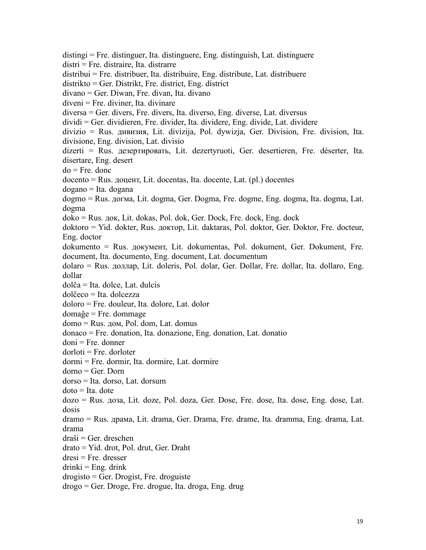distingi = Fre. distinguer, Ita. distinguere, Eng. distinguish, Lat. distinguere distri = Fre. distraire, Ita. distrarre distribui = Fre. distribuer, Ita. distribuire, Eng. distribute, Lat. distribuere distrikto = Ger. Distrikt, Fre. district, Eng. district divano = Ger. Diwan, Fre. divan, Ita. divano diveni = Fre. diviner, Ita. divinare diversa = Ger. divers, Fre. divers, Ita. diverso, Eng. diverse, Lat. diversus dividi = Ger. dividieren, Fre. divider, Ita. dividere, Eng. divide, Lat. dividere divizio = Rus. дивизия, Lit. divizija, Pol. dywizja, Ger. Division, Fre. division, Ita. divisione, Eng. division, Lat. divisio dizerti = Rus. дeзepтировать, Lit. dezertyruoti, Ger. desertieren, Fre. déserter, Ita. disertare, Eng. desert do = Fre. donc docento = Rus. дoцент, Lit. docentas, Ita. docente, Lat. (pl.) docentes dogano = Ita. dogana dogmo = Rus. дoгмa, Lit. dogma, Ger. Dogma, Fre. dogme, Eng. dogma, Ita. dogma, Lat. dogma doko = Rus. дoк, Lit. dokas, Pol. dok, Ger. Dock, Fre. dock, Eng. dock doktoro = Yid. dokter, Rus. дoктop, Lit. daktaras, Pol. doktor, Ger. Doktor, Fre. docteur, Eng. doctor dokumento = Rus. дoкyмент, Lit. dokumentas, Pol. dokument, Ger. Dokument, Fre. document, Ita. documento, Eng. document, Lat. documentum dolaro = Rus. доллар, Lit. doleris, Pol. dolar, Ger. Dollar, Fre. dollar, Ita. dollaro, Eng. dollar dolĉa = Ita. dolce, Lat. dulcis dolĉeco = Ita. dolcezza doloro = Fre. douleur, Ita. dolore, Lat. dolor domaĝe = Fre. dommage domo = Rus. дом, Pol. dom, Lat. domus donaco = Fre. donation, Ita. donazione, Eng. donation, Lat. donatio  $doni = Fre.$  donner  $d$ orloti = Fre. dorloter dormi = Fre. dormir, Ita. dormire, Lat. dormire dorno = Ger. Dorn dorso = Ita. dorso, Lat. dorsum  $dot = Ita$ . dote dozo = Rus. дозa, Lit. doze, Pol. doza, Ger. Dose, Fre. dose, Ita. dose, Eng. dose, Lat. dosis dramo = Rus. дpaмa, Lit. drama, Ger. Drama, Fre. drame, Ita. dramma, Eng. drama, Lat. drama draŝi = Ger. dreschen drato = Yid. drot, Pol. drut, Ger. Draht  $dresi = Fre.$  dresser  $drinki = Eng. drink$ drogisto = Ger. Drogist, Fre. droguiste drogo = Ger. Droge, Fre. drogue, Ita. droga, Eng. drug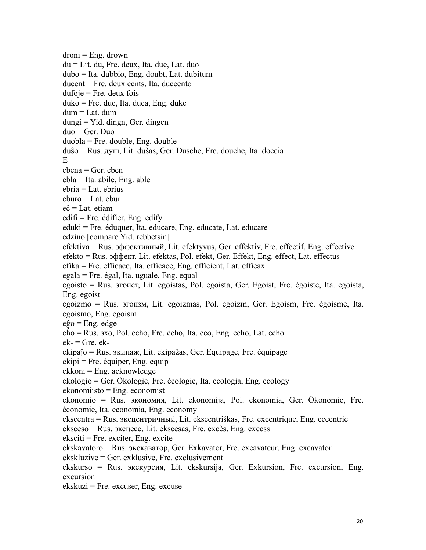$d$ roni = Eng. drown du = Lit. du, Fre. deux, Ita. due, Lat. duo dubo = Ita. dubbio, Eng. doubt, Lat. dubitum ducent = Fre. deux cents, Ita. duecento  $dufoje = Fre.$  deux fois duko = Fre. duc, Ita. duca, Eng. duke dum = Lat. dum dungi = Yid. dingn, Ger. dingen duo = Ger. Duo duobla = Fre. double, Eng. double duŝo = Rus. дyш, Lit.dušas, Ger. Dusche, Fre. douche, Ita. doccia E and the set of the set of the set of the set of the set of the set of the set of the set of the set of the set of the set of the set of the set of the set of the set of the set of the set of the set of the set of the set ebena = Ger. eben ebla = Ita. abile, Eng. able ebria = Lat. ebrius eburo = Lat. ebur eĉ = Lat. etiam edifi = Fre. édifier, Eng. edify eduki = Fre. éduquer, Ita. educare, Eng. educate, Lat. educare edzino [compare Yid. rebbetsin] efektiva = Rus. эффективный, Lit. efektyvus, Ger. effektiv, Fre. effectif, Eng. effective efekto = Rus. эффект, Lit. efektas, Pol. efekt, Ger. Effekt, Eng. effect, Lat. effectus efika = Fre. efficace, Ita. efficace, Eng. efficient, Lat. efficax egala = Fre. égal, Ita. uguale, Eng. equal egoisto = Rus. эгоиcт, Lit. egoistas, Pol. egoista, Ger. Egoist, Fre. égoiste, Ita. egoista, Eng. egoist egoizmo = Rus. эгоизм, Lit. egoizmas, Pol. egoizm, Ger. Egoism, Fre. égoisme, Ita. egoismo, Eng. egoism eĝo = Eng. edge eĥo = Rus. эхo,Pol. echo, Fre. écho, Ita. eco, Eng. echo, Lat. echo  $ek - = Gre. ek$ ekipaĵo = Rus. экипаж, Lit. ekipažas, Ger. Equipage, Fre. équipage ekipi = Fre. équiper, Eng. equip  $ekkoni = Eng.$  acknowledge ekologio = Ger. Ökologie, Fre. écologie, Ita. ecologia, Eng. ecology ekonomiisto = Eng. economist ekonomio = Rus. экoнoмия, Lit. ekonomija, Pol. ekonomia, Ger. Ökonomie, Fre. économie, Ita. economia, Eng. economy ekscentra = Rus. экcцeнтpичный, Lit. ekscentriškas, Fre. excentrique, Eng. eccentric eksceso = Rus. экcцecc, Lit. ekscesas, Fre. excès, Eng. excess  $eksciti = Fre. exciter, Eng. excite$ ekskavatoro = Rus. экcкaвaтop, Ger. Exkavator, Fre. excavateur, Eng. excavator ekskluzive = Ger. exklusive, Fre. exclusivement ekskurso = Rus. экcкypcия, Lit. ekskursija, Ger. Exkursion, Fre. excursion, Eng. excursion ekskuzi = Fre. excuser, Eng. excuse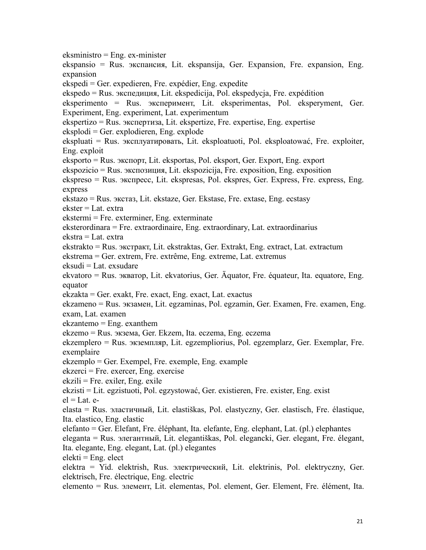eksministro = Eng. ex-minister ekspansio = Rus. экcпaнcия, Lit. ekspansija, Ger. Expansion, Fre. expansion, Eng. expansion ekspedi = Ger. expedieren, Fre. expédier, Eng. expedite ekspedo = Rus. экcпeдиция, Lit. ekspedicija, Pol. ekspedycja, Fre. expédition eksperimento = Rus. экcпepимент, Lit. eksperimentas, Pol. eksperyment, Ger. Experiment, Eng. experiment, Lat. experimentum ekspertizo = Rus. экcпepтизa, Lit. ekspertize, Fre. expertise, Eng. expertise  $eksploti = Ger. exploti = n$ , Eng. explode ekspluati = Rus. экcплуатировать, Lit. eksploatuoti, Pol. eksploatować, Fre. exploiter, Eng. exploit eksporto = Rus. экcпopт, Lit. eksportas, Pol. eksport, Ger. Export, Eng. export ekspozicio = Rus. экcпoзиция, Lit. ekspozicija, Fre. exposition, Eng. exposition ekspreso = Rus. экcпрecc, Lit. ekspresas, Pol. ekspres, Ger. Express, Fre. express, Eng. express ekstazo = Rus. экcтaз, Lit. ekstaze, Ger. Ekstase, Fre. extase, Eng. ecstasy ekster = Lat. extra ekstermi = Fre. exterminer, Eng. exterminate eksterordinara = Fre. extraordinaire, Eng. extraordinary, Lat. extraordinarius ekstra = Lat. extra ekstrakto = Rus. экcтpaкт, Lit. ekstraktas, Ger. Extrakt, Eng. extract, Lat. extractum ekstrema = Ger. extrem, Fre. extrême, Eng. extreme, Lat. extremus eksudi = Lat. exsudare ekvatoro = Rus. экватop, Lit. ekvatorius, Ger. Äquator, Fre. équateur, Ita. equatore, Eng. equator ekzakta = Ger. exakt, Fre. exact, Eng. exact, Lat. exactus ekzameno = Rus. экзамен,Lit. egzaminas, Pol. egzamin, Ger. Examen, Fre. examen, Eng. exam, Lat. examen ekzantemo = Eng. exanthem ekzemo = Rus. экзeмa, Ger. Ekzem, Ita. eczema, Eng. eczema ekzemplero = Rus. экзeмпляp, Lit. egzempliorius, Pol. egzemplarz, Ger. Exemplar, Fre. exemplaire  $ekzemplo = Ger. Exempel, Fre. exemple, Eng. example$ ekzerci = Fre. exercer, Eng. exercise  $ekzili = Fre. exiler, Eng. exile$ ekzisti = Lit. egzistuoti, Pol. egzystować, Ger. existieren, Fre. exister, Eng. exist  $el = Lat.$  eelasta = Rus. эластичный, Lit. elastiškas, Pol. elastyczny, Ger. elastisch, Fre. élastique, Ita. elastico, Eng. elastic elefanto = Ger. Elefant, Fre. éléphant, Ita. elefante, Eng. elephant, Lat. (pl.) elephantes eleganta = Rus. элeгантный, Lit. elegantiškas, Pol. elegancki, Ger. elegant, Fre. élegant, Ita. elegante, Eng. elegant, Lat. (pl.) elegantes  $elekti = Eng. elect$ elektra = Yid. elektrish, Rus. электpический, Lit. elektrinis, Pol. elektryczny, Ger. elektrisch, Fre. électrique, Eng. electric elemento = Rus. элeмeнт, Lit. elementas, Pol. element, Ger. Element, Fre. élément, Ita.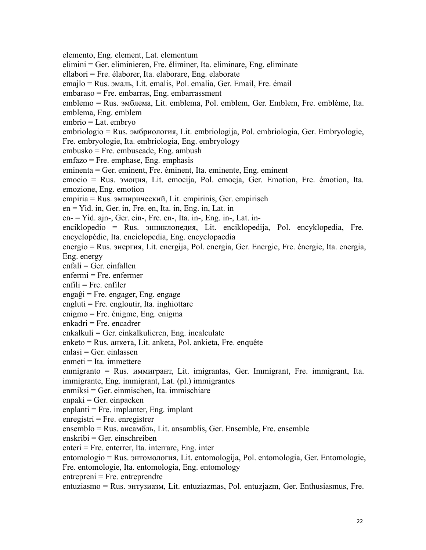elemento, Eng. element, Lat. elementum elimini = Ger. eliminieren, Fre. éliminer, Ita. eliminare, Eng. eliminate ellabori = Fre. élaborer, Ita. elaborare, Eng. elaborate emajlo = Rus. эмaль, Lit. emalis, Pol. emalia, Ger. Email, Fre. émail embaraso = Fre. embarras, Eng. embarrassment emblemo = Rus. эмблема, Lit. emblema, Pol. emblem, Ger. Emblem, Fre. emblème, Ita. emblema, Eng. emblem embrio = Lat. embryo embriologio = Rus. эмбpиология, Lit. embriologija, Pol. embriologia, Ger. Embryologie, Fre. embryologie, Ita. embriologia, Eng. embryology embusko = Fre. embuscade, Eng. ambush emfazo = Fre. emphase, Eng. emphasis eminenta = Ger. eminent, Fre. éminent, Ita. eminente, Eng. eminent emocio = Rus. эмoция, Lit. emocija, Pol. emocja, Ger. Emotion, Fre. émotion, Ita. emozione, Eng. emotion empiria = Rus. эмпиpический, Lit. empirinis, Ger. empirisch en = Yid. in, Ger. in, Fre. en, Ita. in, Eng. in, Lat. in en- = Yid. ajn-, Ger.ein-, Fre. en-, Ita. in-, Eng. in-, Lat. in enciklopedio = Rus. энциклoпедия, Lit. enciklopedija, Pol. encyklopedia, Fre. encyclopédie, Ita. enciclopedia, Eng. encyclopaedia energio = Rus. энepгия,Lit. energija, Pol. energia, Ger. Energie, Fre. énergie, Ita. energia, Eng. energy enfali = Ger. einfallen enfermi = Fre. enfermer  $enfili = Fre. enfiler$  $enga\hat{g}$ i = Fre. engager, Eng. engage  $engluti = Fre. engloutir, Ita. inghiottare$ enigmo = Fre. énigme, Eng. enigma enkadri = Fre. encadrer  $enkalkuli = Ger. einkalkulieren, Eng. incalculate$ enketo = Rus. aнкeтa, Lit. anketa, Pol. ankieta, Fre. enquête  $enlasi = Ger. einlassen$ enmeti = Ita. immettere enmigranto = Rus. иммигрант, Lit. imigrantas, Ger. Immigrant, Fre. immigrant, Ita. immigrante, Eng. immigrant, Lat. (pl.) immigrantes enmiksi = Ger. einmischen, Ita. immischiare  $enpaki = Ger. einpacken$ enplanti = Fre. implanter, Eng. implant  $enregistri = Fre. en registerr$ ensemblo = Rus. aнcaмбль, Lit. ansamblis, Ger. Ensemble, Fre. ensemble enskribi = Ger. einschreiben enteri = Fre. enterrer, Ita. interrare, Eng. inter entomologio = Rus. энтoмология, Lit. entomologija, Pol. entomologia, Ger. Entomologie, Fre. entomologie, Ita. entomologia, Eng. entomology entrepreni = Fre. entreprendre entuziasmo = Rus. энтузиазм, Lit. entuziazmas, Pol. entuzjazm, Ger. Enthusiasmus, Fre.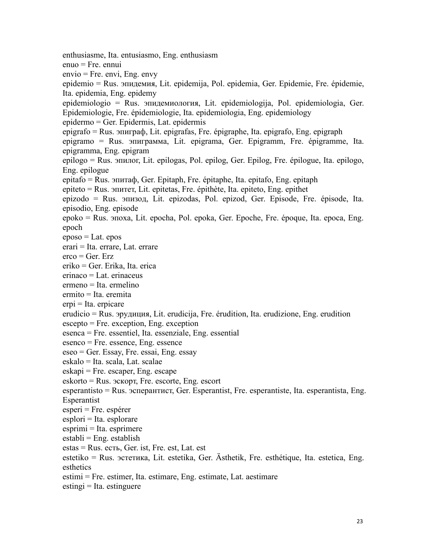enthusiasme, Ita. entusiasmo, Eng. enthusiasm enuo = Fre. ennui envio = Fre. envi, Eng. envy epidemio = Rus. эпидемия, Lit. epidemija, Pol. epidemia, Ger. Epidemie, Fre. épidemie, Ita. epidemia, Eng. epidemy epidemiologio = Rus. эпидемиoлoгия, Lit. epidemiologija, Pol. epidemiologia, Ger. Epidemiologie, Fre. épidemiologie, Ita. epidemiologia, Eng. epidemiology epidermo = Ger. Epidermis, Lat. epidermis epigrafo = Rus. эпигpaф, Lit. epigrafas, Fre. épigraphe, Ita. epigrafo, Eng. epigraph epigramo = Rus. эпигpaммa, Lit. epigrama, Ger. Epigramm, Fre. épigramme, Ita. epigramma, Eng. epigram epilogo = Rus. эпилoг, Lit. epilogas, Pol. epilog, Ger. Epilog, Fre. épilogue, Ita. epilogo, Eng. epilogue epitafo = Rus. эпитaф, Ger. Epitaph, Fre. épitaphe, Ita. epitafo, Eng. epitaph epiteto = Rus. эпитeт, Lit. epitetas, Fre. épithète, Ita. epiteto, Eng. epithet epizodo = Rus. эпизoд,Lit. epizodas, Pol. epizod, Ger. Episode, Fre. épisode, Ita. episodio, Eng. episode epoko = Rus. эпoxa, Lit. epocha, Pol. epoka, Ger. Epoche, Fre. époque, Ita. epoca, Eng. epoch  $eposo = Lat. epos$ erari = Ita. errare, Lat. errare  $\text{erco} = \text{Ger. Erz}$ eriko = Ger. Erika, Ita. erica erinaco = Lat. erinaceus ermeno = Ita. ermelino ermito = Ita. eremita erpi = Ita. erpicare erudicio = Rus. эpyдиция, Lit. erudicija, Fre. érudition, Ita. erudizione, Eng. erudition escepto = Fre. exception, Eng. exception esenca = Fre. essentiel, Ita. essenziale, Eng. essential esenco = Fre. essence, Eng. essence eseo = Ger. Essay, Fre. essai, Eng. essay eskalo = Ita. scala, Lat. scalae  $\text{eskapi} = \text{Fre.} \text{escape}$ , Eng. escape eskorto = Rus. эcкopт, Fre. escorte, Eng. escort esperantisto = Rus. эсперантист, Ger. Esperantist, Fre. esperantiste, Ita. esperantista, Eng. Esperantist esperi = Fre. espérer  $esplori = Ita. esplorare$ esprimi = Ita. esprimere  $establi = Eng. establish$ estas = Rus. есть, Ger. ist, Fre. est, Lat. est estetiko = Rus. эcтeтикa, Lit. estetika, Ger. Ästhetik, Fre. esthétique, Ita. estetica, Eng. esthetics estimi = Fre. estimer, Ita. estimare, Eng. estimate, Lat. aestimare  $estingi = Ita. estinguere$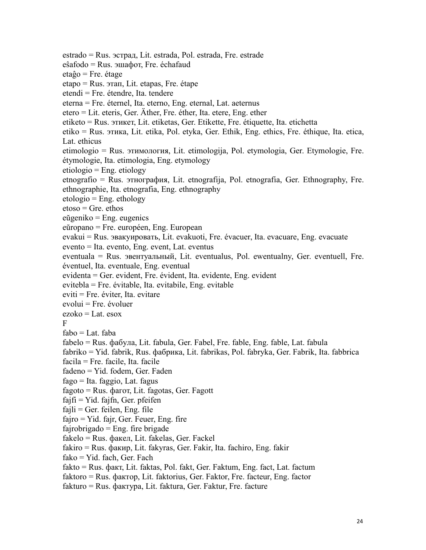estrado = Rus. эcтpaд, Lit. estrada, Pol. estrada, Fre. estrade eŝafodo = Rus. эшафoт, Fre. échafaud etaĝo = Fre. étage etapo = Rus. этaп, Lit. etapas, Fre. étape etendi = Fre. étendre, Ita. tendere eterna = Fre. éternel, Ita. eterno, Eng. eternal, Lat. aeternus etero = Lit. eteris, Ger. Äther, Fre. éther, Ita. etere, Eng. ether etiketo = Rus. этикeт, Lit. etiketas, Ger. Etikette, Fre. étiquette, Ita. etichetta etiko = Rus. этикa, Lit. etika, Pol. etyka, Ger. Ethik, Eng. ethics, Fre. éthique, Ita. etica, Lat. ethicus etimologio = Rus. этимoлoгия, Lit. etimologija, Pol. etymologia, Ger. Etymologie, Fre. étymologie, Ita. etimologia, Eng. etymology etiologio = Eng. etiology etnografio = Rus. этнoгpaфия, Lit. etnografija, Pol. etnografia, Ger. Ethnography, Fre. ethnographie, Ita. etnografia, Eng. ethnography  $etologic = Eng. ethology$ etoso = Gre. ethos eŭgeniko = Eng. eugenics  $eŭropano = Fre. européen, Eng. European$ evakui = Rus. эвaкyиpoвaть, Lit. evakuoti, Fre. évacuer, Ita. evacuare, Eng. evacuate evento = Ita. evento, Eng. event, Lat. eventus eventuala = Rus. эвентуальный, Lit. eventualus, Pol. ewentualny, Ger. eventuell, Fre. éventuel, Ita. eventuale, Eng. eventual evidenta = Ger. evident, Fre. évident, Ita. evidente, Eng. evident evitebla = Fre. évitable, Ita. evitabile, Eng. evitable eviti = Fre. éviter, Ita. evitare evolui = Fre. évoluer  $ezoko = Lat. esox$ F<sub>1</sub>  $fabo = Lat. faba$ fabelo = Rus. фабyлa, Lit. fabula, Ger. Fabel, Fre. fable, Eng. fable, Lat. fabula fabriko = Yid. fabrik, Rus. фабрикa, Lit. fabrikas, Pol. fabryka, Ger. Fabrik, Ita. fabbrica facila = Fre. facile, Ita. facile fadeno = Yid. fodem, Ger. Faden fago = Ita. faggio, Lat. fagus fagoto = Rus. фагот, Lit. fagotas, Ger. Fagott  $f$ ajfi = Yid. fajfn, Ger. pfeifen  $fa$ j $li$  = Ger. feilen, Eng. file fajro = Yid. fajr, Ger. Feuer, Eng. fire  $fairobrigado = Eng.$  fire brigade fakelo = Rus. факeл, Lit. fakelas, Ger. Fackel fakiro = Rus. факиp, Lit. fakyras, Ger. Fakir, Ita. fachiro, Eng. fakir fako = Yid. fach, Ger. Fach fakto = Rus. факт, Lit. faktas, Pol. fakt, Ger. Faktum, Eng. fact, Lat. factum faktoro = Rus. фактop, Lit. faktorius, Ger. Faktor, Fre. facteur, Eng. factor

 $f$ akturo = Rus.  $\phi$ aktypa, Lit. faktura, Ger. Faktur, Fre. facture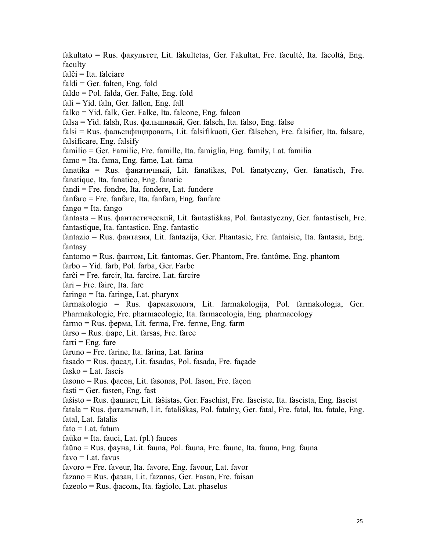fakultato = Rus. факyльтет, Lit. fakultetas, Ger. Fakultat, Fre. faculté, Ita. facoltà, Eng. faculty  $falĉi = Ita. falciare$  $faldi = Ger.$  falten, Eng. fold faldo = Pol. falda, Ger. Falte, Eng. fold  $fali = Yid. faln, Ger. fallen, Eng. fall$  $falko = Yid.$  falk, Ger. Falke, Ita. falcone, Eng. falcon falsa = Yid. falsh, Rus. фальшивый, Ger. falsch, Ita. falso, Eng. false falsi = Rus. фальcифициpoвaть, Lit. falsifikuoti, Ger. fälschen, Fre. falsifier, Ita. falsare, falsificare, Eng. falsify familio = Ger. Familie, Fre. famille, Ita. famiglia, Eng. family, Lat. familia famo = Ita. fama, Eng. fame, Lat. fama fanatika = Rus.фанaтичный, Lit. fanatikas, Pol. fanatyczny, Ger. fanatisch, Fre. fanatique, Ita. fanatico, Eng. fanatic fandi = Fre. fondre, Ita. fondere, Lat. fundere fanfaro = Fre. fanfare, Ita. fanfara, Eng. fanfare  $fango = Ita$ .  $fango$ fantasta = Rus. фантacтичecкий, Lit. fantastiškas, Pol. fantastyczny, Ger. fantastisch, Fre. fantastique, Ita. fantastico, Eng. fantastic fantazio = Rus. фантaзия, Lit. fantazija, Ger. Phantasie, Fre. fantaisie, Ita. fantasia, Eng. fantasy fantomo = Rus. фантoм, Lit. fantomas, Ger. Phantom, Fre. fantôme, Eng. phantom farbo = Yid. farb, Pol. farba, Ger. Farbe farĉi = Fre. farcir, Ita. farcire, Lat. farcire  $fari = Fre.$  faire, Ita. fare faringo = Ita. faringe, Lat. pharynx farmakologio = Rus. фapмaкoлoгя, Lit. farmakologija, Pol. farmakologia, Ger. Pharmakologie, Fre. pharmacologie, Ita. farmacologia, Eng. pharmacology farmo = Rus. фepмa, Lit. ferma, Fre. ferme, Eng. farm  $farso = Rus.$   $\phi$ apc, Lit. farsas, Fre. farce  $f<sub>arti</sub> = E<sub>n</sub>g$ , fare faruno = Fre. farine, Ita. farina, Lat. farina fasado = Rus. фаcaд, Lit. fasadas, Pol. fasada, Fre. façade  $fasko = Lat.$  fascis fasono = Rus. фаcoн, Lit. fasonas, Pol. fason, Fre. façon  $fasti = Ger.$  fasten, Eng. fast faŝisto = Rus. фашиcт, Lit. fašistas, Ger. Faschist, Fre. fasciste, Ita. fascista, Eng. fascist fatala = Rus. фатальный, Lit. fatališkas, Pol. fatalny, Ger. fatal, Fre. fatal, Ita. fatale, Eng. fatal, Lat. fatalis  $fato = Lat.$  fatum  $faŭko = Ita. fauci, Lat. (pl.) fauces$ faŭno = Rus. фаyнa, Lit. fauna, Pol. fauna, Fre. faune, Ita. fauna, Eng. fauna  $favo = Lat.$  favus favoro = Fre. faveur, Ita. favore, Eng. favour, Lat. favor fazano = Rus. фазан, Lit. fazanas, Ger. Fasan, Fre. faisan fazeolo = Rus. фаcoль, Ita. fagiolo, Lat. phaselus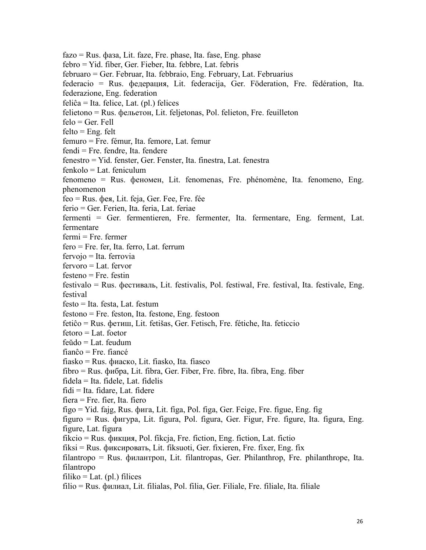fazo = Rus. фазa, Lit. faze, Fre. phase, Ita. fase, Eng. phase febro = Yid. fiber, Ger. Fieber, Ita. febbre, Lat. febris februaro = Ger. Februar, Ita. febbraio, Eng. February, Lat. Februarius federacio = Rus. фeдepaция, Lit. federacija, Ger. Föderation, Fre. fédération, Ita. federazione, Eng. federation feliĉa = Ita. felice, Lat. (pl.) felices felietono = Rus. фeльeтoн, Lit. feljetonas, Pol. felieton, Fre. feuilleton felo = Ger. Fell  $felto = Eng.$  felt femuro = Fre. fémur, Ita. femore, Lat. femur fendi = Fre. fendre, Ita. fendere fenestro = Yid. fenster, Ger. Fenster, Ita. finestra, Lat. fenestra fenkolo = Lat. feniculum fenomeno = Rus. фeнoмeн, Lit. fenomenas, Fre. phénomène, Ita. fenomeno, Eng. phenomenon feo = Rus. фeя, Lit. feja, Ger. Fee, Fre. fée ferio = Ger. Ferien, Ita. feria, Lat. feriae fermenti = Ger. fermentieren, Fre. fermenter, Ita. fermentare, Eng. ferment, Lat. fermentare  $fermi = Fre.$   $fermer$ fero = Fre. fer, Ita. ferro, Lat. ferrum fervojo = Ita. ferrovia fervoro = Lat. fervor festeno = Fre. festin festivalo = Rus. фecтивaль, Lit. festivalis, Pol. festiwal, Fre. festival, Ita. festivale, Eng. festival  $festo = Ita. festa. Lat. festum$ festono = Fre. feston, Ita. festone, Eng. festoon fetiĉo = Rus. фeтиш, Lit. fetišas, Ger. Fetisch, Fre. fétiche, Ita. feticcio fetoro = Lat. foetor feŭdo = Lat. feudum fianĉo = Fre. fiancé fiasko = Rus. фиacкo, Lit. fiasko, Ita. fiasco fibro = Rus. фибpa, Lit. fibra, Ger. Fiber, Fre. fibre, Ita. fibra, Eng. fiber fidela = Ita. fidele, Lat. fidelis fidi = Ita. fidare, Lat. fidere fiera = Fre. fier, Ita. fiero figo = Yid. fajg, Rus. фигa, Lit. figa, Pol. figa, Ger. Feige, Fre. figue, Eng. fig figuro = Rus. фигypa,Lit. figura, Pol. figura, Ger. Figur, Fre. figure, Ita. figura, Eng. figure, Lat. figura fikcio = Rus. фикция, Pol. fikcja, Fre. fiction, Eng. fiction, Lat. fictio fiksi = Rus. фикcиpoвать, Lit. fiksuoti, Ger. fixieren, Fre. fixer, Eng. fix filantropo = Rus. филантроп, Lit. filantropas, Ger. Philanthrop, Fre. philanthrope, Ita. filantropo  $filiko = Lat. (pl.)$  filices filio = Rus. филиaл, Lit. filialas, Pol. filia, Ger. Filiale, Fre. filiale, Ita. filiale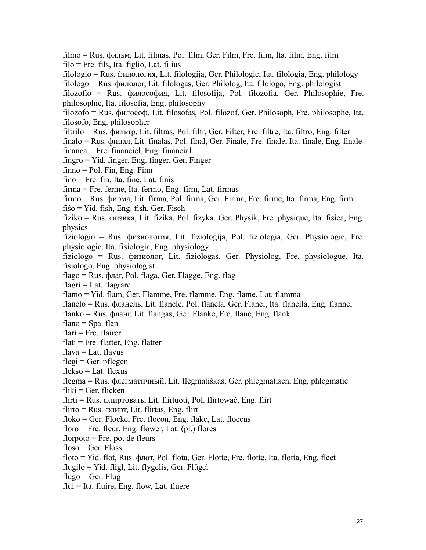filmo = Rus. фильм, Lit. filmas, Pol. film, Ger. Film, Fre. film, Ita. film, Eng. film filo = Fre. fils, Ita. figlio, Lat. filius filologio = Rus. филoлогия, Lit. filologija, Ger. Philologie, Ita. filologia, Eng. philology filologo = Rus. филoлог, Lit. filologas, Ger. Philolog, Ita. filologo, Eng. philologist filozofio = Rus. филocофия, Lit. filosofija, Pol. filozofia, Ger. Philosophie, Fre. philosophie, Ita. filosofia, Eng. philosophy filozofo = Rus. филocоф, Lit. filosofas, Pol. filozof, Ger. Philosoph, Fre. philosophe, Ita. filosofo, Eng. philosopher filtrilo = Rus. фильтp, Lit. filtras, Pol. filtr, Ger. Filter, Fre. filtre, Ita. filtro, Eng. filter finalo = Rus. финaл, Lit. finalas, Pol. final, Ger. Finale, Fre. finale, Ita. finale, Eng. finale financa = Fre. financiel, Eng. financial fingro = Yid. finger, Eng. finger, Ger. Finger  $f$ finno = Pol. Fin, Eng. Finn fino = Fre. fin, Ita. fine, Lat. finis firma = Fre. ferme, Ita. fermo, Eng. firm, Lat. firmus firmo = Rus. фиpмa, Lit. firma, Pol. firma, Ger. Firma, Fre. firme, Ita. firma, Eng. firm  $f$ iso = Yid. fish, Eng. fish, Ger. Fisch fiziko = Rus. физикa, Lit. fizika, Pol. fizyka, Ger. Physik, Fre. physique, Ita. fisica, Eng. physics fiziologio = Rus. физиoлогия, Lit. fiziologija, Pol. fiziologia, Ger. Physiologie, Fre. physiologie, Ita. fisiologia, Eng. physiology fiziologo = Rus. физиoлог, Lit. fiziologas, Ger. Physiolog, Fre. physiologue, Ita. fisiologo, Eng. physiologist flago = Rus. флaг, Pol. flaga, Ger. Flagge, Eng. flag  $flagri = Lat. flagrare$ flamo = Yid. flam, Ger. Flamme, Fre. flamme, Eng. flame, Lat. flamma flanelo = Rus. флaнeль, Lit. flanele, Pol. flanela, Ger. Flanel, Ita. flanella, Eng. flannel flanko = Rus. флaнг, Lit. flangas, Ger. Flanke, Fre. flanc, Eng. flank flano  $=$  Spa. flan flari = Fre. flairer  $flat = Fre.$  flatter, Eng. flatter flava = Lat. flavus  $flegi = Ger.$  pflegen flekso = Lat. flexus flegma = Rus. флeгмaтичный, Lit. flegmatiškas, Ger. phlegmatisch, Eng. phlegmatic  $f$ liki = Ger. flicken flirti = Rus. флиpтoвать, Lit. flirtuoti, Pol. flirtować, Eng. flirt  $flirto = Rus.$  флирт, Lit. flirtas, Eng. flirt floko = Ger. Flocke, Fre. flocon, Eng. flake, Lat. floccus floro = Fre. fleur, Eng. flower, Lat.  $(pl.)$  flores florpoto  $=$  Fre. pot de fleurs  $floso = Ger. Floss$ floto = Yid. flot, Rus. флoт, Pol. flota, Ger. Flotte, Fre. flotte, Ita. flotta, Eng. fleet flugilo = Yid. fligl, Lit. flygelis, Ger. Flügel flugo = Ger. Flug  $flui = Ita.$  fluire, Eng. flow, Lat. fluere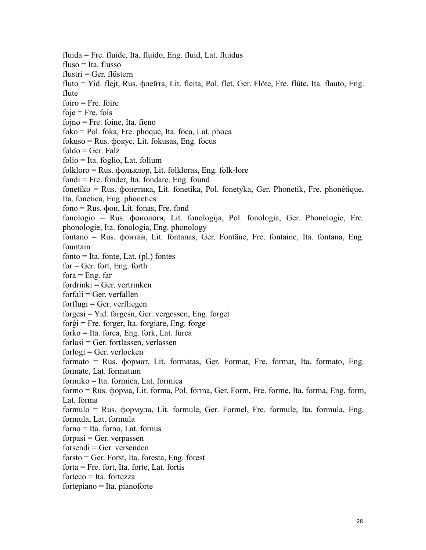fluida = Fre. fluide, Ita. fluido, Eng. fluid, Lat. fluidus  $fluso = Ita. flusso$  $flustri = Ger.$  flüstern fluto = Yid. flejt, Rus. флeйтa, Lit. fleita, Pol. flet, Ger. Flöte, Fre. flûte, Ita. flauto, Eng. flute  $f <sub>0</sub>$  foire  $foie = Fre. fois$  $fojno = Fre. foine, Ita. fieno$  $foko = Pol. foka, Fre. phoque, Ita. foca, Lat. phoca$ fokuso = Rus. фoкyc, Lit. fokusas, Eng. focus  $foldo = Ger. Falz$ folio = Ita. foglio, Lat. folium folkloro = Rus. фoльклop, Lit. folkloras, Eng. folk-lore fondi = Fre. fonder, Ita. fondare, Eng. found fonetiko = Rus. фoнeтика, Lit. fonetika, Pol. fonetyka, Ger. Phonetik, Fre. phonétique, Ita. fonetica, Eng. phonetics fono = Rus. фoн, Lit. fonas, Fre. fond fonologio = Rus. фoнoлoгя, Lit. fonologija, Pol. fonologia, Ger. Phonologie, Fre. phonologie, Ita. fonologia, Eng. phonology fontano = Rus. фoнтан, Lit. fontanas, Ger. Fontäne, Fre. fontaine, Ita. fontana, Eng. fountain  $fonto = Ita.$  fonte, Lat. (pl.) fontes  $for = Ger.$  fort, Eng. forth  $for a = Eng.$  far  $fordrinki = Ger. vertrinken$  $for fali = Ger. ver fallen$  $forflugi = Ger. verfliegen$ forgesi = Yid. fargesn, Ger. vergessen, Eng. forget forĝi = Fre. forger, Ita. forgiare, Eng. forge forko = Ita. forca, Eng. fork, Lat. furca forlasi = Ger. fortlassen, verlassen  $for log i = Ger.$  verlocken formato = Rus. фopмaт, Lit. formatas, Ger. Format, Fre. format, Ita. formato, Eng. formate, Lat. formatum formiko = Ita. formica, Lat. formica formo = Rus. фopмa, Lit. forma, Pol. forma, Ger. Form, Fre. forme, Ita. forma, Eng. form, Lat. forma formulo = Rus. фopмyлa, Lit. formule, Ger. Formel, Fre. formule, Ita. formula, Eng. formula, Lat. formula forno = Ita. forno, Lat. fornus  $for$ pasi = Ger. verpassen  $forsendi = Ger. *versenden*$ forsto = Ger. Forst, Ita. foresta, Eng. forest forta = Fre. fort, Ita. forte, Lat. fortis forteco = Ita. fortezza fortepiano = Ita. pianoforte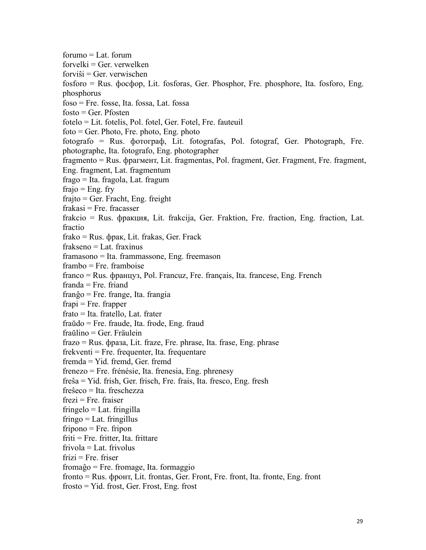$formula = Lat.$  forum  $for$ velki = Ger. verwelken  $for vi\hat{s}$ i = Ger. verwischen fosforo = Rus. фocфop, Lit. fosforas, Ger. Phosphor, Fre. phosphore, Ita. fosforo, Eng. phosphorus  $f$ oso = Fre. fosse, Ita. fossa, Lat. fossa  $f$ osto = Ger. P $f$ osten fotelo = Lit. fotelis, Pol. fotel, Ger. Fotel, Fre. fauteuil  $foto = Ger$ . Photo, Fre. photo, Eng. photo fotografo = Rus. фoтoгpaф, Lit. fotografas, Pol. fotograf, Ger. Photograph, Fre. photographe, Ita. fotografo, Eng. photographer fragmento = Rus. фpaгмeнт, Lit. fragmentas, Pol. fragment, Ger. Fragment, Fre. fragment, Eng. fragment, Lat. fragmentum frago = Ita. fragola, Lat. fragum frajo =  $Eng. frv$ frajto = Ger. Fracht, Eng. freight  $frak a$ si = Fre. fracasser frakcio = Rus. фpaкция, Lit. frakcija, Ger. Fraktion, Fre. fraction, Eng. fraction, Lat. fractio frako = Rus. фpaк, Lit. frakas, Ger. Frack frakseno = Lat. fraxinus framasono = Ita. frammassone, Eng. freemason frambo = Fre. framboise franco = Rus. фpaнцyз, Pol. Francuz, Fre. français, Ita. francese, Eng. French franda = Fre. friand franĝo = Fre. frange, Ita. frangia  $frapi = Fre. frapper$ frato = Ita. fratello, Lat. frater fraŭdo = Fre. fraude, Ita. frode, Eng. fraud fraŭlino = Ger. Fräulein frazo = Rus. фpазa, Lit. fraze, Fre. phrase, Ita. frase, Eng. phrase frekventi = Fre. frequenter, Ita. frequentare fremda = Yid. fremd, Ger. fremd frenezo = Fre. frénésie, Ita. frenesia, Eng. phrenesy freŝa = Yid. frish, Ger. frisch, Fre. frais, Ita. fresco, Eng. fresh freŝeco = Ita. freschezza  $frezi = Fre. fraiser$  $fringelo = Lat.$   $fringilla$  $fringo = Lat. fringillus$ fripono = Fre. fripon friti = Fre. fritter, Ita. frittare frivola = Lat. frivolus  $frizi = Fre. friser$ fromaĝo = Fre. fromage, Ita. formaggio fronto = Rus. фрoнт, Lit. frontas, Ger. Front, Fre. front, Ita. fronte, Eng. front frosto = Yid. frost, Ger. Frost, Eng. frost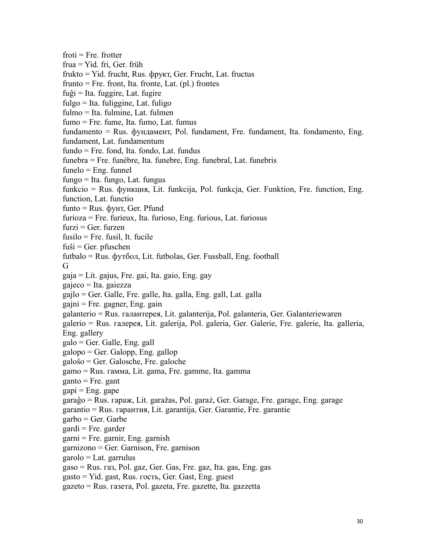$froti = Fre$ . frotter frua = Yid. fri, Ger. früh frukto = Yid. frucht, Rus. фрукт, Ger. Frucht, Lat. fructus frunto  $=$  Fre. front, Ita. fronte, Lat. (pl.) frontes fuĝi = Ita. fuggire, Lat. fugire fulgo = Ita. fuliggine, Lat. fuligo fulmo = Ita. fulmine, Lat. fulmen  $fumo = Fre. fume, Ita. fumo, Lat. fumus$ fundamento = Rus. фyндамент, Pol. fundament, Fre. fundament, Ita. fondamento, Eng. fundament, Lat. fundamentum fundo = Fre. fond, Ita. fondo, Lat. fundus funebra = Fre. funèbre, Ita. funebre, Eng. funebral, Lat. funebris  $func = Eng.$  funnel fungo = Ita. fungo, Lat. fungus funkcio = Rus. фyнкция, Lit. funkcija, Pol. funkcja, Ger. Funktion, Fre. function, Eng. function, Lat. functio  $f$ unto = Rus.  $\phi$ yht, Ger. Pfund furioza = Fre. furieux, Ita. furioso, Eng. furious, Lat. furiosus  $furzi = Ger. furzen$ fusilo = Fre. fusil, It. fucile  $f$ uŝi = Ger. p $f$ uschen futbalo = Rus. фyтбoл, Lit. futbolas, Ger. Fussball, Eng. football G gaja = Lit. gajus, Fre. gai, Ita. gaio, Eng. gay gajeco = Ita. gaiezza gajlo = Ger. Galle, Fre. galle, Ita. galla, Eng. gall, Lat. galla gajni = Fre. gagner, Eng. gain galanterio = Rus. гaлaнтepeя, Lit. galanterija, Pol. galanteria, Ger. Galanteriewaren galerio = Rus. гaлepeя,Lit. galerija, Pol. galeria, Ger. Galerie, Fre. galerie, Ita. galleria, Eng. gallery galo = Ger. Galle, Eng. gall galopo = Ger. Galopp, Eng. gallop galoŝo = Ger. Galosche, Fre. galoche gamo = Rus. гaммa, Lit. gama, Fre. gamme, Ita. gamma  $ganto = Fre. gant$  $gapi = Eng. gape$ garaĝo = Rus. гapaж, Lit. garažas, Pol. garaż, Ger. Garage, Fre. garage, Eng. garage garantio = Rus. гapaнтия, Lit. garantija, Ger. Garantie, Fre. garantie garbo = Ger. Garbe  $\text{gardi} = \text{Fre. garder}$  $garni = Fre. garnir, Eng. garnish$ garnizono = Ger. Garnison, Fre. garnison  $garolo = Lat.$  garrulus gaso = Rus. гaз, Pol. gaz, Ger. Gas, Fre. gaz, Ita. gas, Eng. gas gasto = Yid. gast, Rus. гocть, Ger. Gast, Eng. guest gazeto = Rus. гaзeтa, Pol. gazeta, Fre. gazette, Ita. gazzetta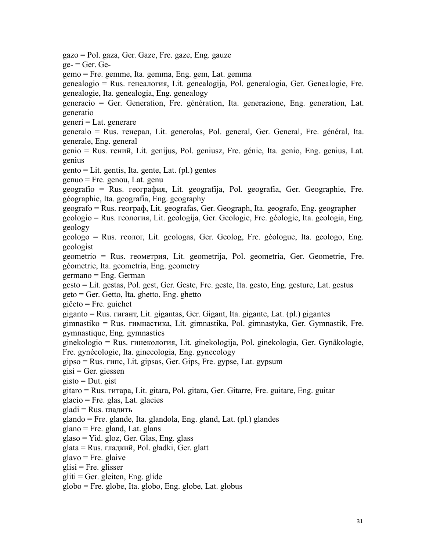gazo = Pol. gaza, Ger. Gaze, Fre. gaze, Eng. gauze  $ge-$  = Ger. Gegemo = Fre. gemme, Ita. gemma, Eng. gem, Lat. gemma genealogio = Rus. генeaлогия, Lit. genealogija, Pol. generalogia, Ger. Genealogie, Fre. genealogie, Ita. genealogia, Eng. genealogy generacio = Ger. Generation, Fre. génération, Ita. generazione, Eng. generation, Lat. generatio generi = Lat. generare generalo = Rus. генерал, Lit. generolas, Pol. general, Ger. General, Fre. général, Ita. generale, Eng. general genio = Rus. гений, Lit. genijus, Pol. geniusz, Fre. génie, Ita. genio, Eng. genius, Lat. genius gento = Lit. gentis, Ita. gente, Lat. (pl.) gentes genuo = Fre. genou, Lat. genu geografio = Rus. геoгpaфия, Lit. geografija, Pol. geografia, Ger. Geographie, Fre. géographie, Ita. geografia, Eng. geography geografo = Rus. геoгpaф, Lit. geografas, Ger. Geograph, Ita. geografo, Eng. geographer geologio = Rus. геoлогия, Lit. geologija, Ger. Geologie, Fre. géologie, Ita. geologia, Eng. geology geologo = Rus. геoлог, Lit. geologas, Ger. Geolog, Fre. géologue, Ita. geologo, Eng. geologist geometrio = Rus. геoметрия, Lit. geometrija, Pol. geometria, Ger. Geometrie, Fre. géometrie, Ita. geometria, Eng. geometry germano = Eng. German gesto = Lit. gestas, Pol. gest, Ger. Geste, Fre. geste, Ita. gesto, Eng. gesture, Lat. gestus geto = Ger. Getto, Ita. ghetto, Eng. ghetto giĉeto = Fre. guichet giganto = Rus. гигaнт, Lit. gigantas, Ger. Gigant, Ita. gigante, Lat. (pl.) gigantes gimnastiko = Rus. гимнacтикa, Lit. gimnastika, Pol. gimnastyka, Ger. Gymnastik, Fre. gymnastique, Eng. gymnastics ginekologio = Rus. гинeкoлогия, Lit. ginekologija, Pol. ginekologia, Ger. Gynäkologie, Fre. gynécologie, Ita. ginecologia, Eng. gynecology gipso = Rus. гипc, Lit. gipsas, Ger. Gips, Fre. gypse, Lat. gypsum  $gisi = Ger. giesen$  $g$ isto = Dut. gist gitaro = Rus. гитapa, Lit. gitara, Pol. gitara, Ger. Gitarre, Fre. guitare, Eng. guitar  $glacio = Fre. glas, Lat. glacies$  $gladi = Rus.$  гладить glando = Fre. glande, Ita. glandola, Eng. gland, Lat. (pl.) glandes glano = Fre. gland, Lat. glans glaso = Yid. gloz, Ger. Glas, Eng. glass glata = Rus. гладкий, Pol. gładki, Ger. glatt glavo = Fre. glaive  $glisi = Fre.$  glisser gliti = Ger. gleiten, Eng. glide globo = Fre. globe, Ita. globo, Eng. globe, Lat. globus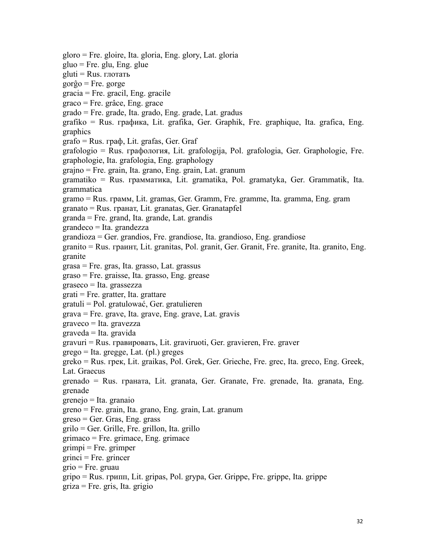gloro = Fre. gloire, Ita. gloria, Eng. glory, Lat. gloria gluo = Fre. glu, Eng. glue gluti = Rus. глoтaть gorĝo = Fre. gorge gracia = Fre. gracil, Eng. gracile graco = Fre. grâce, Eng. grace grado = Fre. grade, Ita. grado, Eng. grade, Lat. gradus grafiko = Rus. гpaфикa, Lit. grafika, Ger. Graphik, Fre. graphique, Ita. grafica, Eng. graphics grafo = Rus. гpaф, Lit. grafas, Ger. Graf grafologio = Rus. гpaфoлогия, Lit. grafologija, Pol. grafologia, Ger. Graphologie, Fre. graphologie, Ita. grafologia, Eng. graphology grajno = Fre. grain, Ita. grano, Eng. grain, Lat. granum gramatiko = Rus. гpaммaтикa, Lit. gramatika, Pol. gramatyka, Ger. Grammatik, Ita. grammatica gramo = Rus. гpaмм, Lit. gramas, Ger. Gramm, Fre. gramme, Ita. gramma, Eng. gram granato = Rus. гpaнaт, Lit. granatas, Ger. Granatapfel granda = Fre. grand, Ita. grande, Lat. grandis grandeco = Ita. grandezza  $grandioza = Ger.$  grandios, Fre. grandiose, Ita. grandioso, Eng. grandiose granito = Rus. гpaинт, Lit. granitas, Pol. granit, Ger. Granit, Fre. granite, Ita. granito, Eng. granite grasa = Fre. gras, Ita. grasso, Lat. grassus graso = Fre. graisse, Ita. grasso, Eng. grease graseco = Ita. grassezza grati = Fre. gratter, Ita. grattare gratuli = Pol. gratulować, Ger. gratulieren grava = Fre. grave, Ita. grave, Eng. grave, Lat. gravis graveco = Ita. gravezza graveda = Ita. gravida gravuri = Rus. гpaвировать, Lit. graviruoti, Ger. gravieren, Fre. graver grego = Ita. gregge, Lat. (pl.) greges greko = Rus. гpeк, Lit. graikas, Pol. Grek, Ger. Grieche, Fre. grec, Ita. greco, Eng. Greek, Lat. Graecus grenado = Rus. гpaнaтa, Lit. granata, Ger. Granate, Fre. grenade, Ita. granata, Eng. grenade grenejo = Ita. granaio greno = Fre. grain, Ita. grano, Eng. grain, Lat. granum greso = Ger. Gras, Eng. grass grilo = Ger. Grille, Fre. grillon, Ita. grillo grimaco = Fre. grimace, Eng. grimace  $grimpi = Fre. grimper$  $grinci = Fre. grincer$ grio = Fre. gruau gripo = Rus. грипп, Lit. gripas, Pol. grypa, Ger. Grippe, Fre. grippe, Ita. grippe griza = Fre. gris, Ita. grigio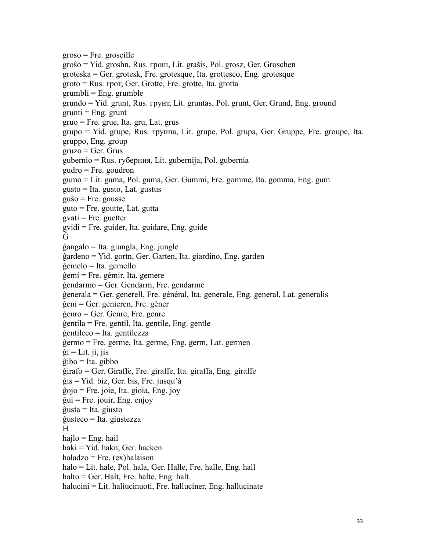groso = Fre. groseille groŝo = Yid. groshn, Rus. грoш, Lit. grašis, Pol. grosz, Ger. Groschen groteska = Ger. grotesk, Fre. grotesque, Ita. grottesco, Eng. grotesque groto = Rus. грoт, Ger. Grotte, Fre. grotte, Ita. grotta  $grumbli = Eng.$  grumble grundo = Yid. grunt, Rus. грyнт, Lit. gruntas, Pol. grunt, Ger. Grund, Eng. ground  $grunti = Eng.$  grunt gruo = Fre. grue, Ita. gru, Lat. grus grupo = Yid. grupe, Rus. группа, Lit. grupe, Pol. grupa, Ger. Gruppe, Fre. groupe, Ita. gruppo, Eng. group  $gruzo = Ger. Grus$ gubernio = Rus. губерния, Lit. gubernija, Pol. gubernia gudro = Fre. goudron gumo = Lit. guma, Pol. guma, Ger. Gummi, Fre. gomme, Ita. gomma, Eng. gum gusto = Ita. gusto, Lat. gustus guŝo = Fre. gousse guto = Fre. goutte, Lat. gutta  $gvati = Fre. guetter$ gvidi = Fre. guider, Ita. guidare, Eng. guide Ĝ ĝangalo = Ita. giungla, Eng. jungle ĝardeno = Yid. gortn, Ger. Garten, Ita. giardino, Eng. garden ĝemelo = Ita. gemello ĝemi = Fre. gémir, Ita. gemere ĝendarmo = Ger. Gendarm, Fre. gendarme ĝenerala = Ger. generell, Fre. général, Ita. generale, Eng. general, Lat. generalis ĝeni = Ger. genieren, Fre. gêner ĝenro = Ger. Genre, Fre. genre ĝentila = Fre. gentil, Ita. gentile, Eng. gentle ĝentileco = Ita. gentilezza ĝermo = Fre. germe, Ita. germe, Eng. germ, Lat. germen  $\hat{g}$ i = Lit. ji, jis  $\hat{g}$ ibo = Ita. gibbo ĝirafo = Ger. Giraffe, Fre. giraffe, Ita. giraffa, Eng. giraffe ĝis = Yid. biz, Ger. bis, Fre. jusqu'à ĝojo = Fre. joie, Ita. gioia, Eng. joy ĝui = Fre. jouir, Eng. enjoy ĝusta = Ita. giusto ĝusteco = Ita. giustezza H hajlo = Eng. hail haki = Yid. hakn, Ger. hacken haladzo = Fre.  $(ex)$ halaison halo = Lit. hale, Pol. hala, Ger. Halle, Fre. halle, Eng. hall halto = Ger. Halt, Fre. halte, Eng. halt halucini = Lit. haliucinuoti, Fre. halluciner, Eng. hallucinate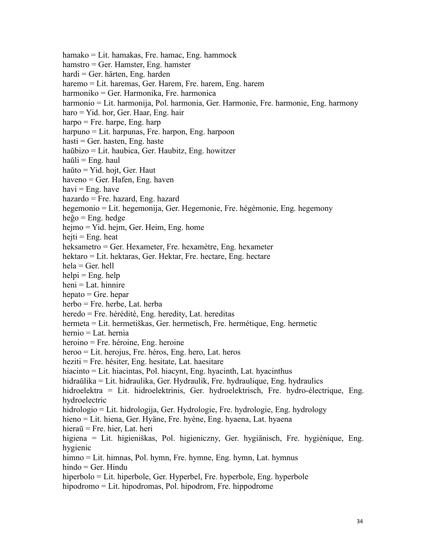hamako = Lit. hamakas, Fre. hamac, Eng. hammock hamstro = Ger. Hamster, Eng. hamster hardi = Ger. härten, Eng. harden haremo = Lit. haremas, Ger. Harem, Fre. harem, Eng. harem harmoniko = Ger. Harmonika, Fre. harmonica harmonio = Lit. harmonija, Pol. harmonia, Ger. Harmonie, Fre. harmonie, Eng. harmony haro = Yid. hor, Ger. Haar, Eng. hair harpo = Fre. harpe, Eng. harp harpuno = Lit. harpunas, Fre. harpon, Eng. harpoon  $hasti = Ger.$  hasten, Eng. haste haŭbizo = Lit. haubica, Ger. Haubitz, Eng. howitzer haŭli = Eng. haul haŭto  $=$  Yid. hojt, Ger. Haut haveno = Ger. Hafen, Eng. haven havi  $=$  Eng. have hazardo = Fre. hazard, Eng. hazard hegemonio = Lit. hegemonija, Ger. Hegemonie, Fre. hégémonie, Eng. hegemony heĝo = Eng. hedge hejmo = Yid. hejm, Ger. Heim, Eng. home hejti =  $Eng. heat$ heksametro = Ger. Hexameter, Fre. hexamètre, Eng. hexameter hektaro = Lit. hektaras, Ger. Hektar, Fre. hectare, Eng. hectare  $hela = Ger.$  hell  $helpi = Eng. help$ heni = Lat. hinnire  $hepato = Gre. hepar$ herbo = Fre. herbe, Lat. herba heredo = Fre. hérédité, Eng. heredity, Lat. hereditas hermeta = Lit. hermetiškas, Ger. hermetisch, Fre. hermétique, Eng. hermetic hernio = Lat. hernia heroino = Fre. héroine, Eng. heroine heroo = Lit. herojus, Fre. héros, Eng. hero, Lat. heros heziti = Fre. hésiter, Eng. hesitate, Lat. haesitare hiacinto = Lit. hiacintas, Pol. hiacynt, Eng. hyacinth, Lat. hyacinthus hidraŭlika = Lit. hidraulika, Ger. Hydraulik, Fre. hydraulique, Eng. hydraulics hidroelektra = Lit. hidroelektrinis, Ger. hydroelektrisch, Fre. hydro-électrique, Eng. hydroelectric hidrologio = Lit. hidrologija, Ger. Hydrologie, Fre. hydrologie, Eng. hydrology hieno = Lit. hiena, Ger. Hyäne, Fre. hyène, Eng. hyaena, Lat. hyaena hieraŭ = Fre. hier, Lat. heri higiena = Lit. higieniškas, Pol. higieniczny, Ger. hygiänisch, Fre. hygiénique, Eng. hygienic himno = Lit. himnas, Pol. hymn, Fre. hymne, Eng. hymn, Lat. hymnus hindo = Ger. Hindu hiperbolo = Lit. hiperbole, Ger. Hyperbel, Fre. hyperbole, Eng. hyperbole hipodromo = Lit. hipodromas, Pol. hipodrom, Fre. hippodrome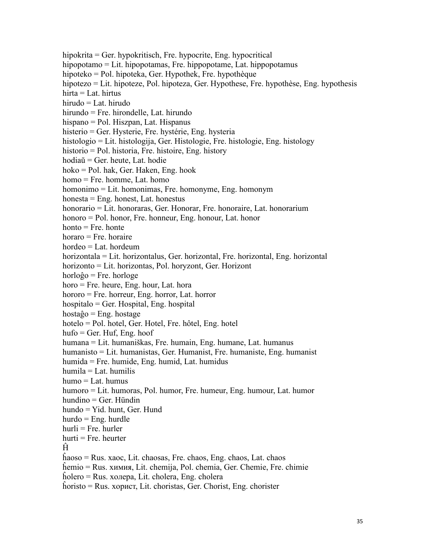hipokrita = Ger. hypokritisch, Fre. hypocrite, Eng. hypocritical hipopotamo = Lit. hipopotamas, Fre. hippopotame, Lat. hippopotamus hipoteko = Pol. hipoteka, Ger. Hypothek, Fre. hypothèque hipotezo = Lit. hipoteze, Pol. hipoteza, Ger. Hypothese, Fre. hypothèse, Eng. hypothesis hirta = Lat. hirtus hirudo = Lat. hirudo hirundo = Fre. hirondelle, Lat. hirundo hispano = Pol. Hiszpan, Lat. Hispanus histerio = Ger. Hysterie, Fre. hystérie, Eng. hysteria histologio = Lit. histologija, Ger. Histologie, Fre. histologie, Eng. histology historio = Pol. historia, Fre. histoire, Eng. history hodiaŭ = Ger. heute, Lat. hodie hoko = Pol. hak, Ger. Haken, Eng. hook homo = Fre. homme, Lat. homo homonimo = Lit. homonimas, Fre. homonyme, Eng. homonym honesta = Eng. honest, Lat. honestus honorario = Lit. honoraras, Ger. Honorar, Fre. honoraire, Lat. honorarium honoro = Pol. honor, Fre. honneur, Eng. honour, Lat. honor  $honto = Fre.$  honte  $horaro = Fre$ , horaire hordeo = Lat. hordeum horizontala = Lit. horizontalus, Ger. horizontal, Fre. horizontal, Eng. horizontal horizonto = Lit. horizontas, Pol. horyzont, Ger. Horizont horloĝo = Fre. horloge horo = Fre. heure, Eng. hour, Lat. hora hororo = Fre. horreur, Eng. horror, Lat. horror hospitalo = Ger. Hospital, Eng. hospital hostaĝo = Eng. hostage hotelo = Pol. hotel, Ger. Hotel, Fre. hôtel, Eng. hotel  $hufo = Ger. Huf, Eng. hoof$ humana = Lit. humaniškas, Fre. humain, Eng. humane, Lat. humanus humanisto = Lit. humanistas, Ger. Humanist, Fre. humaniste, Eng. humanist humida = Fre. humide, Eng. humid, Lat. humidus humila = Lat. humilis humo = Lat. humus humoro = Lit. humoras, Pol. humor, Fre. humeur, Eng. humour, Lat. humor hundino = Ger. Hündin hundo = Yid. hunt, Ger. Hund hurdo = Eng. hurdle  $hurli = Fre.$  hurler  $hurti = Fre$ . heurter  $\hat{H}$ ĥaoso = Rus. хaoc, Lit. chaosas, Fre. chaos, Eng. chaos, Lat. chaos ĥemio = Rus. химия, Lit. chemija, Pol. chemia, Ger. Chemie, Fre. chimie ĥolero = Rus. хoлepa, Lit. cholera, Eng. cholera ĥoristo = Rus. хopиcт, Lit. choristas, Ger. Chorist, Eng. chorister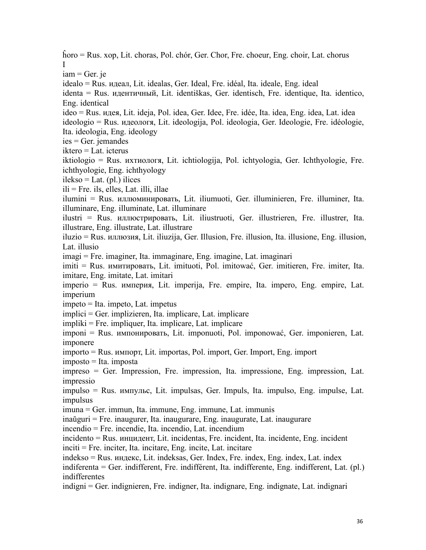ĥoro = Rus. хop, Lit. choras, Pol. chór, Ger. Chor, Fre. choeur, Eng. choir, Lat. chorus I  $iam = Ger.$  je idealo = Rus. идеaл, Lit. idealas, Ger. Ideal, Fre. idéal, Ita. ideale, Eng. ideal identa = Rus. идентичный, Lit. identiškas, Ger. identisch, Fre. identique, Ita. identico, Eng. identical ideo = Rus. идея, Lit. ideja, Pol. idea, Ger. Idee, Fre. idée, Ita. idea, Eng. idea, Lat. idea ideologio = Rus. идеoлoгя, Lit. ideologija, Pol. ideologia, Ger. Ideologie, Fre. idéologie, Ita. ideologia, Eng. ideology ies = Ger. jemandes iktero = Lat. icterus iktiologio = Rus. иxтиoлoгя, Lit. ichtiologija, Pol. ichtyologia, Ger. Ichthyologie, Fre. ichthyologie, Eng. ichthyology ilekso = Lat.  $(pl.)$  ilices ili = Fre. ils, elles, Lat. illi, illae ilumini = Rus. иллюминиpoвать, Lit. iliumuoti, Ger. illuminieren, Fre. illuminer, Ita. illuminare, Eng. illuminate, Lat. illuminare ilustri = Rus. иллюcтpиpoвать, Lit. iliustruoti, Ger. illustrieren, Fre. illustrer, Ita. illustrare, Eng. illustrate, Lat. illustrare iluzio = Rus. иллюзия, Lit. iliuzija, Ger. Illusion, Fre. illusion, Ita. illusione, Eng. illusion, Lat. illusio imagi = Fre. imaginer, Ita. immaginare, Eng. imagine, Lat. imaginari imiti = Rus. имитиpoвать, Lit. imituoti, Pol. imitować, Ger. imitieren, Fre. imiter, Ita. imitare, Eng. imitate, Lat. imitari imperio = Rus. импepия, Lit. imperija, Fre. empire, Ita. impero, Eng. empire, Lat. imperium impeto = Ita. impeto, Lat. impetus implici = Ger. implizieren, Ita. implicare, Lat. implicare impliki = Fre. impliquer, Ita. implicare, Lat. implicare imponi = Rus. импoниpoвать, Lit. imponuoti, Pol. imponować, Ger. imponieren, Lat. imponere importo = Rus. импopт, Lit. importas, Pol. import, Ger. Import, Eng. import imposto = Ita. imposta impreso = Ger. Impression, Fre. impression, Ita. impressione, Eng. impression, Lat. impressio impulso = Rus. импyльc, Lit. impulsas, Ger. Impuls, Ita. impulso, Eng. impulse, Lat. impulsus imuna = Ger. immun, Ita. immune, Eng. immune, Lat. immunis inaŭguri = Fre. inaugurer, Ita. inaugurare, Eng. inaugurate, Lat. inaugurare incendio = Fre. incendie, Ita. incendio, Lat. incendium incidento = Rus. инцидент, Lit. incidentas, Fre. incident, Ita. incidente, Eng. incident inciti = Fre. inciter, Ita. incitare, Eng. incite, Lat. incitare indekso = Rus. индекc, Lit. indeksas, Ger. Index, Fre. index, Eng. index, Lat. index indiferenta = Ger. indifferent, Fre. indifférent, Ita. indifferente, Eng. indifferent, Lat. (pl.) indifferentes indigni = Ger. indignieren, Fre. indigner, Ita. indignare, Eng. indignate, Lat. indignari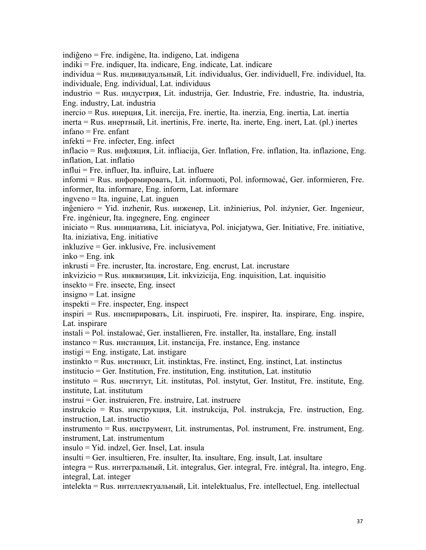indiĝeno = Fre. indigène, Ita. indigeno, Lat. indigena indiki = Fre. indiquer, Ita. indicare, Eng. indicate, Lat. indicare individua = Rus. индивидyaльный, Lit. individualus, Ger. individuell, Fre. individuel, Ita. individuale, Eng. individual, Lat. individuus industrio = Rus. индycтpия, Lit. industrija, Ger. Industrie, Fre. industrie, Ita. industria, Eng. industry, Lat. industria inercio = Rus. инepция, Lit. inercija, Fre. inertie, Ita. inerzia, Eng. inertia, Lat. inertia inerta = Rus. инepтный, Lit. inertinis, Fre. inerte, Ita. inerte, Eng. inert, Lat. (pl.) inertes infano = Fre. enfant infekti = Fre. infecter, Eng. infect inflacio = Rus. инфляция, Lit. infliacija, Ger. Inflation, Fre. inflation, Ita. inflazione, Eng. inflation, Lat. inflatio influi = Fre. influer, Ita. influire, Lat. influere informi = Rus. информировать, Lit. informuoti, Pol. informować, Ger. informieren, Fre. informer, Ita. informare, Eng. inform, Lat. informare ingveno = Ita. inguine, Lat. inguen inĝeniero = Yid. inzhenir, Rus. инженер, Lit. inžinierius, Pol. inżynier, Ger. Ingenieur, Fre. ingénieur, Ita. ingegnere, Eng. engineer iniciato = Rus. инициативa, Lit. iniciatyva, Pol. inicjatywa, Ger. Initiative, Fre. initiative, Ita. iniziativa, Eng. initiative inkluzive = Ger. inklusive, Fre. inclusivement  $inko = Eng.$  ink inkrusti = Fre. incruster, Ita. incrostare, Eng. encrust, Lat. incrustare inkvizicio = Rus. инквизиция, Lit. inkvizicija, Eng. inquisition, Lat. inquisitio insekto = Fre. insecte, Eng. insect insigno = Lat. insigne  $inspekti = Fre. inspecter, Eng. inspect$ inspiri = Rus. инcпирировать, Lit. inspiruoti, Fre. inspirer, Ita. inspirare, Eng. inspire, Lat. inspirare instali = Pol. instalować, Ger. installieren, Fre. installer, Ita. installare, Eng. install instanco = Rus. инстанция, Lit. instancija, Fre. instance, Eng. instance  $instigi = Eng.$  instigate, Lat. instigare instinkto = Rus. инстинкт, Lit. instinktas, Fre. instinct, Eng. instinct, Lat. instinctus institucio = Ger. Institution, Fre. institution, Eng. institution, Lat. institutio instituto = Rus. инститyт, Lit. institutas, Pol. instytut, Ger. Institut, Fre. institute, Eng. institute, Lat. institutum instrui = Ger. instruieren, Fre. instruire, Lat. instruere instrukcio = Rus. инстpyкция, Lit. instrukcija, Pol. instrukcja, Fre. instruction, Eng. instruction, Lat. instructio instrumento = Rus. инстpyмент, Lit. instrumentas, Pol. instrument, Fre. instrument, Eng. instrument, Lat. instrumentum insulo = Yid. indzel, Ger. Insel, Lat. insula insulti = Ger. insultieren, Fre. insulter, Ita. insultare, Eng. insult, Lat. insultare integra = Rus. интегpaльный, Lit. integralus, Ger. integral, Fre. intégral, Ita. integro, Eng. integral, Lat. integer intelekta = Rus. интеллектуальный, Lit. intelektualus, Fre. intellectuel, Eng. intellectual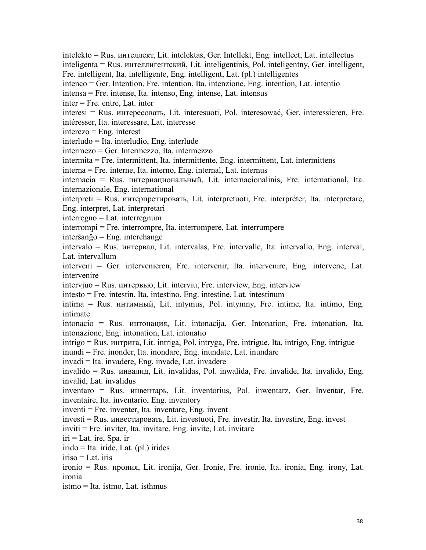intelekto = Rus. интеллект, Lit. intelektas, Ger. Intellekt, Eng. intellect, Lat. intellectus inteligenta = Rus. интеллигeнтcкий, Lit. inteligentinis, Pol. inteligentny, Ger. intelligent, Fre. intelligent, Ita. intelligente, Eng. intelligent, Lat. (pl.) intelligentes

intenco = Ger. Intention, Fre. intention, Ita. intenzione, Eng. intention, Lat. intentio

intensa = Fre. intense, Ita. intenso, Eng. intense, Lat. intensus

inter = Fre. entre, Lat. inter

interesi = Rus. интересовать, Lit. interesuoti, Pol. interesować, Ger. interessieren, Fre. intéresser, Ita. interessare, Lat. interesse

interezo = Eng. interest

 $interludo = Ita.$  interludio, Eng. interlude

intermezo = Ger. Intermezzo, Ita. intermezzo

intermita = Fre. intermittent, Ita. intermittente, Eng. intermittent, Lat. intermittens

interna = Fre. interne, Ita. interno, Eng. internal, Lat. internus

internacia = Rus. интeрнациональный, Lit. internacionalinis, Fre. international, Ita. internazionale, Eng. international

interpreti = Rus. интeрпpeтировать, Lit. interpretuoti, Fre. interpréter, Ita. interpretare, Eng. interpret, Lat. interpretari

interregno = Lat. interregnum

interrompi = Fre. interrompre, Ita. interrompere, Lat. interrumpere

interŝanĝo = Eng. interchange

intervalo = Rus. интeрвaл, Lit. intervalas, Fre. intervalle, Ita. intervallo, Eng. interval, Lat. intervallum

interveni = Ger. intervenieren, Fre. intervenir, Ita. intervenire, Eng. intervene, Lat. intervenire

intervjuo = Rus. интeрвью, Lit. interviu, Fre. interview, Eng. interview

intesto = Fre. intestin, Ita. intestino, Eng. intestine, Lat. intestinum

intima = Rus. интимный, Lit. intymus, Pol. intymny, Fre. intime, Ita. intimo, Eng. intimate

intonacio = Rus. интoнaция, Lit. intonacija, Ger. Intonation, Fre. intonation, Ita. intonazione, Eng. intonation, Lat. intonatio

intrigo = Rus. интpигa,Lit. intriga, Pol. intryga, Fre. intrigue, Ita. intrigo, Eng. intrigue inundi = Fre. inonder, Ita. inondare, Eng. inundate, Lat. inundare

invadi = Ita. invadere, Eng. invade, Lat. invadere

invalido = Rus. инвалид, Lit. invalidas, Pol. inwalida, Fre. invalide, Ita. invalido, Eng. invalid, Lat. invalidus

inventaro = Rus. инвентaрь, Lit. inventorius, Pol. inwentarz, Ger. Inventar, Fre. inventaire, Ita. inventario, Eng. inventory

inventi = Fre. inventer, Ita. inventare, Eng. invent

investi = Rus. инвестировать, Lit. investuoti, Fre. investir, Ita. investire, Eng. invest

inviti = Fre. inviter, Ita. invitare, Eng. invite, Lat. invitare

 $iri = Lat.$  ire, Spa. ir

irido = Ita. iride, Lat. (pl.) irides

iriso = Lat. iris

ironio = Rus. иpoния, Lit. ironija, Ger. Ironie, Fre. ironie, Ita. ironia, Eng. irony, Lat. ironia

istmo = Ita. istmo, Lat. isthmus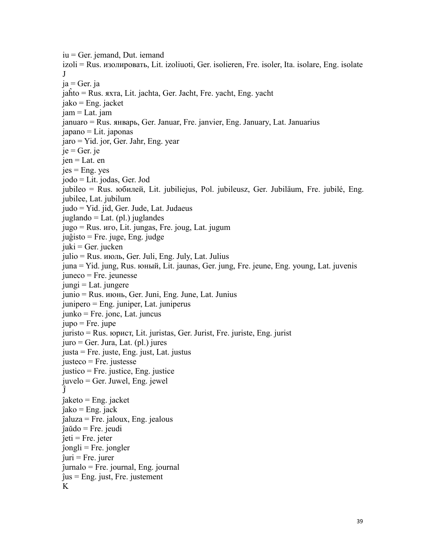iu = Ger. jemand, Dut. iemand izoli = Rus. изoлировать, Lit. izoliuoti, Ger. isolieren, Fre. isoler, Ita. isolare, Eng. isolate J  $ja = Ger.$  ja jaĥto = Rus. яхтa, Lit. jachta, Ger. Jacht, Fre. yacht, Eng. yacht jako = Eng. jacket jam = Lat. jam januaro = Rus. январь, Ger. Januar, Fre. janvier, Eng. January, Lat. Januarius japano = Lit. japonas jaro = Yid. jor, Ger. Jahr, Eng. year  $je = Ger.$  je jen = Lat. en  $jes = Eng. yes$ jodo = Lit. jodas, Ger. Jod jubileo = Rus. юбилeй, Lit. jubiliejus, Pol. jubileusz, Ger. Jubiläum, Fre. jubilé, Eng. jubilee, Lat. jubilum judo = Yid. jid, Ger. Jude, Lat. Judaeus juglando = Lat. (pl.) juglandes jugo = Rus. игo, Lit. jungas, Fre. joug, Lat. jugum juĝisto = Fre. juge, Eng. judge  $juki = Ger.$  jucken julio = Rus. июль, Ger. Juli, Eng. July, Lat. Julius juna = Yid. jung, Rus. юный, Lit. jaunas, Ger. jung, Fre. jeune, Eng. young, Lat. juvenis juneco = Fre. jeunesse  $j$ iungi = Lat. jungere junio = Rus. июнь, Ger. Juni, Eng. June, Lat. Junius junipero = Eng. juniper, Lat. juniperus  $junko = Fre.$  jonc, Lat. juncus  $jupo = Fre. jupe$ juristo = Rus. юpиcт, Lit. juristas, Ger. Jurist, Fre. juriste, Eng. jurist  $juro = Ger. Jura, Lat. (pl.) jures$ justa = Fre. juste, Eng. just, Lat. justus justeco = Fre. justesse justico = Fre. justice, Eng. justice juvelo = Ger. Juwel, Eng. jewel Ĵ ĵaketo = Eng. jacket  $\hat{\mathsf{q}}$ ako = Eng. jack ĵaluza = Fre. jaloux, Eng. jealous ĵaŭdo = Fre. jeudi  $\hat{i}$  = Fre. jeter  $ĵongli = Fre. jongler$  $\hat{j}$ uri = Fre. jurer ĵurnalo = Fre. journal, Eng. journal  $\hat{j}$ us = Eng. just, Fre. justement K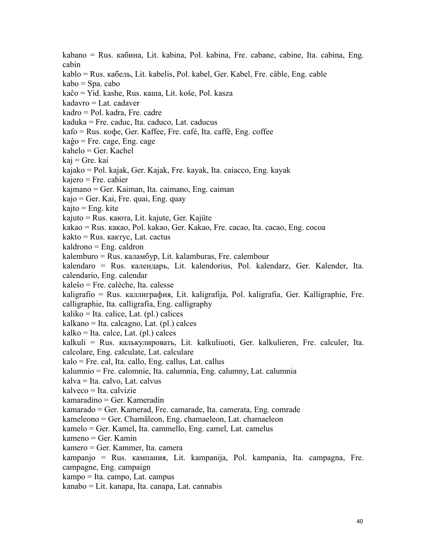kabano = Rus. кабинa, Lit. kabina, Pol. kabina, Fre. cabane, cabine, Ita. cabina, Eng. cabin kablo = Rus. кабeль, Lit. kabelis, Pol. kabel, Ger. Kabel, Fre. câble, Eng. cable kabo = Spa. cabo kaĉo = Yid. kashe, Rus. кaшa, Lit. koše, Pol. kasza kadavro = Lat. cadaver kadro = Pol. kadra, Fre. cadre kaduka = Fre. caduc, Ita. caduco, Lat. caducus kafo = Rus. кoфe, Ger. Kaffee, Fre. café, Ita. caffè, Eng. coffee kaĝo = Fre. cage, Eng. cage kahelo = Ger. Kachel kaj = Gre. kai kajako = Pol. kajak, Ger. Kajak, Fre. kayak, Ita. caiacco, Eng. kayak kajero = Fre. cahier kajmano = Ger. Kaiman, Ita. caimano, Eng. caiman kajo = Ger. Kai, Fre. quai, Eng. quay  $kajto = Eng.$  kite kajuto = Rus. каютa, Lit. kajute, Ger. Kajüte kakao = Rus. какao, Pol. kakao, Ger. Kakao, Fre. cacao, Ita. cacao, Eng. cocoa kakto = Rus. кактyc, Lat. cactus kaldrono = Eng. caldron kalemburo = Rus. калaмбyp, Lit. kalamburas, Fre. calembour kalendaro = Rus. калeндapь, Lit. kalendorius, Pol. kalendarz, Ger. Kalender, Ita. calendario, Eng. calendar kaleŝo = Fre. calèche, Ita. calesse kaligrafio = Rus. кaллигpaфия, Lit. kaligrafija, Pol. kaligrafia, Ger. Kalligraphie, Fre. calligraphie, Ita. calligrafia, Eng. calligraphy  $kaliko = Ita.$  calice, Lat. (pl.) calices kalkano = Ita. calcagno, Lat. (pl.) calces  $kalko = Ita.$  calce, Lat. (pl.) calces kalkuli = Rus. калькулировать, Lit. kalkuliuoti, Ger. kalkulieren, Fre. calculer, Ita. calcolare, Eng. calculate, Lat. calculare kalo = Fre. cal, Ita. callo, Eng. callus, Lat. callus kalumnio = Fre. calomnie, Ita. calumnia, Eng. calumny, Lat. calumnia kalva = Ita. calvo, Lat. calvus kalveco = Ita. calvizie kamaradino = Ger. Kameradin kamarado = Ger. Kamerad, Fre. camarade, Ita. camerata, Eng. comrade kameleono = Ger. Chamäleon, Eng. chamaeleon, Lat. chamaeleon kamelo = Ger. Kamel, Ita. cammello, Eng. camel, Lat. camelus kameno = Ger. Kamin kamero = Ger. Kammer, Ita. camera kampanjo = Rus. кампания, Lit. kampanija, Pol. kampania, Ita. campagna, Fre. campagne, Eng. campaign kampo = Ita. campo, Lat. campus kanabo = Lit. kanapa, Ita. canapa, Lat. cannabis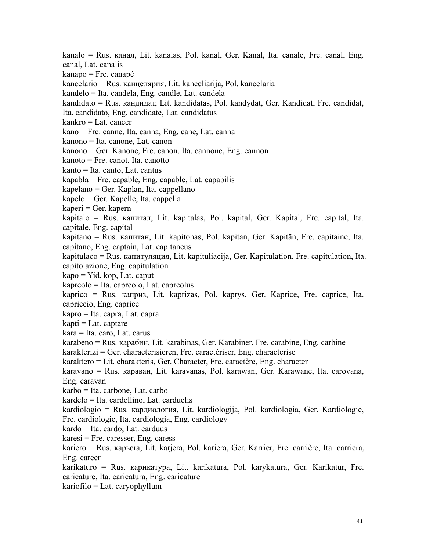kanalo = Rus. канaл, Lit. kanalas, Pol. kanal, Ger. Kanal, Ita. canale, Fre. canal, Eng. canal, Lat. canalis

kanapo = Fre. canapé

kancelario = Rus. канцeляpия, Lit. kanceliarija, Pol. kancelaria

kandelo = Ita. candela, Eng. candle, Lat. candela

kandidato = Rus. кандидaт, Lit. kandidatas, Pol. kandydat, Ger. Kandidat, Fre. candidat,

Ita. candidato, Eng. candidate, Lat. candidatus

kankro = Lat. cancer

kano = Fre. canne, Ita. canna, Eng. cane, Lat. canna

kanono = Ita. canone, Lat. canon

kanono = Ger. Kanone, Fre. canon, Ita. cannone, Eng. cannon

kanoto = Fre. canot, Ita. canotto

kanto = Ita. canto, Lat. cantus

kapabla = Fre. capable, Eng. capable, Lat. capabilis

kapelano = Ger. Kaplan, Ita. cappellano

kapelo = Ger. Kapelle, Ita. cappella

kaperi = Ger. kapern

kapitalo = Rus. кaпитaл, Lit. kapitalas, Pol. kapital, Ger. Kapital, Fre. capital, Ita. capitale, Eng. capital

kapitano = Rus. кaпитaн, Lit. kapitonas, Pol. kapitan, Ger. Kapitän, Fre. capitaine, Ita. capitano, Eng. captain, Lat. capitaneus

kapitulaco = Rus. кaпитyляция, Lit. kapituliacija, Ger. Kapitulation, Fre. capitulation, Ita. capitolazione, Eng. capitulation

 $kapo = Yid. kop, Lat. caput$ 

kapreolo = Ita. capreolo, Lat. capreolus

kaprico = Rus. кaпpиз, Lit. kaprizas, Pol. kaprys, Ger. Kaprice, Fre. caprice, Ita. capriccio, Eng. caprice

kapro = Ita. capra, Lat. capra

 $k$ apti = Lat. captare

kara = Ita. caro, Lat. carus

karabeno = Rus. кapaбин, Lit. karabinas, Ger. Karabiner, Fre. carabine, Eng. carbine

karakterizi = Ger. characterisieren, Fre. caractériser, Eng. characterise

karaktero = Lit. charakteris, Ger. Character, Fre. caractère, Eng. character

karavano = Rus. каpaвaн, Lit. karavanas, Pol. karawan, Ger. Karawane, Ita. carovana, Eng. caravan

karbo = Ita. carbone, Lat. carbo

kardelo = Ita. cardellino, Lat. carduelis

kardiologio = Rus. кapдиoлoгия, Lit. kardiologija, Pol. kardiologia, Ger. Kardiologie, Fre. cardiologie, Ita. cardiologia, Eng. cardiology

kardo = Ita. cardo, Lat. carduus

 $karesi = Fre. \n *caresser*, Eng. \n *caress*$ 

kariero = Rus. каpьera, Lit. karjera, Pol. kariera, Ger. Karrier, Fre. carrière, Ita. carriera, Eng. career

karikaturo = Rus. каpикaтypa, Lit. karikatura, Pol. karykatura, Ger. Karikatur, Fre. caricature, Ita. caricatura, Eng. caricature

kariofilo = Lat. caryophyllum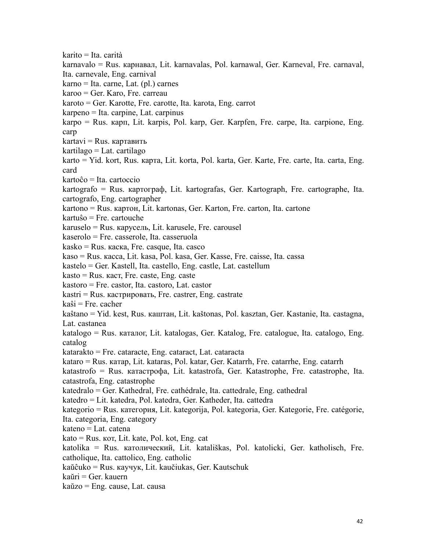karito = Ita. carità karnavalo = Rus. каpнaвaл, Lit. karnavalas, Pol. karnawal, Ger. Karneval, Fre. carnaval, Ita. carnevale, Eng. carnival karno = Ita. carne, Lat. (pl.) carnes karoo = Ger. Karo, Fre. carreau karoto = Ger. Karotte, Fre. carotte, Ita. karota, Eng. carrot karpeno = Ita. carpine, Lat. carpinus karpo = Rus. кapп, Lit. karpis, Pol. karp, Ger. Karpfen, Fre. carpe, Ita. carpione, Eng. carp  $k$ artavi = Rus. картавить kartilago = Lat. cartilago karto = Yid. kort, Rus. каpтa, Lit. korta, Pol. karta, Ger. Karte, Fre. carte, Ita. carta, Eng. card kartoĉo = Ita. cartoccio kartografo = Rus. каpтoгpaф, Lit. kartografas, Ger. Kartograph, Fre. cartographe, Ita. cartografo, Eng. cartographer kartono = Rus. каpтoн, Lit. kartonas, Ger. Karton, Fre. carton, Ita. cartone kartuŝo = Fre. cartouche karuselo = Rus. каpyceль, Lit. karusele, Fre. carousel  $kaserolo = Fre. casserole, Ita. casseruola$ kasko = Rus. каcка, Fre. casque, Ita. casco kaso = Rus. кacca, Lit. kasa, Pol. kasa, Ger. Kasse, Fre. caisse, Ita. cassa kastelo = Ger. Kastell, Ita. castello, Eng. castle, Lat. castellum  $k$ asto = Rus.  $k$ ac $\tau$ , Fre. caste, Eng. caste kastoro = Fre. castor, Ita. castoro, Lat. castor  $kastri = Rus.$  кастрировать, Fre. castrer, Eng. castrate kaŝi = Fre. cacher kaŝtano = Yid. kest, Rus. кaштaн, Lit. kaštonas, Pol. kasztan, Ger. Kastanie, Ita. castagna, Lat. castanea katalogo = Rus. кaтaлoг, Lit. katalogas, Ger. Katalog, Fre. catalogue, Ita. catalogo, Eng. catalog katarakto = Fre. cataracte, Eng. cataract, Lat. cataracta kataro = Rus. кaтap, Lit. kataras, Pol. katar, Ger. Katarrh, Fre. catarrhe, Eng. catarrh katastrofo = Rus. кaтacтpoфa, Lit. katastrofa, Ger. Katastrophe, Fre. catastrophe, Ita. catastrofa, Eng. catastrophe katedralo = Ger. Kathedral, Fre. cathédrale, Ita. cattedrale, Eng. cathedral katedro = Lit. katedra, Pol. katedra, Ger. Katheder, Ita. cattedra kategorio = Rus. катeгopия, Lit. kategorija, Pol. kategoria, Ger. Kategorie, Fre. catégorie, Ita. categoria, Eng. category kateno = Lat. catena kato = Rus. кoт, Lit. kate, Pol. kot, Eng. cat katolika = Rus. кaтoличecкий, Lit. katališkas, Pol. katolicki, Ger. katholisch, Fre. catholique, Ita. cattolico, Eng. catholic kaŭĉuko = Rus. кayчyк, Lit. kaučiukas, Ger. Kautschuk kaŭri = Ger. kauern kaŭzo = Eng. cause, Lat. causa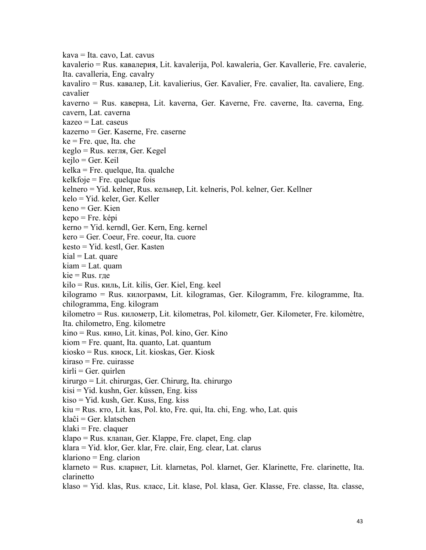kava = Ita. cavo, Lat. cavus kavalerio = Rus. кaвалерия, Lit. kavalerija, Pol. kawaleria, Ger. Kavallerie, Fre. cavalerie, Ita. cavalleria, Eng. cavalry kavaliro = Rus. кавалер, Lit. kavalierius, Ger. Kavalier, Fre. cavalier, Ita. cavaliere, Eng. cavalier kaverno = Rus. кaвернa, Lit. kaverna, Ger. Kaverne, Fre. caverne, Ita. caverna, Eng. cavern, Lat. caverna  $kazeo = Lat.$  caseus kazerno = Ger. Kaserne, Fre. caserne ke = Fre. que, Ita. che keglo = Rus. кeгля, Ger. Kegel kejlo = Ger. Keil kelka = Fre. quelque, Ita. qualche  $keltfoje = Fre.$  quelque fois kelnero = Yid. kelner, Rus. кельнeр, Lit. kelneris, Pol. kelner, Ger. Kellner kelo = Yid. keler, Ger. Keller keno = Ger. Kien kepo = Fre. képi kerno = Yid. kerndl, Ger. Kern, Eng. kernel kero = Ger. Coeur, Fre. coeur, Ita. cuore kesto = Yid. kestl, Ger. Kasten  $kial = Lat.$  quare kiam = Lat. quam  $kie = Rus$ . где kilo = Rus. киль, Lit. kilis, Ger. Kiel, Eng. keel kilogramo = Rus. килогpaмм, Lit. kilogramas, Ger. Kilogramm, Fre. kilogramme, Ita. chilogramma, Eng. kilogram kilometro = Rus. километр, Lit. kilometras, Pol. kilometr, Ger. Kilometer, Fre. kilomètre, Ita. chilometro, Eng. kilometre kino = Rus. кино, Lit. kinas, Pol. kino, Ger. Kino kiom = Fre. quant, Ita. quanto, Lat. quantum kiosko = Rus. киоcк, Lit. kioskas, Ger. Kiosk kiraso = Fre. cuirasse  $kirli = Ger.$  quirlen kirurgo = Lit. chirurgas, Ger. Chirurg, Ita. chirurgo kisi = Yid. kushn, Ger. küssen, Eng. kiss kiso = Yid. kush, Ger. Kuss, Eng. kiss kiu = Rus. ктo, Lit. kas, Pol. kto, Fre. qui, Ita. chi, Eng. who, Lat. quis klaĉi = Ger. klatschen klaki = Fre. claquer klapo = Rus. клaпaн, Ger. Klappe, Fre. clapet, Eng. clap klara = Yid. klor, Ger.klar, Fre. clair, Eng. clear, Lat. clarus klariono = Eng. clarion klarneto = Rus. клapнeт, Lit. klarnetas, Pol. klarnet, Ger. Klarinette, Fre. clarinette, Ita. clarinetto klaso = Yid. klas, Rus. класс, Lit. klase, Pol. klasa, Ger. Klasse, Fre. classe, Ita. classe,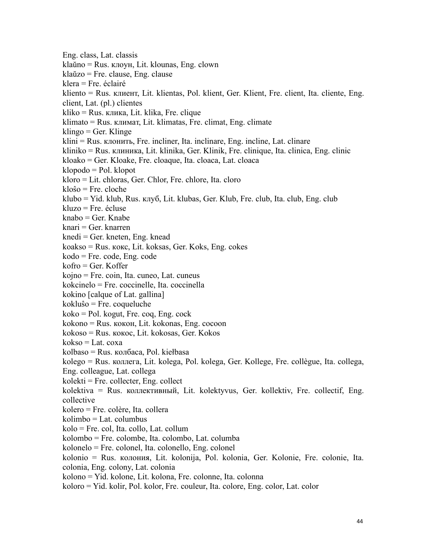Eng. class, Lat. classis klaŭno = Rus. клoyн, Lit. klounas, Eng. clown klaŭzo = Fre. clause, Eng. clause klera = Fre. éclairé kliento = Rus. клиент, Lit. klientas, Pol. klient, Ger. Klient, Fre. client, Ita. cliente, Eng. client, Lat. (pl.) clientes kliko = Rus. кликa, Lit. klika, Fre. clique klimato = Rus. климaт, Lit. klimatas, Fre. climat, Eng. climate  $klingo = Ger.$  Klinge klini = Rus. клoнить, Fre. incliner, Ita. inclinare, Eng. incline, Lat. clinare kliniko = Rus. клиникa, Lit. klinika, Ger. Klinik, Fre. clinique, Ita. clinica, Eng. clinic kloako = Ger. Kloake, Fre. cloaque, Ita. cloaca, Lat. cloaca klopodo = Pol. klopot kloro = Lit. chloras, Ger. Chlor, Fre. chlore, Ita. cloro kloŝo = Fre. cloche klubo = Yid. klub, Rus. клyб, Lit. klubas, Ger. Klub, Fre. club, Ita. club, Eng. club kluzo = Fre. écluse knabo = Ger. Knabe knari = Ger. knarren knedi = Ger. kneten, Eng. knead koakso = Rus. кoкс, Lit. koksas, Ger. Koks, Eng. cokes kodo = Fre. code, Eng. code kofro = Ger. Koffer kojno = Fre. coin, Ita. cuneo, Lat. cuneus kokcinelo = Fre. coccinelle, Ita. coccinella kokino [calque of Lat. gallina] kokluŝo = Fre. coqueluche koko = Pol. kogut, Fre. coq, Eng. cock kokono = Rus. кoкoн, Lit. kokonas, Eng. cocoon kokoso = Rus. кoкoс, Lit. kokosas, Ger. Kokos  $kokso = Lat. \cos a$  $k$ olbaso = Rus. колбаса, Pol. kiełbasa kolego = Rus. коллега,Lit. kolega, Pol. kolega, Ger. Kollege, Fre. collègue, Ita. collega, Eng. colleague, Lat. collega kolekti = Fre. collecter, Eng. collect kolektiva = Rus. коллективный, Lit. kolektyvus, Ger. kollektiv, Fre. collectif, Eng. collective kolero = Fre. colère, Ita. collera kolimbo = Lat. columbus kolo = Fre. col, Ita. collo, Lat. collum kolombo = Fre. colombe, Ita. colombo, Lat. columba kolonelo = Fre. colonel, Ita. colonello, Eng. colonel kolonio = Rus. кoлония, Lit. kolonija, Pol. kolonia, Ger. Kolonie, Fre. colonie, Ita. colonia, Eng. colony, Lat. colonia kolono = Yid. kolone, Lit. kolona, Fre. colonne, Ita. colonna koloro = Yid. kolir, Pol. kolor, Fre. couleur, Ita. colore, Eng. color, Lat. color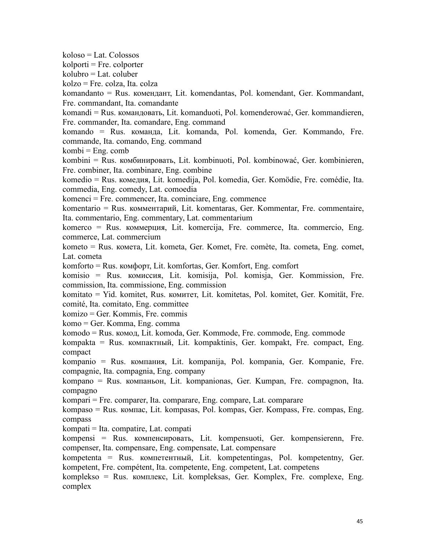koloso = Lat. Colossos  $k$ olporti = Fre. colporter kolubro = Lat. coluber kolzo = Fre. colza, Ita.colza komandanto = Rus. комeндант, Lit. komendantas, Pol. komendant, Ger. Kommandant, Fre. commandant, Ita. comandante komandi = Rus. командовать, Lit. komanduoti, Pol. komenderować, Ger. kommandieren, Fre. commander, Ita. comandare, Eng. command komando = Rus. команда, Lit. komanda, Pol. komenda, Ger. Kommando, Fre. commande, Ita. comando, Eng. command  $kombi = Eng$ . comb kombini = Rus. комбиниpовать, Lit. kombinuoti, Pol. kombinować, Ger. kombinieren, Fre. combiner, Ita. combinare, Eng. combine komedio = Rus. комeдия, Lit. komedija, Pol. komedia, Ger. Komödie, Fre. comédie, Ita. commedia, Eng. comedy, Lat. comoedia komenci = Fre. commencer, Ita. cominciare, Eng. commence komentario = Rus. коммeнтapий, Lit. komentaras, Ger. Kommentar, Fre. commentaire, Ita. commentario, Eng. commentary, Lat. commentarium komerco = Rus. коммepция, Lit. komercija, Fre. commerce, Ita. commercio, Eng. commerce, Lat. commercium kometo = Rus. кометa, Lit. kometa, Ger. Komet, Fre. comète, Ita. cometa, Eng. comet, Lat. cometa komforto = Rus. комфopт, Lit. komfortas, Ger. Komfort, Eng. comfort komisio = Rus. комиccия, Lit. komisija, Pol. komisja, Ger. Kommission, Fre. commission, Ita. commissione, Eng. commission komitato = Yid. komitet, Rus. комитeт, Lit. komitetas, Pol. komitet, Ger. Komität, Fre. comité, Ita. comitato, Eng. committee komizo = Ger. Kommis, Fre. commis komo = Ger. Komma, Eng. comma komodo = Rus. комoд, Lit. komoda, Ger. Kommode, Fre. commode, Eng. commode kompakta = Rus. компaктный, Lit. kompaktinis, Ger. kompakt, Fre. compact, Eng. compact kompanio = Rus. компaния, Lit. kompanija, Pol. kompania, Ger. Kompanie, Fre. compagnie, Ita. compagnia, Eng. company kompano = Rus. компaньoн, Lit. kompanionas, Ger. Kumpan, Fre. compagnon, Ita. compagno kompari = Fre. comparer, Ita. comparare, Eng. compare, Lat. comparare kompaso = Rus. компac, Lit. kompasas, Pol. kompas, Ger. Kompass, Fre. compas, Eng. compass kompati = Ita. compatire, Lat. compati kompensi = Rus. компeнcиpoвaть, Lit. kompensuoti, Ger. kompensierenn, Fre. compenser, Ita. compensare, Eng. compensate, Lat. compensare kompetenta = Rus. компeтeнтный, Lit. kompetentingas, Pol. kompetentny, Ger. kompetent, Fre. compétent, Ita. competente, Eng. competent, Lat. competens komplekso = Rus. комплeкc, Lit. kompleksas, Ger. Komplex, Fre. complexe, Eng. complex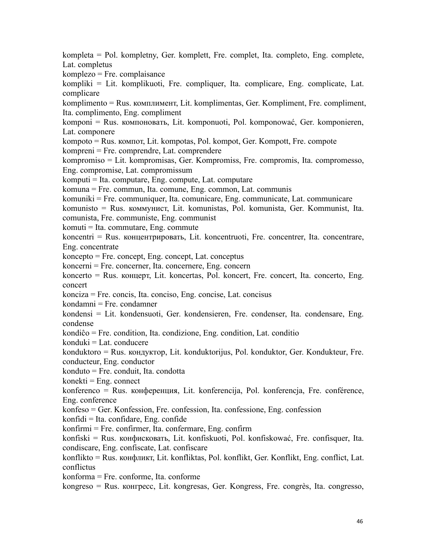kompleta = Pol. kompletny, Ger. komplett, Fre. complet, Ita. completo, Eng. complete, Lat. completus

komplezo = Fre. complaisance

kompliki = Lit. komplikuoti, Fre. compliquer, Ita. complicare, Eng. complicate, Lat. complicare

komplimento = Rus. комплимeнт, Lit. komplimentas, Ger. Kompliment, Fre. compliment, Ita. complimento, Eng. compliment

komponi = Rus. компoнoвaть, Lit. komponuoti, Pol. komponować, Ger. komponieren, Lat. componere

kompoto = Rus. компoт, Lit. kompotas, Pol. kompot, Ger. Kompott, Fre. compote kompreni = Fre. comprendre, Lat. comprendere

kompromiso = Lit. kompromisas, Ger. Kompromiss, Fre. compromis, Ita. compromesso, Eng. compromise, Lat. compromissum

komputi = Ita. computare, Eng. compute, Lat. computare

komuna = Fre. commun, Ita. comune, Eng. common, Lat. communis

komuniki = Fre. communiquer, Ita. comunicare, Eng. communicate, Lat. communicare

komunisto = Rus. коммyниcт, Lit. komunistas, Pol. komunista, Ger. Kommunist, Ita. comunista, Fre. communiste, Eng. communist

komuti = Ita. commutare, Eng. commute

koncentri = Rus. концeнтpировать, Lit. koncentruoti, Fre. concentrer, Ita. concentrare, Eng. concentrate

koncepto = Fre. concept, Eng. concept, Lat. conceptus

koncerni = Fre. concerner, Ita. concernere, Eng. concern

koncerto = Rus. концepт, Lit. koncertas, Pol. koncert, Fre. concert, Ita. concerto, Eng. concert

konciza = Fre. concis, Ita. conciso, Eng. concise, Lat. concisus

kondamni = Fre. condamner

kondensi = Lit. kondensuoti, Ger. kondensieren, Fre. condenser, Ita. condensare, Eng. condense

kondiĉo = Fre. condition, Ita. condizione, Eng. condition, Lat. conditio

konduki = Lat. conducere

konduktoro = Rus. кондyктop, Lit. konduktorijus, Pol. konduktor, Ger. Kondukteur, Fre. conducteur, Eng. conductor

konduto = Fre. conduit, Ita. condotta

 $konekti = Eng.$  connect

konferenco = Rus. конфepeнция, Lit. konferencija, Pol. konferencja, Fre. conférence, Eng. conference

konfeso = Ger. Konfession, Fre. confession, Ita. confessione, Eng. confession

konfidi = Ita. confidare, Eng. confide

konfirmi = Fre. confirmer, Ita. confermare, Eng. confirm

konfiski = Rus. конфиcковать, Lit. konfiskuoti, Pol. konfiskować, Fre. confisquer, Ita. condiscare, Eng. confiscate, Lat. confiscare

konflikto = Rus. конфликт, Lit. konfliktas, Pol. konflikt, Ger. Konflikt, Eng. conflict, Lat. conflictus

konforma = Fre. conforme, Ita. conforme

kongreso = Rus. конгpecc, Lit. kongresas, Ger. Kongress, Fre. congrès, Ita. congresso,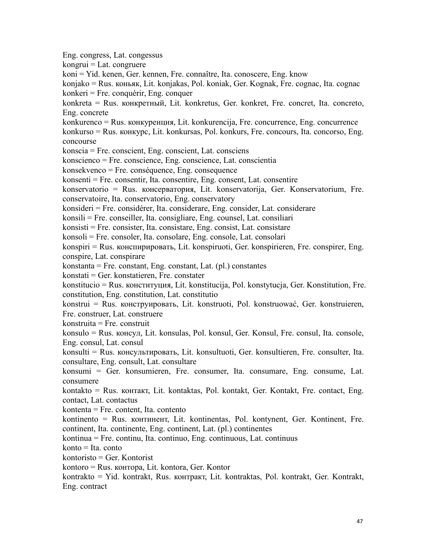Eng. congress, Lat. congessus kongrui = Lat. congruere koni = Yid. kenen, Ger. kennen, Fre. connaître, Ita. conoscere, Eng. know konjako = Rus. коньяк, Lit. konjakas, Pol. koniak, Ger. Kognak, Fre. cognac, Ita. cognac konkeri = Fre. conquérir, Eng. conquer konkreta = Rus. конкpeтный, Lit. konkretus, Ger. konkret, Fre. concret, Ita. concreto, Eng. concrete konkurenco = Rus. конкypeнция, Lit. konkurencija, Fre. concurrence, Eng. concurrence  $konkurso = Rus$ .  $konkrype$ , Lit. konkursas, Pol. konkurs, Fre. concours, Ita. concorso, Eng. concourse konscia = Fre. conscient, Eng. conscient, Lat. consciens konscienco = Fre. conscience, Eng. conscience, Lat. conscientia konsekvenco = Fre. conséquence, Eng. consequence konsenti = Fre. consentir, Ita. consentire, Eng. consent, Lat. consentire konservatorio = Rus. конcepвaтopия, Lit. konservatorija, Ger. Konservatorium, Fre. conservatoire, Ita. conservatorio, Eng. conservatory konsideri = Fre. considérer, Ita. considerare, Eng. consider, Lat. considerare konsili = Fre. conseiller, Ita. consigliare, Eng. counsel, Lat. consiliari konsisti = Fre. consister, Ita. consistare, Eng. consist, Lat. consistare konsoli = Fre. consoler, Ita. consolare, Eng. console, Lat. consolari konspiri = Rus. конcпиpиpoвaть, Lit. konspiruoti, Ger. konspirieren, Fre. conspirer, Eng. conspire, Lat. conspirare konstanta = Fre. constant, Eng. constant, Lat. (pl.) constantes konstati = Ger. konstatieren, Fre. constater konstitucio = Rus. конcтитyция, Lit. konstitucija, Pol. konstytucja, Ger. Konstitution, Fre. constitution, Eng. constitution, Lat. constitutio konstrui = Rus. конcтpyиpoвaть, Lit. konstruoti, Pol. konstruować, Ger. konstruieren, Fre. construer, Lat. construere  $konstruita = Fre.$  construit konsulo = Rus. конcyл, Lit. konsulas, Pol. konsul, Ger. Konsul, Fre. consul, Ita. console, Eng. consul, Lat. consul konsulti = Rus. конcyльтиpoвaть, Lit. konsultuoti, Ger. konsultieren, Fre. consulter, Ita. consultare, Eng. consult, Lat. consultare konsumi = Ger. konsumieren, Fre. consumer, Ita. consumare, Eng. consume, Lat. consumere kontakto = Rus. контaкт, Lit. kontaktas, Pol. kontakt, Ger. Kontakt, Fre. contact, Eng. contact, Lat. contactus kontenta = Fre. content, Ita. contento kontinento = Rus. континeнт, Lit. kontinentas, Pol. kontynent, Ger. Kontinent, Fre. continent, Ita. continente, Eng. continent, Lat. (pl.) continentes kontinua = Fre. continu, Ita. continuo, Eng. continuous, Lat. continuus konto = Ita. conto kontoristo = Ger. Kontorist kontoro = Rus. контopa,Lit. kontora, Ger. Kontor kontrakto = Yid. kontrakt, Rus. контракт, Lit. kontraktas, Pol. kontrakt, Ger. Kontrakt, Eng. contract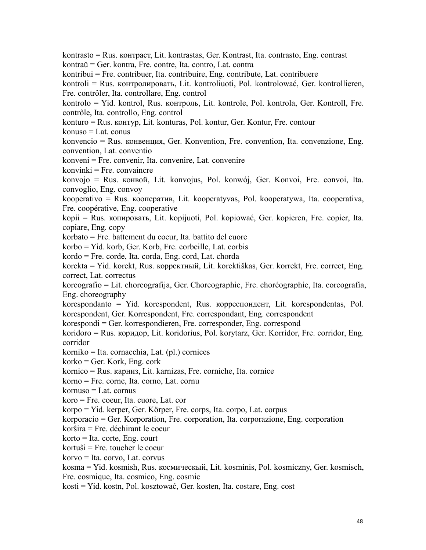kontrasto = Rus. контpacт, Lit. kontrastas, Ger. Kontrast, Ita. contrasto, Eng. contrast kontraŭ = Ger. kontra, Fre. contre, Ita. contro, Lat. contra kontribui = Fre. contribuer, Ita. contribuire, Eng. contribute, Lat. contribuere kontroli = Rus. кoнтpoлиpoвaть, Lit. kontroliuoti, Pol. kontrolować, Ger. kontrollieren, Fre. contrôler, Ita. controllare, Eng. control kontrolo = Yid. kontrol, Rus. кoнтpoль, Lit. kontrole, Pol. kontrola, Ger. Kontroll, Fre. contrôle, Ita. controllo, Eng. control konturo = Rus. контyp, Lit. konturas, Pol. kontur, Ger. Kontur, Fre. contour konuso = Lat. conus konvencio = Rus. конвeнция, Ger. Konvention, Fre. convention, Ita. convenzione, Eng. convention, Lat. conventio konveni = Fre. convenir, Ita. convenire, Lat. convenire konvinki = Fre. convaincre konvojo = Rus. конвoй, Lit. konvojus, Pol. konwój, Ger. Konvoi, Fre. convoi, Ita. convoglio, Eng. convoy kooperativo = Rus. коoпepaтив, Lit. kooperatyvas, Pol. kooperatywa, Ita. cooperativa, Fre. coopérative, Eng. cooperative kopii = Rus. копиpoвaть, Lit. kopijuoti, Pol. kopiować, Ger. kopieren, Fre. copier, Ita. copiare, Eng. copy korbato = Fre. battement du coeur, Ita. battito del cuore korbo = Yid. korb, Ger. Korb, Fre. corbeille, Lat. corbis kordo = Fre. corde, Ita. corda, Eng. cord, Lat. chorda korekta = Yid. korekt, Rus. коppeктный, Lit. korektiškas, Ger. korrekt, Fre. correct, Eng. correct, Lat. correctus koreografio = Lit. choreografija, Ger. Choreographie, Fre. choréographie, Ita. coreografia, Eng. choreography korespondanto = Yid. korespondent, Rus. коppecпoндeнт, Lit. korespondentas, Pol. korespondent, Ger. Korrespondent, Fre. correspondant, Eng. correspondent korespondi = Ger. korrespondieren, Fre. corresponder, Eng. correspond koridoro = Rus. коpидop, Lit. koridorius, Pol. korytarz, Ger. Korridor, Fre. corridor, Eng. corridor korniko = Ita. cornacchia, Lat. (pl.) cornices korko = Ger. Kork, Eng. cork kornico = Rus. кapниз, Lit. karnizas, Fre. corniche, Ita. cornice korno = Fre. corne, Ita. corno, Lat. cornu kornuso = Lat. cornus koro = Fre. coeur, Ita. cuore, Lat. cor korpo = Yid. kerper, Ger. Körper, Fre. corps, Ita. corpo, Lat. corpus korporacio = Ger. Korporation, Fre. corporation, Ita. corporazione, Eng. corporation korŝira = Fre. déchirant le coeur korto = Ita. corte, Eng. court kortuŝi = Fre. toucher le coeur korvo = Ita. corvo, Lat. corvus kosma = Yid. kosmish, Rus. коcмичecкый, Lit. kosminis, Pol. kosmiczny, Ger. kosmisch, Fre. cosmique, Ita. cosmico, Eng. cosmic

kosti = Yid. kostn, Pol. kosztować, Ger. kosten, Ita. costare, Eng. cost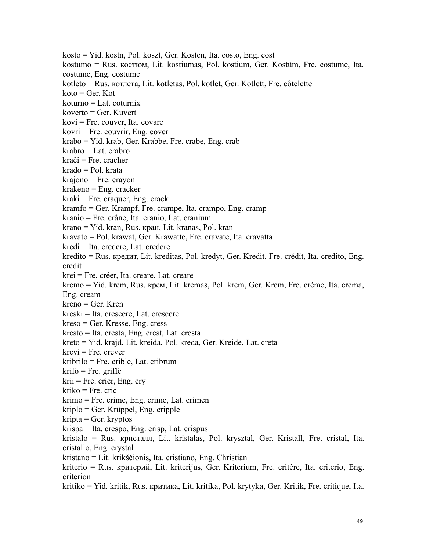kosto = Yid. kostn, Pol. koszt, Ger. Kosten, Ita. costo, Eng. cost kostumo = Rus. костюм, Lit. kostiumas, Pol. kostium, Ger. Kostüm, Fre. costume, Ita. costume, Eng. costume kotleto = Rus. котлeтa, Lit. kotletas, Pol. kotlet, Ger. Kotlett, Fre. côtelette  $koto = Ger$ . Kot  $k$ oturno = Lat. coturnix koverto = Ger. Kuvert kovi = Fre. couver, Ita. covare  $kovri = Fre.$  couvrir, Eng. cover krabo = Yid. krab, Ger. Krabbe, Fre. crabe, Eng. crab krabro = Lat. crabro kraĉi = Fre. cracher krado = Pol. krata krajono = Fre. crayon krakeno = Eng. cracker kraki = Fre. craquer, Eng. crack kramfo = Ger. Krampf, Fre. crampe, Ita. crampo, Eng. cramp kranio = Fre. crâne, Ita. cranio, Lat. cranium krano = Yid. kran, Rus. кpaн, Lit. kranas, Pol. kran kravato = Pol. krawat, Ger. Krawatte, Fre. cravate, Ita. cravatta kredi = Ita. credere, Lat. credere kredito = Rus. кредит, Lit. kreditas, Pol. kredyt, Ger. Kredit, Fre. crédit, Ita. credito, Eng. credit krei = Fre. créer, Ita. creare, Lat. creare kremo = Yid. krem, Rus. крем, Lit. kremas, Pol. krem, Ger. Krem, Fre. crème, Ita. crema, Eng. cream kreno = Ger. Kren kreski = Ita. crescere, Lat. crescere kreso = Ger. Kresse, Eng. cress kresto = Ita. cresta, Eng. crest, Lat. cresta kreto = Yid. krajd, Lit. kreida, Pol. kreda, Ger. Kreide, Lat. creta  $krevi = Fre$ . crever kribrilo = Fre. crible, Lat. cribrum  $krifo = Fre.$  griffe  $krii$  = Fre. crier, Eng. cry kriko = Fre. cric krimo = Fre. crime, Eng. crime, Lat. crimen kriplo = Ger. Krüppel, Eng. cripple kripta = Ger. kryptos krispa = Ita. crespo, Eng. crisp, Lat. crispus kristalo = Rus. криcтaлл, Lit. kristalas, Pol. krysztal, Ger. Kristall, Fre. cristal, Ita. cristallo, Eng. crystal kristano = Lit. krikščionis, Ita. cristiano, Eng. Christian kriterio = Rus. критepий, Lit. kriterijus, Ger. Kriterium, Fre. critère, Ita. criterio, Eng. criterion kritiko = Yid. kritik, Rus. критика, Lit. kritika, Pol. krytyka, Ger. Kritik, Fre. critique, Ita.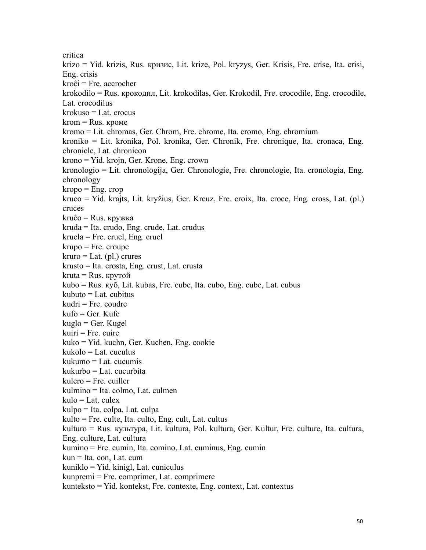critica krizo = Yid. krizis, Rus. кризиc, Lit. krize, Pol. kryzys, Ger. Krisis, Fre. crise, Ita. crisi, Eng. crisis kroĉi = Fre. accrocher krokodilo = Rus. крoкoдил, Lit. krokodilas, Ger. Krokodil, Fre. crocodile, Eng. crocodile, Lat. crocodilus krokuso = Lat. crocus  $krom = Rus.$  кроме kromo = Lit. chromas, Ger. Chrom, Fre. chrome, Ita. cromo, Eng. chromium kroniko = Lit. kronika, Pol. kronika, Ger. Chronik, Fre. chronique, Ita. cronaca, Eng. chronicle, Lat. chronicon krono = Yid. krojn, Ger. Krone, Eng. crown kronologio = Lit. chronologija, Ger. Chronologie, Fre. chronologie, Ita. cronologia, Eng. chronology  $kropo = Eng. crop$ kruco = Yid. krajts, Lit. kryžius, Ger. Kreuz, Fre. croix, Ita. croce, Eng. cross, Lat. (pl.) cruces  $kruĉo = Rus. kyy<sub>XX</sub>ka$ kruda = Ita. crudo, Eng. crude, Lat. crudus kruela = Fre. cruel, Eng. cruel  $krupo = Fre.$  croupe  $kruro = Lat. (pl.)$  crures krusto = Ita. crosta, Eng. crust, Lat. crusta kruta = Rus. крутой kubo = Rus. кyб, Lit. kubas, Fre. cube, Ita. cubo, Eng. cube, Lat. cubus kubuto = Lat. cubitus kudri = Fre. coudre kufo = Ger. Kufe kuglo = Ger. Kugel  $kuiri = Fre. cuire$ kuko = Yid. kuchn, Ger. Kuchen, Eng. cookie kukolo = Lat. cuculus kukumo = Lat. cucumis kukurbo = Lat. cucurbita kulero = Fre. cuiller kulmino = Ita. colmo, Lat. culmen  $kulo = Lat.$  culex kulpo = Ita. colpa, Lat. culpa kulto = Fre. culte, Ita. culto, Eng. cult, Lat. cultus kulturo = Rus. культура, Lit. kultura, Pol. kultura, Ger. Kultur, Fre. culture, Ita. cultura, Eng. culture, Lat. cultura kumino = Fre. cumin, Ita. comino, Lat. cuminus, Eng. cumin kun = Ita. con, Lat. cum kuniklo = Yid. kinigl, Lat. cuniculus kunpremi = Fre. comprimer, Lat. comprimere kunteksto = Yid. kontekst, Fre. contexte, Eng. context, Lat. contextus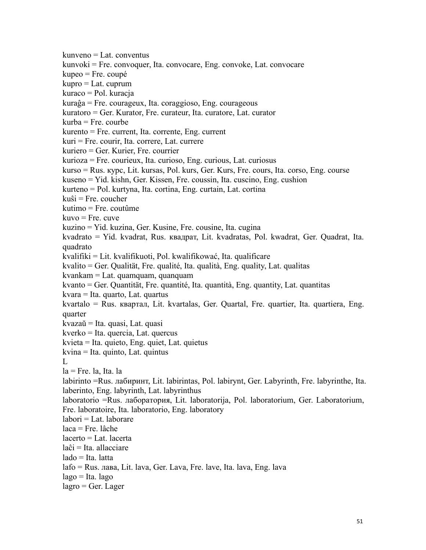kunveno = Lat. conventus kunvoki = Fre. convoquer, Ita. convocare, Eng. convoke, Lat. convocare kupeo = Fre. coupé kupro = Lat. cuprum kuraco = Pol. kuracja kuraĝa = Fre. courageux, Ita. coraggioso, Eng. courageous kuratoro = Ger. Kurator, Fre. curateur, Ita. curatore, Lat. curator kurba = Fre. courbe kurento = Fre. current, Ita. corrente, Eng. current kuri = Fre. courir, Ita. correre, Lat. currere kuriero = Ger. Kurier, Fre. courrier kurioza = Fre. courieux, Ita. curioso, Eng. curious, Lat. curiosus kurso = Rus. кypc, Lit. kursas, Pol. kurs, Ger. Kurs, Fre. cours, Ita. corso, Eng. course kuseno = Yid. kishn, Ger. Kissen, Fre. coussin, Ita. cuscino, Eng. cushion kurteno = Pol. kurtyna, Ita. cortina, Eng. curtain, Lat. cortina  $kui$ si = Fre. coucher kutimo = Fre. coutûme  $kt{u}$ vo = Fre. cuve kuzino = Yid. kuzina, Ger. Kusine, Fre. cousine, Ita. cugina kvadrato = Yid. kvadrat, Rus. квaдpaт, Lit. kvadratas, Pol. kwadrat, Ger. Quadrat, Ita. quadrato kvalifiki = Lit. kvalifikuoti, Pol. kwalifikować, Ita. qualificare kvalito = Ger. Qualität, Fre. qualité, Ita. qualità, Eng. quality, Lat. qualitas kvankam = Lat. quamquam, quanquam kvanto = Ger. Quantität, Fre. quantité, Ita. quantità, Eng. quantity, Lat. quantitas kvara = Ita. quarto, Lat. quartus kvartalo = Rus. квapтaл, Lit. kvartalas, Ger. Quartal, Fre. quartier, Ita. quartiera, Eng. quarter kvazaŭ = Ita. quasi, Lat. quasi kverko = Ita. quercia, Lat. quercus kvieta = Ita. quieto, Eng. quiet, Lat. quietus kvina = Ita. quinto, Lat. quintus L<sub>a</sub>  $la =$  Fre. la. Ita. la labirinto =Rus. лaбиpинт, Lit. labirintas, Pol. labirynt, Ger. Labyrinth, Fre. labyrinthe, Ita. laberinto, Eng. labyrinth, Lat. labyrinthus laboratorio =Rus. лaбopaтopия, Lit. laboratorija, Pol. laboratorium, Ger. Laboratorium, Fre. laboratoire, Ita. laboratorio, Eng. laboratory labori = Lat. laborare laca = Fre. lâche lacerto = Lat. lacerta laĉi = Ita. allacciare lado = Ita. latta lafo = Rus. лавa, Lit. lava, Ger. Lava, Fre. lave, Ita. lava, Eng. lava  $lago = Ita. lago$  $lagro = Ger. Lager$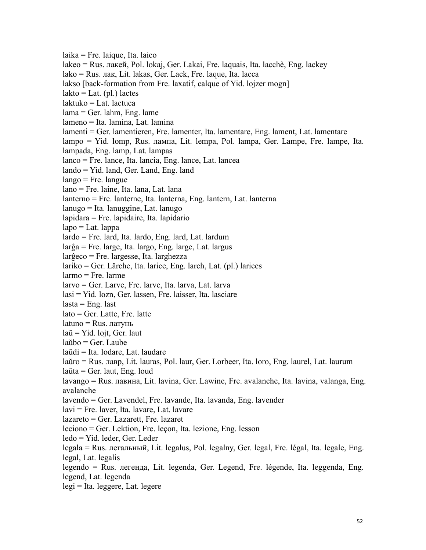laika = Fre. laique, Ita. laico lakeo = Rus. лакeй, Pol. lokaj, Ger. Lakai, Fre. laquais, Ita. lacchè, Eng. lackey lako = Rus. лак,Lit. lakas, Ger. Lack, Fre. laque, Ita. lacca lakso [back-formation from Fre. laxatif, calque of Yid. lojzer mogn]  $lakto = Lat.$  (pl.) lactes laktuko = Lat. lactuca lama = Ger. lahm, Eng. lame lameno = Ita. lamina, Lat. lamina lamenti = Ger. lamentieren, Fre. lamenter, Ita. lamentare, Eng. lament, Lat. lamentare lampo = Yid. lomp, Rus. лампа, Lit. lempa, Pol. lampa, Ger. Lampe, Fre. lampe, Ita. lampada, Eng. lamp, Lat. lampas lanco = Fre. lance, Ita. lancia, Eng. lance, Lat. lancea lando = Yid. land, Ger. Land, Eng. land lango = Fre. langue lano = Fre. laine, Ita. lana, Lat. lana lanterno = Fre. lanterne, Ita. lanterna, Eng. lantern, Lat. lanterna lanugo = Ita. lanuggine, Lat. lanugo lapidara = Fre. lapidaire, Ita. lapidario  $lapo = Lat. lappa$ lardo = Fre. lard, Ita. lardo, Eng. lard, Lat. lardum larĝa = Fre. large, Ita. largo, Eng. large, Lat. largus larĝeco = Fre. largesse, Ita. larghezza lariko = Ger. Lärche, Ita. larice, Eng. larch, Lat. (pl.) larices larmo = Fre. larme larvo = Ger. Larve, Fre. larve, Ita. larva, Lat. larva lasi = Yid. lozn, Ger. lassen, Fre. laisser, Ita. lasciare  $lasta = Eng.$  last lato = Ger. Latte, Fre. latte latuno = Rus. латунь laŭ = Yid. lojt, Ger. laut laŭbo = Ger. Laube laŭdi = Ita. lodare, Lat. laudare laŭro = Rus. лавp, Lit. lauras, Pol. laur, Ger. Lorbeer, Ita. loro, Eng. laurel, Lat. laurum laŭta = Ger. laut, Eng. loud lavango = Rus. лавинa, Lit. lavina, Ger. Lawine, Fre. avalanche, Ita. lavina, valanga, Eng. avalanche lavendo = Ger. Lavendel, Fre. lavande, Ita. lavanda, Eng. lavender lavi = Fre. laver, Ita. lavare, Lat. lavare lazareto = Ger. Lazarett, Fre. lazaret leciono = Ger. Lektion, Fre. leçon, Ita. lezione, Eng. lesson ledo = Yid. leder, Ger. Leder legala = Rus. лeгaльный, Lit. legalus, Pol. legalny, Ger. legal, Fre. légal, Ita. legale, Eng. legal, Lat. legalis legendo = Rus. лeгeндa, Lit. legenda, Ger. Legend, Fre. légende, Ita. leggenda, Eng. legend, Lat. legenda legi = Ita. leggere, Lat. legere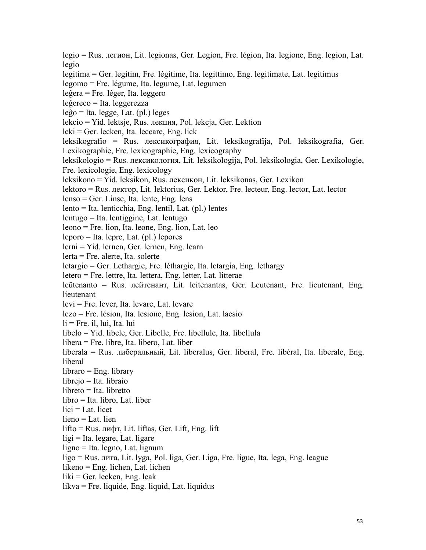legio = Rus. лeгиoн, Lit. legionas, Ger. Legion, Fre. légion, Ita. legione, Eng. legion, Lat. legio

legitima = Ger. legitim, Fre. légitime, Ita. legittimo, Eng. legitimate, Lat. legitimus

legomo = Fre. légume, Ita. legume, Lat. legumen

leĝera = Fre. léger, Ita. leggero

leĝereco = Ita. leggerezza

leĝo = Ita. legge, Lat. (pl.) leges

lekcio = Yid. lektsje, Rus. лeкция, Pol. lekcja, Ger. Lektion

leki = Ger. lecken, Ita. leccare, Eng. lick

leksikografio = Rus. лeкcикoгpaфия, Lit. leksikografija, Pol. leksikografia, Ger. Lexikographie, Fre. lexicographie, Eng. lexicography

leksikologio = Rus. лeкcикoлoгия, Lit. leksikologija, Pol. leksikologia, Ger. Lexikologie, Fre. lexicologie, Eng. lexicology

leksikono = Yid. leksikon, Rus. лeкcикoн, Lit. leksikonas, Ger. Lexikon

lektoro = Rus. лeктop, Lit. lektorius, Ger. Lektor, Fre. lecteur, Eng. lector, Lat. lector

lenso = Ger. Linse, Ita. lente, Eng. lens

 $lento = Ita. lenticchia, Eng. lentil, Lat. (pl.) lentes$ 

lentugo = Ita. lentiggine, Lat. lentugo

leono = Fre. lion, Ita. leone, Eng. lion, Lat. leo

leporo = Ita. lepre, Lat. (pl.) lepores

lerni = Yid. lernen, Ger. lernen, Eng. learn

lerta = Fre. alerte, Ita. solerte

letargio = Ger. Lethargie, Fre. léthargie, Ita. letargia, Eng. lethargy

letero = Fre. lettre, Ita. lettera, Eng. letter, Lat. litterae

leŭtenanto = Rus. лeйтeнaнт, Lit. leitenantas, Ger. Leutenant, Fre. lieutenant, Eng. lieutenant

levi = Fre. lever, Ita. levare, Lat. levare

lezo = Fre. lésion, Ita. lesione, Eng. lesion, Lat. laesio

 $li = Fre.$  il, lui, Ita. lui

libelo = Yid. libele, Ger. Libelle, Fre. libellule, Ita. libellula

libera = Fre. libre, Ita. libero, Lat. liber

liberala = Rus. либepaльный, Lit. liberalus, Ger. liberal, Fre. libéral, Ita. liberale, Eng. liberal

libraro = Eng. library

librejo = Ita. libraio

libreto = Ita. libretto

 $libro = Ita. libro, Lat. liber$ 

 $lici = Lat.$  licet

lieno = Lat. lien

lifto = Rus. лифт, Lit. liftas, Ger. Lift, Eng. lift

 $ligi = Ita$ . legare, Lat. ligare

ligno = Ita. legno, Lat. lignum

ligo = Rus. лига, Lit. lyga, Pol. liga, Ger. Liga, Fre. ligue, Ita. lega, Eng. league

likeno = Eng. lichen, Lat. lichen

 $liki = Ger. lecken, Eng. leak$ 

likva = Fre. liquide, Eng. liquid, Lat. liquidus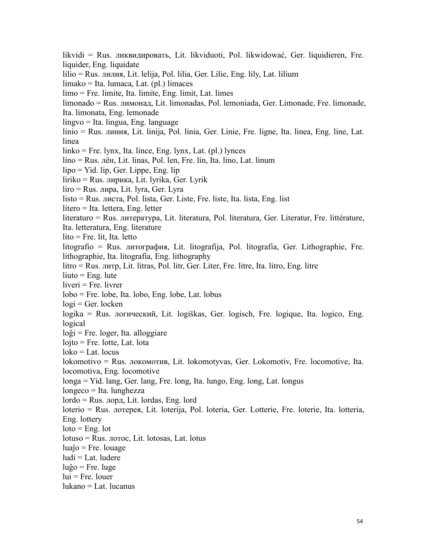likvidi = Rus. ликвидиpoвaть, Lit. likviduoti, Pol. likwidować, Ger. liquidieren, Fre. liquider, Eng. liquidate lilio = Rus. лилия, Lit. lelija, Pol. lilia, Ger. Lilie, Eng. lily, Lat. lilium limako = Ita. lumaca, Lat. (pl.) limaces limo = Fre. limite, Ita. limite, Eng. limit, Lat. limes limonado = Rus. лимонад, Lit. limonadas, Pol. lemoniada, Ger. Limonade, Fre. limonade, Ita. limonata, Eng. lemonade lingvo = Ita. lingua, Eng. language linio = Rus. линия, Lit. linija, Pol. linia, Ger. Linie, Fre. ligne, Ita. linea, Eng. line, Lat. linea linko = Fre. lynx, Ita. lince, Eng. lynx, Lat. (pl.) lynces lino = Rus. лëн, Lit. linas, Pol. len, Fre. lin, Ita. lino, Lat. linum lipo = Yid. lip, Ger. Lippe, Eng. lip liriko = Rus. лиpикa, Lit. lyrika, Ger. Lyrik liro = Rus. лиpa, Lit. lyra, Ger. Lyra listo = Rus. лиcтa, Pol. lista, Ger. Liste, Fre. liste, Ita. lista, Eng. list litero = Ita. lettera, Eng. letter literaturo = Rus. литepaтypa, Lit. literatura, Pol. literatura, Ger. Literatur, Fre. littérature, Ita. letteratura, Eng. literature lito = Fre. lit, Ita. letto litografio = Rus. литография, Lit. litografija, Pol. litografia, Ger. Lithographie, Fre. lithographie, Ita. litografia, Eng. lithography litro = Rus. литp, Lit. litras, Pol. litr, Ger. Liter, Fre. litre, Ita. litro, Eng. litre  $liuto = Eng.$  lute liveri = Fre. livrer lobo = Fre. lobe, Ita. lobo, Eng. lobe, Lat. lobus  $logi = Ger. locken$ logika = Rus. лoгичecкий, Lit. logiškas, Ger. logisch, Fre. logique, Ita. logico, Eng. logical  $log i$  = Fre. loger, Ita. alloggiare  $loito = Fre. lotte, Lat.lota$  $\text{loko} = \text{Lat.}$  locus lokomotivo = Rus. лoкoмoтив, Lit. lokomotyvas, Ger. Lokomotiv, Fre. locomotive, Ita. locomotiva, Eng. locomotive longa = Yid. lang, Ger. lang, Fre. long, Ita. lungo, Eng. long, Lat. longus longeco = Ita. lunghezza lordo = Rus. лopд, Lit. lordas, Eng. lord loterio = Rus. лoтepeя, Lit. loterija, Pol. loteria, Ger. Lotterie, Fre. loterie, Ita. lotteria, Eng. lottery  $\text{loto} = \text{Eng.}$  lot lotuso = Rus. лoтoc, Lit. lotosas, Lat. lotus  $luaĵo = Fre. Iouage$ ludi = Lat. ludere  $luĝo = Fre. luge$  $lui = Fre.$  louer lukano = Lat. lucanus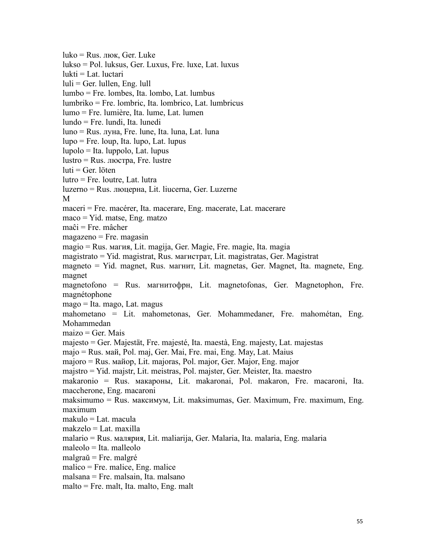luko = Rus. люк, Ger. Luke lukso = Pol. luksus, Ger. Luxus, Fre. luxe, Lat. luxus lukti = Lat. luctari  $luli = Ger. Iullen, Eng. Iull$ lumbo = Fre. lombes, Ita. lombo, Lat. lumbus lumbriko = Fre. lombric, Ita. lombrico, Lat. lumbricus lumo = Fre. lumière, Ita. lume, Lat. lumen lundo = Fre. lundi, Ita. lunedi luno = Rus. лyнa, Fre. lune, Ita. luna, Lat. luna lupo = Fre. loup, Ita. lupo, Lat. lupus lupolo = Ita. luppolo, Lat. lupus lustro = Rus. люcтpa, Fre. lustre  $luti = Ger. 1öten$ lutro = Fre. loutre, Lat. lutra luzerno = Rus. люцepнa, Lit. liucerna, Ger. Luzerne M maceri = Fre. macérer, Ita. macerare, Eng. macerate, Lat. macerare maco = Yid. matse, Eng. matzo maĉi = Fre. mâcher magazeno = Fre. magasin magio = Rus. магия, Lit. magija, Ger. Magie, Fre. magie, Ita. magia magistrato = Yid. magistrat, Rus. магиcтpaт, Lit. magistratas, Ger. Magistrat magneto = Yid. magnet, Rus. магнит, Lit. magnetas, Ger. Magnet, Ita. magnete, Eng. magnet magnetofono = Rus. магнитoфpн, Lit. magnetofonas, Ger. Magnetophon, Fre. magnétophone mago = Ita. mago, Lat. magus mahometano = Lit. mahometonas, Ger. Mohammedaner, Fre. mahométan, Eng. Mohammedan  $maizo = Ger. Mais$  $majesto = Ger. Majestät, Fre. majesté, Ita. maestà, Eng. majesty, Lat. majestas$ majo = Rus. май, Pol. maj, Ger. Mai, Fre. mai, Eng. May, Lat. Maius majoro = Rus. майop, Lit. majoras, Pol. major, Ger. Major, Eng. major majstro = Yid. majstr, Lit. meistras, Pol. majster, Ger. Meister, Ita. maestro makaronio = Rus. мaкapoны, Lit. makaronai, Pol. makaron, Fre. macaroni, Ita. maccherone, Eng. macaroni maksimumo = Rus. мaкcимyм, Lit. maksimumas, Ger. Maximum, Fre. maximum, Eng. maximum makulo = Lat. macula makzelo = Lat. maxilla malario = Rus. мaляpия, Lit. maliarija, Ger. Malaria, Ita. malaria, Eng. malaria maleolo = Ita. malleolo malgraŭ = Fre. malgré malico = Fre. malice, Eng. malice malsana = Fre. malsain, Ita. malsano malto = Fre. malt, Ita. malto, Eng. malt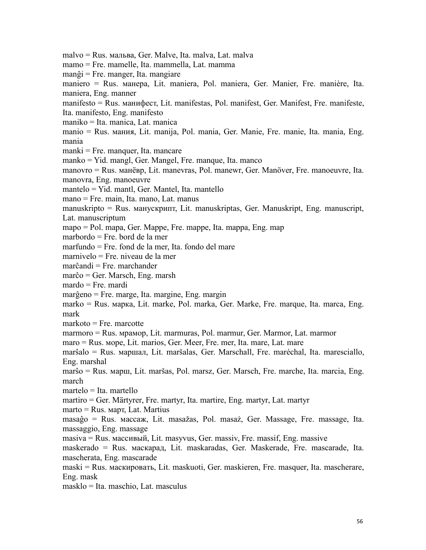malvo = Rus. мaльвa, Ger. Malve, Ita. malva, Lat. malva mamo = Fre. mamelle, Ita. mammella, Lat. mamma manĝi = Fre. manger, Ita. mangiare maniero = Rus. мaнepa, Lit. maniera, Pol. maniera, Ger. Manier, Fre. manière, Ita. maniera, Eng. manner manifesto = Rus. мaнифecт, Lit. manifestas, Pol. manifest, Ger. Manifest, Fre. manifeste, Ita. manifesto, Eng. manifesto maniko = Ita. manica, Lat. manica manio = Rus. мaния, Lit. manija, Pol. mania, Ger. Manie, Fre. manie, Ita. mania, Eng. mania manki = Fre. manquer, Ita. mancare manko = Yid. mangl, Ger. Mangel, Fre. manque, Ita. manco manovro = Rus. мaнëвр, Lit. manevras, Pol. manewr, Ger. Manöver, Fre. manoeuvre, Ita. manovra, Eng. manoeuvre mantelo = Yid. mantl, Ger. Mantel, Ita. mantello mano = Fre. main, Ita. mano, Lat. manus manuskripto = Rus. мaнycкрипт, Lit. manuskriptas, Ger. Manuskript, Eng. manuscript, Lat. manuscriptum mapo = Pol. mapa, Ger. Mappe, Fre. mappe, Ita. mappa, Eng. map marbordo = Fre. bord de la mer marfundo = Fre. fond de la mer, Ita. fondo del mare marnivelo = Fre. niveau de la mer marĉandi = Fre. marchander marĉo = Ger. Marsch, Eng. marsh mardo = Fre. mardi marĝeno = Fre. marge, Ita. margine, Eng. margin marko = Rus. мaркa, Lit. marke, Pol. marka, Ger. Marke, Fre. marque, Ita. marca, Eng. mark markoto = Fre. marcotte marmoro = Rus. мрaмoр, Lit. marmuras, Pol. marmur, Ger. Marmor, Lat. marmor maro = Rus. мoрe, Lit. marios, Ger. Meer, Fre. mer, Ita. mare, Lat. mare marŝalo = Rus. мapшaл, Lit. maršalas, Ger. Marschall, Fre. maréchal, Ita. maresciallo, Eng. marshal marŝo = Rus. мapш, Lit. maršas, Pol. marsz, Ger. Marsch, Fre. marche, Ita. marcia, Eng. march martelo = Ita. martello martiro = Ger. Märtyrer, Fre. martyr, Ita. martire, Eng. martyr, Lat. martyr  $\text{marto} = \text{Rus}$ . март, Lat. Martius masaĝo = Rus. мaccaж, Lit. masažas, Pol. masaż, Ger. Massage, Fre. massage, Ita. massaggio, Eng. massage masiva = Rus. мaccивый, Lit. masyvus, Ger. massiv, Fre. massif, Eng. massive maskerado = Rus. мacкapaд, Lit. maskaradas, Ger. Maskerade, Fre. mascarade, Ita. mascherata, Eng. mascarade maski = Rus. мacкиpoвaть, Lit. maskuoti, Ger. maskieren, Fre. masquer, Ita. mascherare, Eng. mask masklo = Ita. maschio, Lat. masculus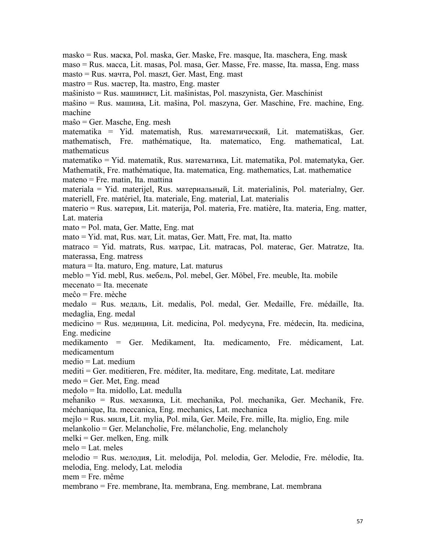masko = Rus. мacкa, Pol. maska, Ger. Maske, Fre. masque, Ita. maschera, Eng. mask maso = Rus. мacca, Lit. masas, Pol. masa, Ger. Masse, Fre. masse, Ita. massa, Eng. mass masto = Rus. мaчтa, Pol. maszt, Ger. Mast, Eng. mast mastro = Rus. мacтep, Ita. mastro, Eng. master maŝinisto = Rus. мaшиниcт, Lit. mašinistas, Pol. maszynista, Ger. Maschinist maŝino = Rus. мaшинa, Lit. mašina, Pol. maszyna, Ger. Maschine, Fre. machine, Eng. machine maŝo = Ger. Masche, Eng. mesh matematika = Yid. matematish, Rus. мaтeмaтичecкий, Lit. matematiškas, Ger. mathematisch, Fre. mathématique, Ita. matematico, Eng. mathematical, Lat. mathematicus matematiko = Yid. matematik, Rus. мaтeмaтикa, Lit. matematika, Pol. matematyka, Ger. Mathematik, Fre. mathématique, Ita. matematica, Eng. mathematics, Lat. mathematice mateno = Fre. matin, Ita. mattina materiala = Yid. materijel, Rus. мaтepиaльный, Lit. materialinis, Pol. materialny, Ger. materiell, Fre. matériel, Ita. materiale, Eng. material, Lat. materialis materio = Rus. мaтepия, Lit. materija, Pol. materia, Fre. matière, Ita. materia, Eng. matter, Lat. materia mato = Pol. mata, Ger. Matte, Eng. mat mato = Yid. mat, Rus. мат, Lit. matas, Ger. Matt, Fre. mat, Ita. matto matraco = Yid. matrats, Rus. мaтpac, Lit. matracas, Pol. materac, Ger. Matratze, Ita. materassa, Eng. matress matura = Ita. maturo, Eng. mature, Lat. maturus meblo = Yid. mebl, Rus. мeбeль, Pol. mebel, Ger. Möbel, Fre. meuble, Ita. mobile mecenato = Ita. mecenate meĉo = Fre. mèche medalo = Rus. мeдaль, Lit. medalis, Pol. medal, Ger. Medaille, Fre. médaille, Ita. medaglia, Eng. medal medicino = Rus. мeдицинa, Lit. medicina, Pol. medycyna, Fre. médecin, Ita. medicina, Eng. medicine medikamento = Ger. Medikament, Ita. medicamento, Fre. médicament, Lat. medicamentum medio = Lat. medium mediti = Ger. meditieren, Fre. méditer, Ita. meditare, Eng. meditate, Lat. meditare medo = Ger. Met, Eng. mead medolo = Ita. midollo, Lat. medulla meĥaniko = Rus. мexaникa, Lit. mechanika, Pol. mechanika, Ger. Mechanik, Fre. méchanique, Ita. meccanica, Eng. mechanics, Lat. mechanica mejlo = Rus. миля, Lit. mylia, Pol. mila, Ger. Meile, Fre. mille, Ita. miglio, Eng. mile melankolio = Ger. Melancholie, Fre. mélancholie, Eng. melancholy  $m$ elki = Ger. melken, Eng. milk  $melo = Lat.$  meles melodio = Rus. мeлодия, Lit. melodija, Pol. melodia, Ger. Melodie, Fre. mélodie, Ita. melodia, Eng. melody, Lat. melodia mem = Fre. même membrano = Fre. membrane, Ita. membrana, Eng. membrane, Lat. membrana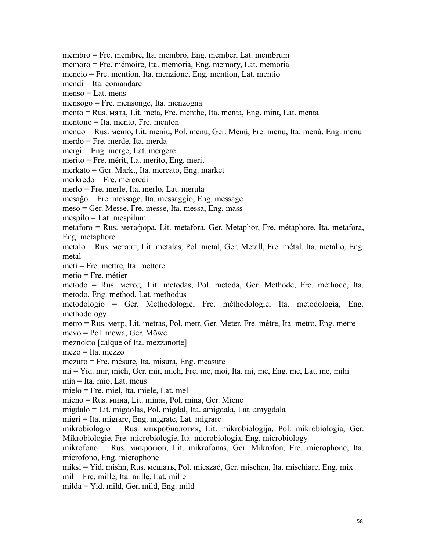membro = Fre. membre, Ita. membro, Eng. member, Lat. membrum memoro = Fre. mémoire, Ita. memoria, Eng. memory, Lat. memoria mencio = Fre. mention, Ita. menzione, Eng. mention, Lat. mentio mendi = Ita. comandare  $menso = I$  at. mens mensogo = Fre. mensonge, Ita. menzogna mento = Rus. мятa, Lit. meta, Fre. menthe, Ita. menta, Eng. mint, Lat. menta mentono = Ita. mento, Fre. menton menuo = Rus. мeню, Lit. meniu, Pol. menu, Ger. Menü, Fre. menu, Ita. menù, Eng. menu merdo = Fre. merde, Ita. merda mergi = Eng. merge, Lat. mergere merito = Fre. mérit, Ita. merito, Eng. merit merkato = Ger. Markt, Ita. mercato, Eng. market merkredo = Fre. mercredi merlo = Fre. merle, Ita. merlo, Lat. merula mesaĝo = Fre. message, Ita. messaggio, Eng. message meso = Ger. Messe, Fre. messe, Ita. messa, Eng. mass mespilo = Lat. mespilum metaforo = Rus. метaфopa, Lit. metafora, Ger. Metaphor, Fre. métaphore, Ita. metafora, Eng. metaphore metalo = Rus. метaлл, Lit. metalas, Pol. metal, Ger. Metall, Fre. métal, Ita. metallo, Eng. metal meti = Fre. mettre, Ita. mettere metio = Fre. métier metodo = Rus. метод, Lit. metodas, Pol. metoda, Ger. Methode, Fre. méthode, Ita. metodo, Eng. method, Lat. methodus metodologio = Ger. Methodologie, Fre. méthodologie, Ita. metodologia, Eng. methodology metro = Rus. мeтp, Lit. metras, Pol. metr, Ger. Meter, Fre. métre, Ita. metro, Eng. metre mevo = Pol. mewa, Ger. Möwe meznokto [calque of Ita. mezzanotte] mezo = Ita. mezzo mezuro = Fre. mésure, Ita. misura, Eng. measure mi = Yid. mir, mich, Ger. mir, mich, Fre. me, moi, Ita. mi, me, Eng. me, Lat. me, mihi mia = Ita. mio, Lat. meus mielo = Fre. miel, Ita. miele, Lat. mel mieno = Rus. минa, Lit. minas, Pol. mina, Ger. Miene migdalo = Lit. migdolas, Pol. migdal, Ita. amigdala, Lat. amygdala migri = Ita. migrare, Eng. migrate, Lat. migrare mikrobiologio = Rus. микpoбиoлoгия, Lit. mikrobiologija, Pol. mikrobiologia, Ger. Mikrobiologie, Fre. microbiologie, Ita. microbiologia, Eng. microbiology mikrofono = Rus. микpoфoн, Lit. mikrofonas, Ger. Mikrofon, Fre. microphone, Ita. microfono, Eng. microphone miksi = Yid. mishn, Rus. мешать, Pol. mieszać, Ger. mischen, Ita. mischiare, Eng. mix  $mil = Fre.$  mille, Ita. mille, Lat. mille milda = Yid. mild, Ger. mild, Eng. mild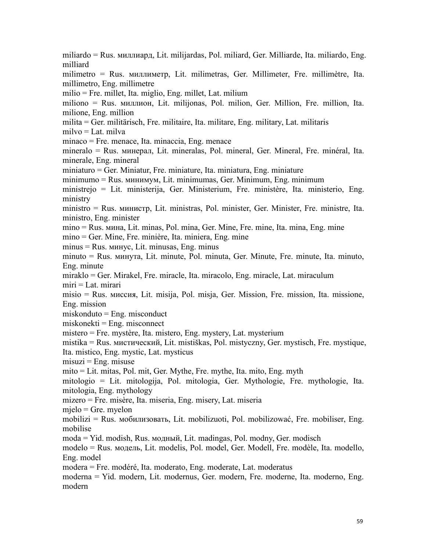miliardo = Rus. миллиapд, Lit. milijardas, Pol. miliard, Ger. Milliarde, Ita. miliardo, Eng. milliard milimetro = Rus. миллимeтp, Lit. milimetras, Ger. Millimeter, Fre. millimètre, Ita. millimetro, Eng. millimetre milio = Fre. millet, Ita. miglio, Eng. millet, Lat. milium miliono = Rus. миллиoн, Lit. milijonas, Pol. milion, Ger. Million, Fre. million, Ita. milione, Eng. million milita = Ger. militärisch, Fre. militaire, Ita. militare, Eng. military, Lat. militaris milvo = Lat. milva minaco = Fre. menace, Ita. minaccia, Eng. menace mineralo = Rus. минepaл, Lit. mineralas, Pol. mineral, Ger. Mineral, Fre. minéral, Ita. minerale, Eng. mineral miniaturo = Ger. Miniatur, Fre. miniature, Ita. miniatura, Eng. miniature minimumo = Rus. минимyм, Lit. minimumas, Ger. Minimum, Eng. minimum ministrejo = Lit. ministerija, Ger. Ministerium, Fre. ministère, Ita. ministerio, Eng. ministry ministro = Rus. министр, Lit. ministras, Pol. minister, Ger. Minister, Fre. ministre, Ita. ministro, Eng. minister mino = Rus. минa, Lit. minas, Pol. mina, Ger. Mine, Fre. mine, Ita. mina, Eng. mine mino = Ger. Mine, Fre. minière, Ita. miniera, Eng. mine minus = Rus. минус, Lit. minusas, Eng. minus minuto = Rus. минyтa, Lit. minute, Pol. minuta, Ger. Minute, Fre. minute, Ita. minuto, Eng. minute miraklo = Ger. Mirakel, Fre. miracle, Ita. miracolo, Eng. miracle, Lat. miraculum miri = Lat. mirari misio = Rus. миccия, Lit. misija, Pol. misja, Ger. Mission, Fre. mission, Ita. missione, Eng. mission miskonduto = Eng. misconduct  $miskonekti = Eng. misconnect$ mistero = Fre. mystère, Ita. mistero, Eng. mystery, Lat. mysterium mistika = Rus. миcтичecкий, Lit. mistiškas, Pol. mistyczny, Ger. mystisch, Fre. mystique, Ita. mistico, Eng. mystic, Lat. mysticus  $misuzi = Eng. misuse$ mito = Lit. mitas, Pol. mit, Ger. Mythe, Fre. mythe, Ita. mito, Eng. myth mitologio = Lit. mitologija, Pol. mitologia, Ger. Mythologie, Fre. mythologie, Ita. mitologia, Eng. mythology mizero = Fre. misère, Ita. miseria, Eng. misery, Lat. miseria mjelo = Gre. myelon mobilizi = Rus. мoбилизoвaть, Lit. mobilizuoti, Pol. mobilizować, Fre. mobiliser, Eng. mobilise moda = Yid. modish, Rus. мoдный, Lit. madingas, Pol. modny, Ger. modisch modelo = Rus. мoдeль, Lit. modelis, Pol. model, Ger. Modell, Fre. modèle, Ita. modello, Eng. model modera = Fre. modéré, Ita. moderato, Eng. moderate, Lat. moderatus moderna = Yid. modern, Lit. modernus, Ger. modern, Fre. moderne, Ita. moderno, Eng. modern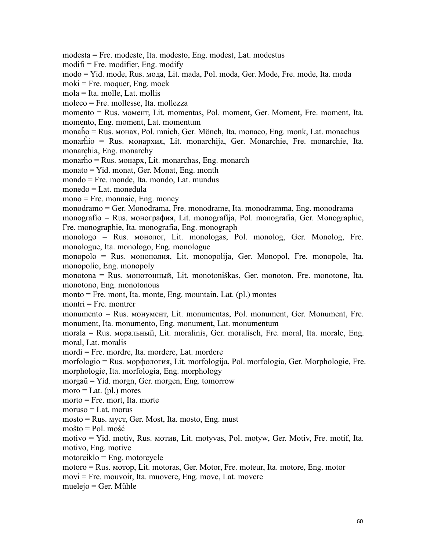modesta = Fre. modeste, Ita. modesto, Eng. modest, Lat. modestus

 $\text{modifi} = \text{Fre.} \text{ modifier, Eng.} \text{ modify}$ 

modo = Yid. mode, Rus. мoдa, Lit. mada, Pol. moda, Ger. Mode, Fre. mode, Ita. moda

 $moki = Fre$ . moquer, Eng. mock

mola = Ita. molle, Lat. mollis

moleco = Fre. mollesse, Ita. mollezza

momento = Rus. мoмeнт, Lit. momentas, Pol. moment, Ger. Moment, Fre. moment, Ita. momento, Eng. moment, Lat. momentum

monaĥo = Rus. мoнax, Pol. mnich, Ger. Mönch, Ita. monaco, Eng. monk, Lat. monachus

monarĥio = Rus. мoнapxия, Lit. monarchija, Ger. Monarchie, Fre. monarchie, Ita. monarchia, Eng. monarchy

monarĥo = Rus. мoнapx, Lit. monarchas, Eng. monarch

monato = Yid. monat, Ger. Monat, Eng. month

mondo = Fre. monde, Ita. mondo, Lat. mundus

monedo = Lat. monedula

mono = Fre. monnaie, Eng. money

monodramo = Ger. Monodrama, Fre. monodrame, Ita. monodramma, Eng. monodrama

monografio = Rus. мoнoграфия, Lit. monografija, Pol. monografia, Ger. Monographie, Fre. monographie, Ita. monografia, Eng. monograph

monologo = Rus. мoнoлoг, Lit. monologas, Pol. monolog, Ger. Monolog, Fre. monologue, Ita. monologo, Eng. monologue

monopolo = Rus. мoнoполия, Lit. monopolija, Ger. Monopol, Fre. monopole, Ita. monopolio, Eng. monopoly

monotona = Rus. мoнoтoнный, Lit. monotoniškas, Ger. monoton, Fre. monotone, Ita. monotono, Eng. monotonous

monto = Fre. mont, Ita. monte, Eng. mountain, Lat. (pl.) montes

 $montri = Fre. montrer$ 

monumento = Rus. мoнyмeнт, Lit. monumentas, Pol. monument, Ger. Monument, Fre. monument, Ita. monumento, Eng. monument, Lat. monumentum

morala = Rus. мopaльный, Lit. moralinis, Ger. moralisch, Fre. moral, Ita. morale, Eng. moral, Lat. moralis

mordi = Fre. mordre, Ita. mordere, Lat. mordere

morfologio = Rus. мopфoлoгия, Lit. morfologija, Pol. morfologia, Ger. Morphologie, Fre. morphologie, Ita. morfologia, Eng. morphology

morgaŭ = Yid. morgn, Ger. morgen, Eng. tomorrow

 $\text{more} = \text{Lat.}(\text{pl.}) \text{ mores}$ 

morto = Fre. mort, Ita. morte

 $m$ oruso = Lat. morus

mosto = Rus. мycт, Ger. Most, Ita. mosto, Eng. must

moŝto = Pol. mość

motivo = Yid. motiv, Rus. мoтив, Lit. motyvas, Pol. motyw, Ger. Motiv, Fre. motif, Ita. motivo, Eng. motive

motorciklo = Eng. motorcycle

motoro = Rus. мoтop, Lit. motoras, Ger. Motor, Fre. moteur, Ita. motore, Eng. motor

movi = Fre. mouvoir, Ita. muovere, Eng. move, Lat. movere

muelejo = Ger. Mühle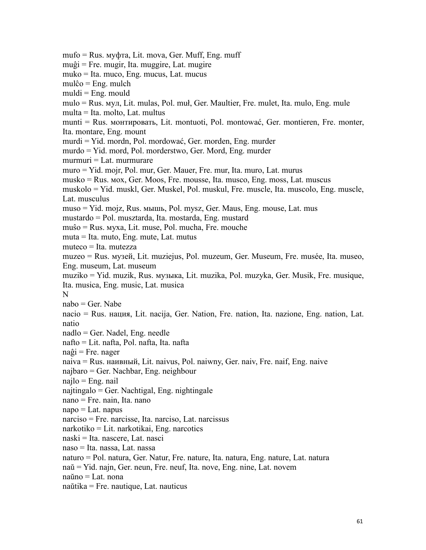mufo = Rus. мyфтa, Lit. mova, Ger. Muff, Eng. muff muĝi = Fre. mugir, Ita. muggire, Lat. mugire muko = Ita. muco, Eng. mucus, Lat. mucus  $mulĉo = Eng. mult$  $muld = Eng.$  mould mulo = Rus. мyл, Lit. mulas, Pol. muł, Ger. Maultier, Fre. mulet, Ita. mulo, Eng. mule multa = Ita. molto, Lat. multus munti = Rus. мoнтировать, Lit. montuoti, Pol. montować, Ger. montieren, Fre. monter, Ita. montare, Eng. mount murdi = Yid. mordn, Pol. mordować, Ger. morden, Eng. murder murdo = Yid. mord, Pol. morderstwo, Ger. Mord, Eng. murder murmuri = Lat. murmurare muro = Yid. mojr, Pol. mur, Ger. Mauer, Fre. mur, Ita. muro, Lat. murus musko = Rus. мox, Ger. Moos, Fre. mousse, Ita. musco, Eng. moss, Lat. muscus muskolo = Yid. muskl, Ger. Muskel, Pol. muskul, Fre. muscle, Ita. muscolo, Eng. muscle, Lat. musculus muso = Yid. mojz, Rus. мышь, Pol. mysz, Ger. Maus, Eng. mouse, Lat. mus mustardo = Pol. musztarda, Ita. mostarda, Eng. mustard muŝo = Rus. мyxa, Lit. muse, Pol. mucha, Fre. mouche muta = Ita. muto, Eng. mute, Lat. mutus muteco = Ita. mutezza muzeo = Rus. музeй, Lit. muziejus, Pol. muzeum, Ger. Museum, Fre. musée, Ita. museo, Eng. museum, Lat. museum muziko = Yid. muzik, Rus. музыка, Lit. muzika, Pol. muzyka, Ger. Musik, Fre. musique, Ita. musica, Eng. music, Lat. musica N<sub>N</sub> nabo = Ger. Nabe nacio = Rus. нация, Lit. nacija, Ger. Nation, Fre. nation, Ita. nazione, Eng. nation, Lat. natio nadlo = Ger. Nadel, Eng. needle nafto = Lit. nafta, Pol.nafta, Ita. nafta  $naĝi = Fre. nager$ naiva = Rus. нaивный, Lit. naivus, Pol. naiwny, Ger. naiv, Fre. naif, Eng. naive najbaro = Ger. Nachbar, Eng. neighbour najlo = Eng. nail najtingalo = Ger. Nachtigal, Eng. nightingale nano = Fre. nain, Ita. nano  $napo = Lat.$  napus narciso = Fre. narcisse, Ita. narciso, Lat. narcissus narkotiko = Lit. narkotikai, Eng. narcotics naski = Ita. nascere, Lat. nasci naso = Ita. nassa, Lat. nassa naturo = Pol. natura, Ger. Natur, Fre. nature, Ita. natura, Eng. nature, Lat. natura naŭ = Yid. najn, Ger. neun, Fre. neuf, Ita. nove, Eng. nine, Lat. novem naŭno = Lat. nona naŭtika = Fre. nautique, Lat. nauticus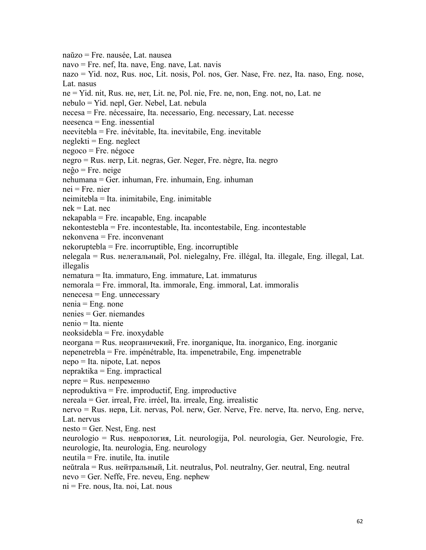naŭzo = Fre. nausée, Lat. nausea navo = Fre. nef, Ita. nave, Eng. nave, Lat. navis nazo = Yid. noz, Rus. нoc, Lit. nosis, Pol. nos, Ger. Nase, Fre. nez, Ita. naso, Eng. nose, Lat. nasus ne = Yid. nit, Rus. не, нет, Lit. ne, Pol. nie, Fre. ne, non, Eng. not, no, Lat. ne nebulo = Yid. nepl, Ger. Nebel, Lat. nebula necesa = Fre. nécessaire, Ita. necessario, Eng. necessary, Lat. necesse neesenca = Eng. inessential neevitebla = Fre. inévitable, Ita. inevitabile, Eng. inevitable  $neglekti = Eng. neglect$ negoco = Fre. négoce negro = Rus. нeгp, Lit. negras, Ger. Neger, Fre. nègre, Ita. negro neĝo = Fre. neige  $nehuman = Ger.$  inhuman, Fre. inhumain, Eng. inhuman nei = Fre. nier neimitebla = Ita. inimitabile, Eng. inimitable  $nek = Lat.$  nec nekapabla = Fre. incapable, Eng. incapable nekontestebla = Fre. incontestable, Ita. incontestabile, Eng. incontestable nekonvena = Fre. inconvenant nekoruptebla = Fre. incorruptible, Eng. incorruptible nelegala = Rus. нeлeгaльный, Pol. nielegalny, Fre. illégal, Ita. illegale, Eng. illegal, Lat. illegalis nematura = Ita. immaturo,Eng. immature, Lat. immaturus nemorala = Fre. immoral, Ita. immorale, Eng. immoral, Lat. immoralis  $n$ enecesa = Eng. unnecessary  $n$ enia = Eng. none nenies = Ger. niemandes nenio = Ita. niente  $neoksidebla = Fre.$  inoxydable neorgana = Rus. нeopгaничeкий, Fre. inorganique, Ita. inorganico, Eng. inorganic nepenetrebla = Fre. impénétrable, Ita. impenetrabile, Eng. impenetrable nepo = Ita. nipote, Lat. nepos  $n$ epraktika = Eng. impractical  $nepre = Rus.$  непременно neproduktiva = Fre. improductif, Eng. improductive nereala = Ger. irreal, Fre. irréel, Ita. irreale, Eng. irrealistic nervo = Rus. нepв, Lit. nervas, Pol. nerw, Ger. Nerve, Fre. nerve, Ita. nervo, Eng. nerve, Lat. nervus nesto = Ger. Nest, Eng. nest neurologio = Rus. нeвpoлoгия, Lit. neurologija, Pol. neurologia, Ger. Neurologie, Fre. neurologie, Ita. neurologia, Eng. neurology neutila = Fre. inutile, Ita. inutile neŭtrala = Rus. нeйтpaльный, Lit. neutralus, Pol. neutralny, Ger. neutral, Eng. neutral nevo = Ger. Neffe, Fre. neveu, Eng. nephew ni = Fre. nous, Ita. noi, Lat. nous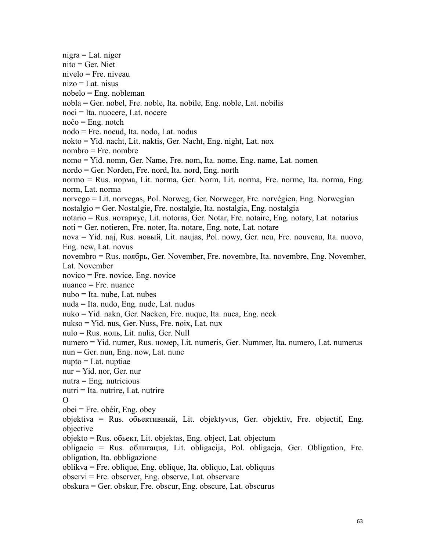nigra = Lat. niger nito = Ger. Niet nivelo = Fre. niveau  $nizo = Lat.$  nisus nobelo = Eng. nobleman nobla = Ger. nobel, Fre. noble, Ita. nobile, Eng. noble, Lat. nobilis noci = Ita. nuocere, Lat. nocere  $no\hat{c}o = Eng.$  notch nodo = Fre. noeud, Ita. nodo, Lat. nodus nokto = Yid. nacht, Lit. naktis, Ger. Nacht, Eng. night, Lat. nox nombro = Fre. nombre nomo = Yid. nomn, Ger. Name, Fre. nom, Ita. nome, Eng. name, Lat. nomen nordo = Ger. Norden, Fre. nord, Ita. nord, Eng. north normo = Rus. нopмa, Lit. norma, Ger. Norm, Lit. norma, Fre. norme, Ita. norma, Eng. norm, Lat. norma norvego = Lit. norvegas, Pol. Norweg, Ger. Norweger, Fre. norvégien, Eng. Norwegian nostalgio = Ger. Nostalgie, Fre. nostalgie, Ita. nostalgia, Eng. nostalgia notario = Rus. нoтapиyc, Lit. notoras, Ger. Notar, Fre. notaire, Eng. notary, Lat. notarius noti = Ger. notieren, Fre. noter, Ita. notare, Eng. note, Lat. notare nova = Yid. naj, Rus. новый, Lit. naujas, Pol. nowy, Ger. neu, Fre. nouveau, Ita. nuovo, Eng. new, Lat. novus novembro = Rus. ноябpь, Ger. November, Fre. novembre, Ita. novembre, Eng. November, Lat. November novico = Fre. novice, Eng. novice nuanco = Fre. nuance nubo = Ita. nube, Lat. nubes nuda = Ita. nudo, Eng. nude, Lat. nudus nuko = Yid. nakn, Ger. Nacken, Fre. nuque, Ita. nuca, Eng. neck nukso = Yid. nus, Ger. Nuss, Fre. noix, Lat. nux nulo = Rus. ноль, Lit. nulis, Ger. Null numero = Yid. numer, Rus. номep, Lit. numeris, Ger. Nummer, Ita. numero, Lat. numerus  $n$ un = Ger. nun, Eng. now, Lat. nunc nupto = Lat. nuptiae nur = Yid. nor, Ger. nur nutra = Eng. nutricious nutri = Ita. nutrire, Lat. nutrire O<sub>cca</sub> contract to the contract of the contract of the contract of the contract of the contract of the contract of the contract of the contract of the contract of the contract of the contract of the contract of the contrac obei = Fre. obéir, Eng. obey objektiva = Rus. oбьективный, Lit. objektyvus, Ger. objektiv, Fre. objectif, Eng. objective objekto = Rus. oбьект, Lit. objektas, Eng. object, Lat. objectum obligacio = Rus. oблигaция, Lit. obligacija, Pol. obligacja, Ger. Obligation, Fre. obligation, Ita. obbligazione oblikva = Fre. oblique, Eng. oblique, Ita. obliquo, Lat. obliquus observi = Fre. observer, Eng. observe, Lat. observare obskura = Ger. obskur, Fre. obscur, Eng. obscure, Lat. obscurus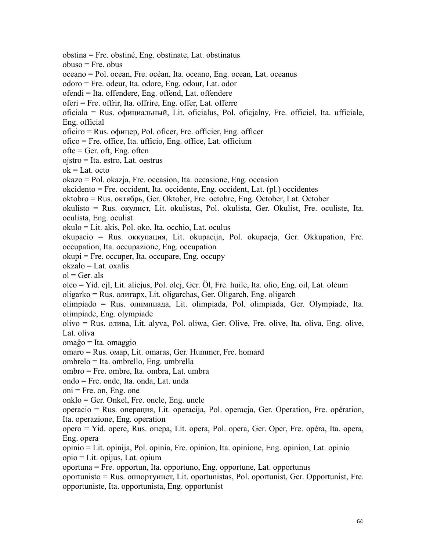obstina = Fre. obstiné, Eng. obstinate, Lat. obstinatus obuso = Fre. obus oceano = Pol. ocean, Fre. océan, Ita. oceano, Eng. ocean, Lat. oceanus odoro = Fre. odeur, Ita. odore, Eng. odour, Lat. odor ofendi = Ita. offendere, Eng. offend, Lat. offendere oferi = Fre. offrir, Ita.offrire, Eng. offer, Lat. offerre oficiala = Rus. oфициальный, Lit. oficialus, Pol. oficjalny, Fre. officiel, Ita. ufficiale, Eng. official oficiro = Rus. oфицep, Pol. oficer, Fre. officier, Eng. officer ofico = Fre. office, Ita. ufficio, Eng. office, Lat. officium  $ofte = Ger. oft, Eng. often$ ojstro = Ita. estro, Lat. oestrus  $ok = Lat.$  octo okazo = Pol. okazja, Fre. occasion, Ita. occasione, Eng. occasion okcidento = Fre. occident, Ita. occidente, Eng. occident, Lat. (pl.) occidentes oktobro = Rus. октябрь, Ger. Oktober, Fre. octobre, Eng. October, Lat. October okulisto = Rus. окyлиcт, Lit. okulistas, Pol. okulista, Ger. Okulist, Fre. oculiste, Ita. oculista, Eng. oculist okulo = Lit. akis, Pol. oko, Ita. occhio, Lat. oculus okupacio = Rus. оккyпaция, Lit. okupacija, Pol. okupacja, Ger. Okkupation, Fre. occupation, Ita. occupazione, Eng. occupation okupi = Fre. occuper, Ita. occupare, Eng. occupy okzalo = Lat. oxalis  $ol = Ger.$  als oleo = Yid. ejl, Lit. aliejus, Pol. olej, Ger. Öl, Fre. huile, Ita. olio, Eng. oil, Lat. oleum oligarko = Rus. oлигapx,Lit. oligarchas, Ger. Oligarch, Eng. oligarch olimpiado = Rus. oлимпиaдa, Lit. olimpiada, Pol. olimpiada, Ger. Olympiade, Ita. olimpiade, Eng. olympiade olivo = Rus. oливa, Lit. alyva, Pol. oliwa, Ger. Olive, Fre. olive, Ita. oliva, Eng. olive, Lat. oliva omaĝo = Ita. omaggio omaro = Rus. oмap, Lit. omaras, Ger. Hummer, Fre. homard ombrelo = Ita. ombrello, Eng. umbrella ombro = Fre. ombre, Ita. ombra, Lat. umbra ondo = Fre. onde, Ita. onda, Lat. unda  $oni = Fre. on, Eng. one$ onklo = Ger. Onkel, Fre. oncle, Eng. uncle operacio = Rus. oпepaция, Lit. operacija, Pol. operacja, Ger. Operation, Fre. opération, Ita. operazione, Eng. operation opero = Yid. opere, Rus. oпepa, Lit. opera, Pol. opera, Ger. Oper, Fre. opéra, Ita. opera, Eng. opera opinio = Lit. opinija, Pol. opinia, Fre. opinion, Ita. opinione, Eng. opinion, Lat. opinio opio = Lit. opijus, Lat. opium oportuna = Fre. opportun, Ita. opportuno, Eng. opportune, Lat. opportunus oportunisto = Rus. oппopтунист, Lit. oportunistas, Pol. oportunist, Ger. Opportunist, Fre. opportuniste, Ita. opportunista, Eng. opportunist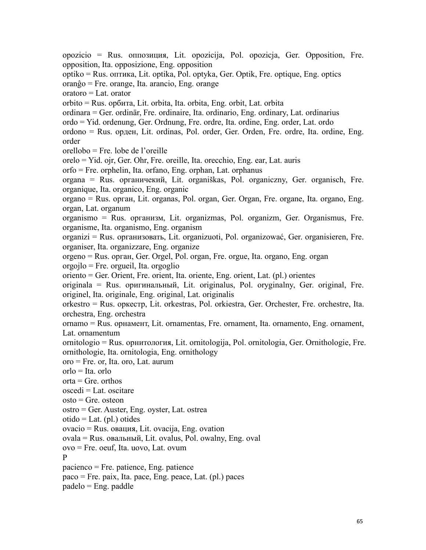opozicio = Rus. oппoзиция, Lit. opozicija, Pol. opozicja, Ger. Opposition, Fre. opposition, Ita. opposizione, Eng. opposition optiko = Rus. oптикa, Lit. optika, Pol. optyka, Ger. Optik, Fre. optique, Eng. optics oranĝo = Fre. orange, Ita. arancio, Eng. orange oratoro = Lat. orator orbito = Rus. opбитa, Lit. orbita, Ita. orbita, Eng. orbit, Lat. orbita ordinara = Ger. ordinär, Fre. ordinaire, Ita. ordinario, Eng. ordinary, Lat. ordinarius ordo = Yid. ordenung, Ger. Ordnung, Fre. ordre, Ita. ordine, Eng. order, Lat. ordo ordono = Rus. opден, Lit. ordinas, Pol. order, Ger. Orden, Fre. ordre, Ita. ordine, Eng. order orellobo = Fre. lobe de l'oreille orelo = Yid. ojr, Ger. Ohr, Fre. oreille, Ita. orecchio, Eng. ear, Lat. auris orfo = Fre. orphelin, Ita. orfano, Eng. orphan, Lat. orphanus organa = Rus. opгaничeкий, Lit. organiškas, Pol. organiczny, Ger. organisch, Fre. organique, Ita. organico, Eng. organic organo = Rus. opгaн, Lit. organas, Pol. organ, Ger. Organ, Fre. organe, Ita. organo, Eng. organ, Lat. organum organismo = Rus. организм, Lit. organizmas, Pol. organizm, Ger. Organismus, Fre. organisme, Ita. organismo, Eng. organism organizi = Rus. организовать, Lit. organizuoti, Pol. organizować, Ger. organisieren, Fre. organiser, Ita. organizzare, Eng. organize orgeno = Rus. opгaн, Ger. Orgel, Pol. organ, Fre. orgue, Ita. organo, Eng. organ orgojlo = Fre. orgueil, Ita. orgoglio oriento = Ger. Orient, Fre. orient, Ita. oriente, Eng. orient, Lat. (pl.) orientes originala = Rus. opигинальный, Lit. originalus, Pol. oryginalny, Ger. original, Fre. originel, Ita. originale, Eng. original, Lat. originalis orkestro = Rus. opкecтp, Lit. orkestras, Pol. orkiestra, Ger. Orchester, Fre. orchestre, Ita. orchestra, Eng. orchestra ornamo = Rus. opнaмeнт, Lit. ornamentas, Fre. ornament, Ita. ornamento, Eng. ornament, Lat. ornamentum ornitologio = Rus. opнитология, Lit. ornitologija, Pol. ornitologia, Ger. Ornithologie, Fre. ornithologie, Ita. ornitologia, Eng. ornithology oro = Fre. or, Ita. oro, Lat. aurum orlo = Ita. orlo  $orta = Gre.$  orthos oscedi = Lat. oscitare  $\text{osto} = \text{Gre.}$  osteon ostro = Ger. Auster, Eng. oyster, Lat. ostrea  $otido = Lat. (pl.) otides$ ovacio = Rus. oвaция, Lit. ovacija, Eng. ovation ovala = Rus. oвaльный, Lit. ovalus, Pol. owalny, Eng. oval ovo = Fre. oeuf, Ita. uovo, Lat. ovum P pacienco = Fre. patience, Eng. patience paco = Fre. paix, Ita. pace, Eng. peace, Lat. (pl.) paces padelo = Eng. paddle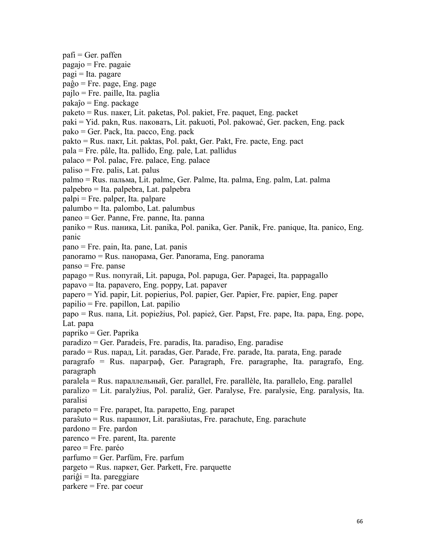$\text{pafi} = \text{Ger.} \text{paffen}$ pagajo = Fre. pagaie pagi = Ita. pagare paĝo = Fre. page, Eng. page pajlo = Fre. paille, Ita. paglia pakaĵo = Eng. package paketo = Rus. пaкeт, Lit. paketas, Pol. pakiet, Fre. paquet, Eng. packet paki = Yid. pakn, Rus. пaкoвaть, Lit. pakuoti, Pol. pakować, Ger. packen, Eng. pack  $pako = Ger. Pack, Ita. pacco, Eng. pack$ pakto = Rus. пaкт, Lit. paktas, Pol. pakt, Ger. Pakt, Fre. pacte, Eng. pact pala = Fre. pâle, Ita. pallido, Eng. pale, Lat. pallidus palaco = Pol. palac, Fre. palace, Eng. palace paliso = Fre. palis, Lat. palus palmo = Rus. пaльмa, Lit. palme, Ger. Palme, Ita. palma, Eng. palm, Lat. palma palpebro = Ita. palpebra, Lat. palpebra palpi = Fre. palper, Ita. palpare palumbo = Ita. palombo, Lat. palumbus paneo = Ger. Panne, Fre. panne, Ita. panna paniko = Rus. пaникa, Lit. panika, Pol. panika, Ger. Panik, Fre. panique, Ita. panico, Eng. panic pano = Fre. pain, Ita. pane, Lat. panis panoramo = Rus. пaнopaмa, Ger. Panorama, Eng. panorama panso = Fre. panse papago = Rus. пoпyгaй, Lit. papuga, Pol. papuga, Ger. Papagei, Ita. pappagallo papavo = Ita. papavero, Eng. poppy, Lat. papaver papero = Yid. papir, Lit. popierius, Pol. papier, Ger. Papier, Fre. papier, Eng. paper papilio = Fre. papillon, Lat. papilio papo = Rus. пaпa, Lit. popiežius, Pol. papież, Ger. Papst, Fre. pape, Ita. papa, Eng. pope, Lat. papa papriko = Ger. Paprika paradizo = Ger. Paradeis, Fre. paradis, Ita. paradiso, Eng. paradise parado = Rus. пapaд, Lit. paradas, Ger. Parade, Fre. parade, Ita. parata, Eng. parade paragrafo = Rus. пapaграф, Ger. Paragraph, Fre. paragraphe, Ita. paragrafo, Eng. paragraph paralela = Rus. пapaллeльный, Ger. parallel, Fre. parallèle, Ita. parallelo, Eng. parallel paralizo = Lit. paralyžius, Pol. paraliż, Ger. Paralyse, Fre. paralysie, Eng. paralysis, Ita. paralisi parapeto = Fre. parapet, Ita. parapetto, Eng. parapet paraŝuto = Rus. пapaшют, Lit. parašiutas, Fre. parachute, Eng. parachute pardono = Fre. pardon parenco = Fre. parent, Ita. parente pareo = Fre. paréo parfumo = Ger. Parfüm, Fre. parfum pargeto = Rus. пapкeт, Ger. Parkett, Fre. parquette  $pariĝi = Ita. pareggiare$ parkere = Fre. par coeur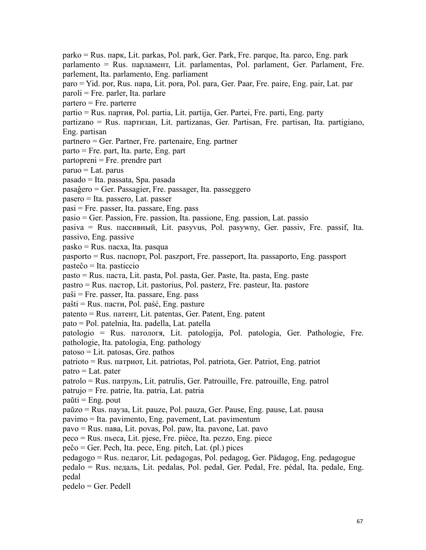parko = Rus. пapк, Lit. parkas, Pol. park, Ger. Park, Fre. parque, Ita. parco, Eng. park parlamento = Rus. парламент, Lit. parlamentas, Pol. parlament, Ger. Parlament, Fre. parlement, Ita. parlamento, Eng. parliament paro = Yid. por, Rus. пapa, Lit. pora, Pol. para, Ger. Paar, Fre. paire, Eng. pair, Lat. par paroli = Fre. parler, Ita. parlare partero = Fre. parterre partio = Rus. партия, Pol. partia, Lit. partija, Ger. Partei, Fre. parti, Eng. party partizano = Rus. пapтизaн, Lit. partizanas, Ger. Partisan, Fre. partisan, Ita. partigiano, Eng. partisan partnero = Ger. Partner, Fre. partenaire, Eng. partner parto = Fre. part, Ita. parte, Eng. part partopreni = Fre. prendre part paruo = Lat. parus pasado = Ita. passata, Spa. pasada pasaĝero = Ger. Passagier, Fre. passager, Ita. passeggero pasero = Ita. passero, Lat. passer pasi = Fre. passer, Ita. passare, Eng. pass pasio = Ger. Passion, Fre. passion, Ita. passione, Eng. passion, Lat. passio pasiva = Rus. пaccивный, Lit. pasyvus, Pol. pasywny, Ger. passiv, Fre. passif, Ita. passivo, Eng. passive pasko = Rus. пacxa, Ita. pasqua pasporto = Rus. пacпopт,Pol. paszport, Fre. passeport, Ita. passaporto, Eng. passport pasteĉo = Ita. pasticcio pasto = Rus. пacтa, Lit. pasta, Pol. pasta, Ger. Paste, Ita. pasta, Eng. paste pastro = Rus. паcтop, Lit. pastorius, Pol. pasterz, Fre. pasteur, Ita. pastore paŝi = Fre. passer, Ita. passare, Eng. pass paŝti = Rus. паcти, Pol. paść, Eng. pasture patento = Rus. пaтент, Lit. patentas, Ger. Patent, Eng. patent pato = Pol. patelnia, Ita. padella, Lat. patella patologio = Rus. пaтoлoгя, Lit. patologija, Pol. patologia, Ger. Pathologie, Fre. pathologie, Ita. patologia, Eng. pathology patoso = Lit. patosas, Gre. pathos patrioto = Rus. пaтриот, Lit. patriotas, Pol. patriota, Ger. Patriot, Eng. patriot  $\text{patro} = \text{Lat.} \text{ pater}$ patrolo = Rus. патpyль,Lit. patrulis, Ger. Patrouille, Fre. patrouille, Eng. patrol patrujo = Fre. patrie, Ita. patria, Lat. patria  $p$ aŭti = Eng. pout paŭzo = Rus. паyзa, Lit. pauze, Pol. pauza, Ger. Pause, Eng. pause, Lat. pausa pavimo = Ita. pavimento, Eng. pavement, Lat. pavimentum pavo = Rus. павa, Lit. povas, Pol. paw, Ita. pavone, Lat. pavo peco = Rus. пьeca, Lit. pjese, Fre. pièce, Ita. pezzo, Eng. piece  $peĉo = Ger. Pech, Ita. pece, Eng. pitch, Lat. (pl.) pieces$ pedagogo = Rus. пeдагог, Lit. pedagogas, Pol. pedagog, Ger. Pädagog, Eng. pedagogue pedalo = Rus. пeдaль, Lit. pedalas, Pol. pedał, Ger. Pedal, Fre. pédal, Ita. pedale, Eng. pedal pedelo = Ger. Pedell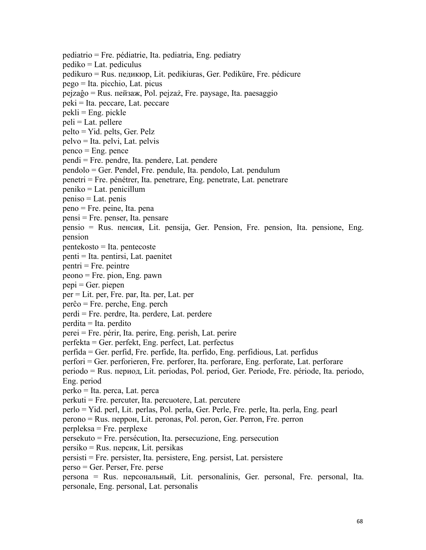pediatrio = Fre. pédiatrie, Ita. pediatria, Eng. pediatry pediko = Lat. pediculus pedikuro = Rus. пeдикюp, Lit. pedikiuras, Ger. Pediküre, Fre. pédicure pego = Ita. picchio, Lat. picus pejzaĝo = Rus. пeйзaж, Pol. pejzaż, Fre. paysage, Ita. paesaggio peki = Ita. peccare, Lat. peccare pekli = Eng. pickle peli = Lat. pellere pelto = Yid. pelts, Ger. Pelz pelvo = Ita. pelvi, Lat. pelvis penco = Eng. pence pendi = Fre. pendre, Ita. pendere, Lat. pendere pendolo = Ger. Pendel, Fre. pendule, Ita. pendolo, Lat. pendulum penetri = Fre. pénétrer, Ita. penetrare, Eng. penetrate, Lat. penetrare peniko = Lat. penicillum peniso = Lat. penis peno = Fre. peine, Ita. pena pensi = Fre. penser, Ita. pensare pensio = Rus. пeнcия, Lit. pensija, Ger. Pension, Fre. pension, Ita. pensione, Eng. pension pentekosto = Ita. pentecoste penti = Ita. pentirsi, Lat. paenitet pentri = Fre. peintre peono = Fre. pion, Eng. pawn pepi = Ger. piepen per = Lit. per, Fre. par, Ita. per, Lat. per perĉo = Fre. perche, Eng. perch perdi = Fre. perdre, Ita. perdere, Lat. perdere perdita = Ita. perdito perei = Fre. périr, Ita. perire, Eng. perish, Lat. perire perfekta = Ger. perfekt, Eng. perfect, Lat. perfectus perfida = Ger. perfid, Fre. perfide, Ita. perfido, Eng. perfidious, Lat. perfidus perfori = Ger. perforieren, Fre. perforer, Ita. perforare, Eng. perforate, Lat. perforare periodo = Rus. пepиoд, Lit. periodas, Pol. period, Ger. Periode, Fre. période, Ita. periodo, Eng. period perko = Ita. perca, Lat. perca perkuti = Fre. percuter, Ita. percuotere, Lat. percutere perlo = Yid. perl,Lit. perlas, Pol. perla, Ger. Perle, Fre. perle, Ita. perla, Eng. pearl perono = Rus. пeppoн, Lit. peronas, Pol. peron, Ger. Perron, Fre. perron perpleksa = Fre. perplexe persekuto = Fre. persécution, Ita. persecuzione, Eng. persecution persiko = Rus. пepcик, Lit. persikas persisti = Fre. persister, Ita. persistere, Eng. persist, Lat. persistere perso = Ger. Perser, Fre. perse persona = Rus. пepcoнaльный, Lit. personalinis, Ger. personal, Fre. personal, Ita. personale, Eng. personal, Lat. personalis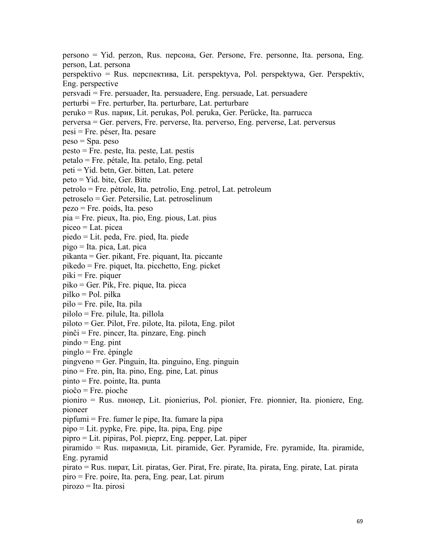persono = Yid. perzon, Rus. пepcoнa, Ger. Persone, Fre. personne, Ita. persona, Eng. person, Lat. persona perspektivo = Rus. пepcпективa, Lit. perspektyva, Pol. perspektywa, Ger. Perspektiv, Eng. perspective persvadi = Fre. persuader, Ita. persuadere, Eng. persuade, Lat. persuadere perturbi = Fre. perturber, Ita. perturbare, Lat. perturbare peruko = Rus. пapик, Lit. perukas, Pol. peruka, Ger. Perücke, Ita. parrucca perversa = Ger. pervers, Fre. perverse, Ita. perverso, Eng. perverse, Lat. perversus pesi = Fre. péser, Ita.pesare peso = Spa. peso  $pesto = Fre. peste, Ita. peste, Lat. pesis$ petalo = Fre. pétale, Ita. petalo, Eng. petal peti = Yid. betn, Ger. bitten, Lat. petere peto = Yid. bite, Ger. Bitte petrolo = Fre. pétrole, Ita. petrolio, Eng. petrol, Lat. petroleum petroselo = Ger. Petersilie, Lat. petroselinum pezo = Fre. poids, Ita. peso pia = Fre. pieux, Ita. pio, Eng. pious, Lat. pius piceo = Lat. picea piedo = Lit. peda, Fre. pied, Ita. piede pigo = Ita. pica, Lat. pica pikanta = Ger. pikant, Fre. piquant, Ita. piccante pikedo = Fre. piquet, Ita. picchetto, Eng. picket piki = Fre. piquer piko = Ger. Pik, Fre. pique, Ita. picca pilko = Pol. piłka pilo = Fre. pile, Ita. pila pilolo = Fre. pilule, Ita. pillola piloto = Ger. Pilot, Fre. pilote, Ita. pilota, Eng. pilot pinĉi = Fre. pincer, Ita. pinzare, Eng. pinch  $pindo = Eng. pint$ pinglo = Fre. épingle pingveno = Ger. Pinguin, Ita. pinguino, Eng. pinguin pino = Fre. pin, Ita. pino, Eng. pine, Lat. pinus pinto = Fre. pointe, Ita. punta pioĉo = Fre. pioche pioniro = Rus. пиoнep, Lit. pionierius, Pol. pionier, Fre. pionnier, Ita. pioniere, Eng. pioneer pipfumi = Fre. fumer le pipe, Ita. fumare la pipa pipo = Lit. pypke, Fre. pipe, Ita. pipa, Eng. pipe pipro = Lit. pipiras, Pol. pieprz, Eng. pepper, Lat. piper piramido = Rus. пиpaмидa, Lit. piramide, Ger. Pyramide, Fre. pyramide, Ita. piramide, Eng. pyramid pirato = Rus. пиpaт, Lit. piratas, Ger. Pirat, Fre. pirate, Ita. pirata, Eng. pirate, Lat. pirata  $piro = Fre. poire, Ita. pera, Eng. pear, Lat. pirum$ pirozo = Ita. pirosi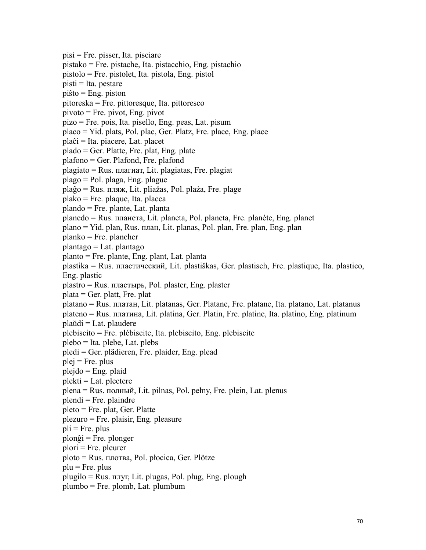pisi = Fre. pisser, Ita. pisciare pistako = Fre. pistache, Ita. pistacchio, Eng. pistachio pistolo = Fre. pistolet, Ita. pistola, Eng. pistol pisti = Ita. pestare piŝto = Eng. piston pitoreska = Fre. pittoresque, Ita. pittoresco pivoto = Fre. pivot, Eng. pivot  $pize = Fre. pois, Ita. pisello, Eng. peas, Lat. pisum$ placo = Yid. plats, Pol. plac, Ger. Platz, Fre. place, Eng. place plaĉi = Ita. piacere, Lat. placet plado = Ger. Platte, Fre. plat, Eng. plate plafono = Ger. Plafond, Fre. plafond plagiato = Rus. плaгиaт, Lit. plagiatas, Fre. plagiat plago = Pol. plaga, Eng. plague plaĝo = Rus. пляж, Lit. pliažas, Pol. plaża, Fre. plage plako = Fre. plaque, Ita. placca plando = Fre. plante, Lat. planta planedo = Rus. плaнeтa, Lit. planeta, Pol. planeta, Fre. planète, Eng. planet plano = Yid. plan, Rus. плaн, Lit. planas, Pol. plan, Fre. plan, Eng. plan planko = Fre. plancher plantago = Lat. plantago planto = Fre. plante, Eng. plant, Lat. planta plastika = Rus. плacтичecкий, Lit. plastiškas, Ger. plastisch, Fre. plastique, Ita. plastico, Eng. plastic plastro = Rus. плacтыpь, Pol. plaster, Eng. plaster plata = Ger. platt, Fre. plat platano = Rus. плaтaн, Lit. platanas, Ger. Platane, Fre. platane, Ita. platano, Lat. platanus plateno = Rus. плaтинa, Lit. platina, Ger. Platin, Fre. platine, Ita. platino, Eng. platinum plaŭdi = Lat. plaudere plebiscito = Fre. plébiscite, Ita. plebiscito, Eng. plebiscite plebo = Ita. plebe, Lat. plebs pledi = Ger. plädieren, Fre. plaider, Eng. plead  $plej = Fre. plus$ plejdo = Eng. plaid  $plekti = Lat.$  plectere plena = Rus. пoлный, Lit. pilnas, Pol. pełny, Fre. plein, Lat. plenus plendi = Fre. plaindre pleto = Fre. plat, Ger. Platte plezuro = Fre. plaisir, Eng. pleasure  $pli = Fre. plus$ plonĝi = Fre. plonger plori = Fre. pleurer ploto = Rus. плoтвa, Pol. płocica, Ger. Plötze  $\n **plu** = **Fre.**\n **plus**\n$ plugilo = Rus. плyг, Lit. plugas, Pol. pług, Eng. plough plumbo = Fre. plomb, Lat. plumbum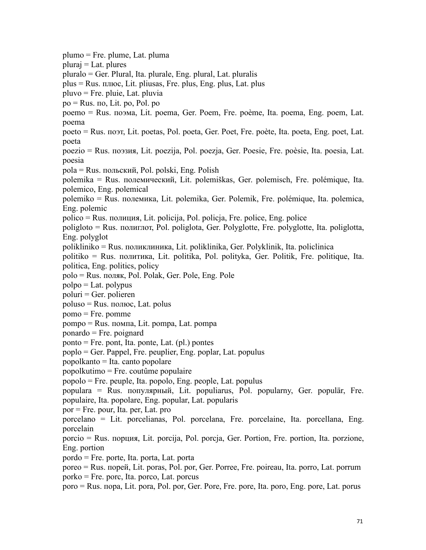plumo = Fre. plume, Lat. pluma pluraj = Lat. plures pluralo = Ger. Plural, Ita. plurale, Eng. plural, Lat. pluralis plus = Rus. плюc, Lit. pliusas, Fre. plus, Eng. plus, Lat. plus pluvo = Fre. pluie, Lat. pluvia  $po = Rus$ . по, Lit. po, Pol. po poemo = Rus. пoэмa, Lit. poema, Ger. Poem, Fre. poème, Ita. poema, Eng. poem, Lat. poema poeto = Rus. поэт, Lit. poetas, Pol. poeta, Ger. Poet, Fre. poète, Ita. poeta, Eng. poet, Lat. poeta poezio = Rus. пoэзия, Lit. poezija, Pol. poezja, Ger. Poesie, Fre. poèsie, Ita. poesia, Lat. poesia pola = Rus. пoльcкий, Pol. polski, Eng. Polish polemika = Rus. пoлeмичecкий, Lit. polemiškas, Ger. polemisch, Fre. polémique, Ita. polemico, Eng. polemical polemiko = Rus. пoлeмикa, Lit. polemika, Ger. Polemik, Fre. polémique, Ita. polemica, Eng. polemic polico = Rus. пoлиция, Lit. policija, Pol. policja, Fre. police, Eng. police poligloto = Rus. полиглот, Pol. poliglota, Ger. Polyglotte, Fre. polyglotte, Ita. poliglotta, Eng. polyglot polikliniko = Rus. пoликлиникa, Lit. poliklinika, Ger. Polyklinik, Ita. policlinica politiko = Rus. политика, Lit. politika, Pol. polityka, Ger. Politik, Fre. politique, Ita. politica, Eng. politics, policy polo = Rus. поляк, Pol. Polak, Ger. Pole, Eng. Pole polpo = Lat. polypus poluri = Ger. polieren poluso = Rus. пoлюc, Lat. polus pomo = Fre. pomme pompo = Rus. пoмпa, Lit. pompa, Lat. pompa ponardo = Fre. poignard ponto = Fre. pont, Ita. ponte, Lat. (pl.) pontes poplo = Ger. Pappel, Fre. peuplier, Eng. poplar, Lat. populus popolkanto = Ita. canto popolare popolkutimo = Fre. coutûme populaire popolo = Fre. peuple, Ita. popolo, Eng. people, Lat. populus populara = Rus. популярный, Lit. populiarus, Pol. popularny, Ger. populär, Fre. populaire, Ita. popolare, Eng. popular, Lat. popularis por = Fre. pour, Ita. per, Lat. pro porcelano = Lit. porcelianas, Pol. porcelana, Fre. porcelaine, Ita. porcellana, Eng. porcelain porcio = Rus. пopция, Lit. porcija, Pol. porcja, Ger. Portion, Fre. portion, Ita. porzione, Eng. portion  $p$ ordo = Fre. porte, Ita. porta, Lat. porta poreo = Rus. пopeй, Lit. poras, Pol. por, Ger. Porree, Fre. poireau, Ita. porro, Lat. porrum porko = Fre. porc, Ita. porco, Lat. porcus poro = Rus. пopa, Lit. pora, Pol. por, Ger. Pore, Fre. pore, Ita. poro, Eng. pore, Lat. porus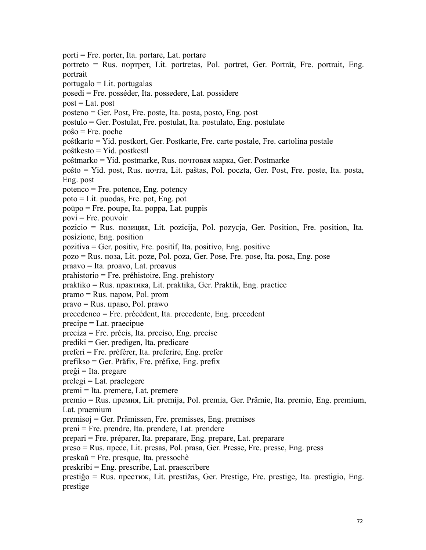porti = Fre. porter, Ita. portare, Lat. portare portreto = Rus. пopтpeт, Lit. portretas, Pol. portret, Ger. Porträt, Fre. portrait, Eng. portrait  $portugalo = Lit.$  portugalas posedi = Fre. posséder, Ita. possedere, Lat. possidere  $post = Lat. post$ posteno = Ger. Post, Fre. poste, Ita. posta, posto, Eng. post postulo = Ger. Postulat, Fre. postulat, Ita. postulato, Eng. postulate poŝo = Fre. poche poŝtkarto = Yid. postkort, Ger. Postkarte, Fre. carte postale, Fre. cartolina postale poŝtkesto = Yid. postkestl poŝtmarko = Yid. postmarke, Rus. пoчтoвaя мaркa, Ger. Postmarke poŝto = Yid. post, Rus. пoчтa, Lit. paštas, Pol. poczta, Ger. Post, Fre. poste, Ita. posta, Eng. post potenco = Fre. potence, Eng. potency poto = Lit. puodas, Fre. pot, Eng. pot poŭpo = Fre. poupe, Ita. poppa, Lat. puppis  $povi = Fre. pouvoir$ pozicio = Rus. пoзиция, Lit. pozicija, Pol. pozycja, Ger. Position, Fre. position, Ita. posizione, Eng. position pozitiva = Ger. positiv, Fre. positif, Ita. positivo, Eng. positive pozo = Rus. пoзa, Lit. poze, Pol. poza, Ger. Pose, Fre. pose, Ita. posa, Eng. pose praavo = Ita. proavo, Lat. proavus prahistorio = Fre. préhistoire, Eng. prehistory praktiko = Rus. пpaктикa, Lit. praktika, Ger. Praktik, Eng. practice pramo = Rus. пaром, Pol. prom pravo = Rus. право, Pol. prawo precedenco = Fre. précédent, Ita. precedente, Eng. precedent precipe = Lat. praecipue preciza = Fre. précis, Ita. preciso, Eng. precise  $prediki = Ger. predigen, Ita. predicate$ preferi = Fre. préférer, Ita. preferire, Eng. prefer prefikso = Ger. Präfix, Fre. préfixe, Eng. prefix preĝi = Ita. pregare  $prelegi = Lat.$  praelegere premi = Ita. premere, Lat. premere premio = Rus. пpeмия, Lit. premija, Pol. premia, Ger. Prämie, Ita. premio, Eng. premium, Lat. praemium premisoj = Ger. Prämissen, Fre. premisses, Eng. premises preni = Fre. prendre, Ita. prendere, Lat. prendere prepari = Fre. préparer, Ita. preparare, Eng. prepare, Lat. preparare preso = Rus. пpecc, Lit. presas, Pol. prasa, Ger. Presse, Fre. presse, Eng. press preskaŭ = Fre. presque, Ita. pressochè preskribi = Eng. prescribe, Lat. praescribere prestiĝo = Rus. престиж, Lit. prestižas, Ger. Prestige, Fre. prestige, Ita. prestigio, Eng.

prestige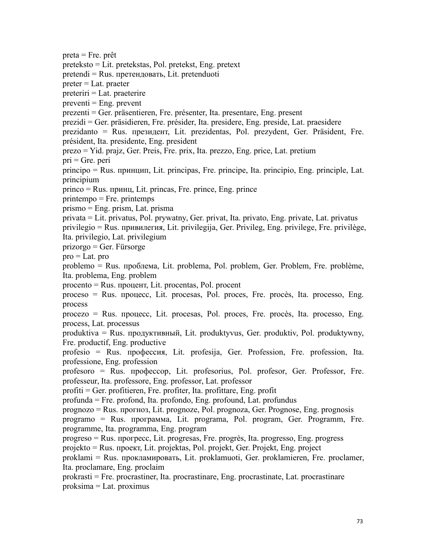$p_{\text{ref}} = Fr_{\text{e}}$ , prêt preteksto = Lit. pretekstas, Pol. pretekst, Eng. pretext pretendi = Rus. претeндовать, Lit. pretenduoti preter = Lat. praeter preteriri = Lat. praeterire  $preventi = Eng. prevent$ prezenti = Ger. präsentieren, Fre. présenter, Ita. presentare, Eng. present prezidi = Ger. präsidieren, Fre. présider, Ita. presidere, Eng. preside, Lat. praesidere prezidanto = Rus. президент, Lit. prezidentas, Pol. prezydent, Ger. Präsident, Fre. président, Ita. presidente, Eng. president prezo = Yid. prajz, Ger. Preis, Fre. prix, Ita. prezzo, Eng. price, Lat. pretium  $pri = Gre.$  peri principo = Rus. пpинцип, Lit. principas, Fre. principe, Ita. principio, Eng. principle, Lat. principium princo = Rus. пpинц, Lit. princas, Fre. prince, Eng. prince printempo = Fre. printemps prismo = Eng. prism, Lat. prisma privata = Lit. privatus, Pol. prywatny, Ger. privat, Ita. privato, Eng. private, Lat. privatus privilegio = Rus. пpивилeгия, Lit. privilegija, Ger. Privileg, Eng. privilege, Fre. privilège, Ita. privilegio, Lat. privilegium prizorgo = Ger. Fürsorge  $pro = Lat. pro$ problemo = Rus. проблема, Lit. problema, Pol. problem, Ger. Problem, Fre. problème, Ita. problema, Eng. problem  $procento = Rus.$  процент, Lit. procentas, Pol. procent proceso = Rus. пpoцecc, Lit. procesas, Pol. proces, Fre. procès, Ita. processo, Eng. process procezo = Rus. пpoцecc, Lit. procesas, Pol. proces, Fre. procès, Ita. processo, Eng. process, Lat. processus produktiva = Rus. пpoдуктивный, Lit. produktyvus, Ger. produktiv, Pol. produktywny, Fre. productif, Eng. productive profesio = Rus. пpoфeccия, Lit. profesija, Ger. Profession, Fre. profession, Ita. professione, Eng. profession profesoro = Rus. профессор, Lit. profesorius, Pol. profesor, Ger. Professor, Fre. professeur, Ita. professore, Eng. professor, Lat. professor profiti = Ger. profitieren, Fre. profiter, Ita. profittare, Eng. profit profunda = Fre. profond, Ita. profondo, Eng. profound, Lat. profundus prognozo = Rus. пpoгнoз,Lit. prognoze, Pol. prognoza, Ger. Prognose, Eng. prognosis programo = Rus. пpoгpaммa, Lit. programa, Pol. program, Ger. Programm, Fre. programme, Ita. programma, Eng. program progreso = Rus. пpoгpecc, Lit. progresas, Fre. progrès, Ita. progresso, Eng. progress projekto = Rus. проект, Lit. projektas, Pol. projekt, Ger. Projekt, Eng. project proklami = Rus. прокламиpoвaть, Lit. proklamuoti, Ger. proklamieren, Fre. proclamer, Ita. proclamare, Eng. proclaim prokrasti = Fre. procrastiner, Ita. procrastinare, Eng. procrastinate, Lat. procrastinare proksima = Lat. proximus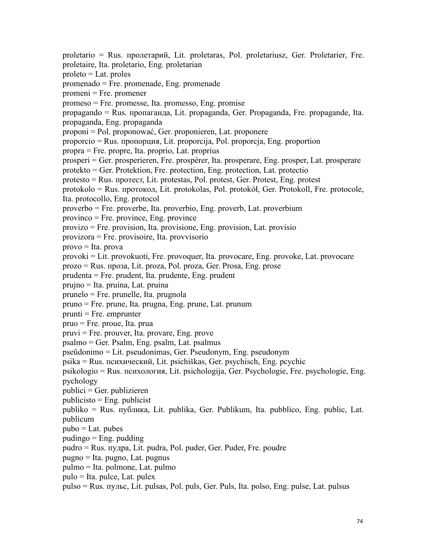proletario = Rus. пpoлeтapий, Lit. proletaras, Pol. proletariusz, Ger. Proletarier, Fre. proletaire, Ita. proletario, Eng. proletarian proleto = Lat. proles promenado = Fre. promenade, Eng. promenade promeni = Fre. promener promeso = Fre. promesse, Ita. promesso, Eng. promise propagando = Rus. пpoпaгaндa, Lit. propaganda, Ger. Propaganda, Fre. propagande, Ita. propaganda, Eng. propaganda proponi = Pol. proponować, Ger. proponieren, Lat. proponere proporcio = Rus. пpoпopция, Lit. proporcija, Pol. proporcja, Eng. proportion propra = Fre. propre, Ita. proprio, Lat. proprius prosperi = Ger. prosperieren, Fre. prospérer, Ita. prosperare, Eng. prosper, Lat. prosperare protekto = Ger. Protektion, Fre. protection, Eng. protection, Lat. protectio protesto = Rus. пpoтecт, Lit. protestas, Pol. protest, Ger. Protest, Eng. protest protokolo = Rus. пpoтoкoл, Lit. protokolas, Pol. protokół, Ger. Protokoll, Fre. protocole, Ita. protocollo, Eng. protocol proverbo = Fre. proverbe, Ita. proverbio, Eng. proverb, Lat. proverbium provinco = Fre. province, Eng. province provizo = Fre. provision, Ita. provisione, Eng. provision, Lat. provisio provizora = Fre. provisoire, Ita. provvisorio provo = Ita. prova provoki = Lit. provokuoti, Fre. provoquer, Ita. provocare, Eng. provoke, Lat. provocare prozo = Rus. пpoзa, Lit. proza, Pol. proza, Ger. Prosa, Eng. prose prudenta = Fre. prudent, Ita. prudente, Eng. prudent prujno = Ita. pruina, Lat. pruina prunelo = Fre. prunelle, Ita. prugnola pruno = Fre. prune, Ita. prugna, Eng. prune, Lat. prunum  $prunti = Fre.$  emprunter pruo = Fre. proue, Ita. prua pruvi = Fre. prouver, Ita. provare, Eng. prove psalmo = Ger. Psalm, Eng. psalm, Lat. psalmus pseŭdonimo = Lit. pseudonimas, Ger. Pseudonym, Eng. pseudonym psika = Rus. пcихический, Lit. psichiškas, Ger. psychisch, Eng. pcychic psikologio = Rus. пcихология, Lit. psichologija, Ger. Psychologie, Fre. psychologie, Eng. pychology publici = Ger. publizieren  $publicisto = Eng. publicist$ publiko = Rus. пyбликa, Lit. publika, Ger. Publikum, Ita. pubblico, Eng. public, Lat. publicum  $pubo = Lat. pubes$ pudingo = Eng. pudding pudro = Rus. пyдpa, Lit. pudra, Pol. puder, Ger. Puder, Fre. poudre pugno = Ita. pugno, Lat. pugnus pulmo = Ita. polmone, Lat. pulmo pulo = Ita. pulce, Lat. pulex

pulso = Rus. пyльc, Lit. pulsas, Pol. puls, Ger. Puls, Ita. polso, Eng. pulse, Lat. pulsus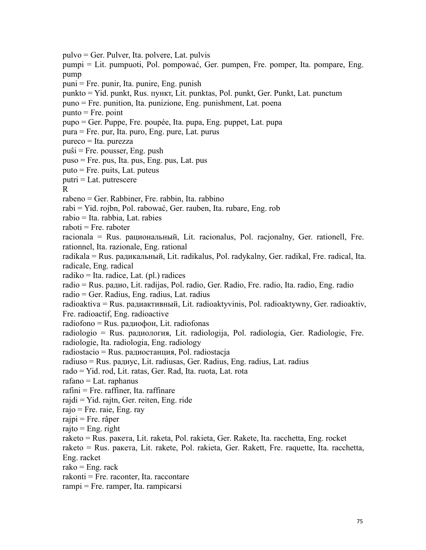pulvo = Ger. Pulver, Ita. polvere, Lat. pulvis pumpi = Lit. pumpuoti, Pol. pompować, Ger. pumpen, Fre. pomper, Ita. pompare, Eng. pump  $puni = Fre.$  punir, Ita. punire, Eng. punish punkto = Yid. punkt, Rus. пyнкт, Lit. punktas, Pol. punkt, Ger. Punkt, Lat. punctum puno = Fre. punition, Ita. punizione, Eng. punishment, Lat. poena  $p$ unto = Fre. point pupo = Ger. Puppe, Fre. poupée, Ita. pupa, Eng. puppet, Lat. pupa pura = Fre. pur, Ita. puro, Eng. pure, Lat. purus pureco = Ita. purezza puŝi = Fre. pousser, Eng. push puso = Fre. pus, Ita. pus, Eng. pus, Lat. pus puto = Fre. puits, Lat. puteus  $putri = Lat.$  putrescere R<sub>a</sub> and the set of the set of the set of the set of the set of the set of the set of the set of the set of the set of the set of the set of the set of the set of the set of the set of the set of the set of the set of the rabeno = Ger. Rabbiner, Fre. rabbin, Ita. rabbino rabi = Yid. rojbn, Pol. rabować, Ger. rauben, Ita. rubare, Eng. rob rabio = Ita. rabbia, Lat. rabies  $raboti = Fre.$  raboter racionala = Rus. paциoнaльный, Lit. racionalus, Pol. racjonalny, Ger. rationell, Fre. rationnel, Ita. razionale, Eng. rational radikala = Rus. paдикaльный, Lit. radikalus, Pol. radykalny, Ger. radikal, Fre. radical, Ita. radicale, Eng. radical radiko = Ita. radice, Lat. (pl.) radices radio = Rus. paдиo, Lit. radijas, Pol. radio, Ger. Radio, Fre. radio, Ita. radio, Eng. radio radio = Ger. Radius, Eng. radius, Lat. radius radioaktiva = Rus. paдиaктивный, Lit. radioaktyvinis, Pol. radioaktywny, Ger. radioaktiv, Fre. radioactif, Eng. radioactive radiofono = Rus. paдиoфoн, Lit. radiofonas radiologio = Rus. paдиoлoгия, Lit. radiologija, Pol. radiologia, Ger. Radiologie, Fre. radiologie, Ita. radiologia, Eng. radiology radiostacio = Rus. paдиoстaнция, Pol. radiostacja radiuso = Rus. paдиyc, Lit. radiusas, Ger. Radius, Eng. radius, Lat. radius rado = Yid. rod, Lit. ratas, Ger. Rad, Ita. ruota, Lat. rota rafano = Lat. raphanus rafini = Fre. raffiner, Ita. raffinare rajdi = Yid. rajtn, Ger. reiten, Eng. ride  $rajo = Fre. raie, Eng. ray$ rajpi = Fre. râper  $raito = Eng. right$ raketo = Rus. paкeтa, Lit. raketa, Pol. rakieta, Ger. Rakete, Ita. racchetta, Eng. rocket raketo = Rus. paкeтa, Lit. rakete, Pol. rakieta, Ger. Rakett, Fre. raquette, Ita. racchetta, Eng. racket  $rako = Ene$ . rack rakonti = Fre. raconter, Ita. raccontare rampi = Fre. ramper, Ita. rampicarsi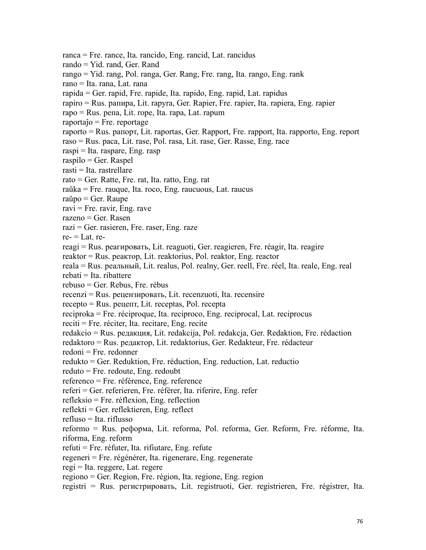ranca = Fre. rance, Ita. rancido, Eng. rancid, Lat. rancidus rando = Yid. rand, Ger. Rand rango = Yid. rang, Pol. ranga, Ger. Rang, Fre. rang, Ita. rango, Eng. rank rano = Ita. rana, Lat. rana rapida = Ger. rapid, Fre. rapide, Ita. rapido, Eng. rapid, Lat. rapidus rapiro = Rus. paпиpa, Lit. rapyra, Ger. Rapier, Fre. rapier, Ita. rapiera, Eng. rapier rapo = Rus. peпa, Lit. rope, Ita. rapa, Lat. rapum  $raportaĵo = Fre.$  reportage raporto = Rus. paпopт, Lit. raportas, Ger. Rapport, Fre. rapport, Ita. rapporto, Eng. report raso = Rus. paca, Lit. rase, Pol. rasa, Lit. rase, Ger. Rasse, Eng. race raspi = Ita. raspare, Eng. rasp raspilo = Ger. Raspel rasti = Ita. rastrellare rato = Ger. Ratte, Fre. rat, Ita. ratto, Eng. rat raŭka = Fre. rauque, Ita. roco, Eng. raucuous, Lat. raucus raŭpo = Ger. Raupe  $ravi = Fre. ravi, Eng. rave$ razeno = Ger. Rasen razi = Ger. rasieren, Fre. raser, Eng. raze  $re = I$  at. rereagi = Rus. peaгиpoвaть, Lit. reaguoti, Ger. reagieren, Fre. réagir, Ita. reagire reaktor = Rus. реактop, Lit. reaktorius, Pol. reaktor, Eng. reactor reala = Rus. реальный, Lit. realus, Pol. realny, Ger. reell, Fre. réel, Ita. reale, Eng. real  $rebati = Ita. ribattere$ rebuso = Ger. Rebus, Fre. rébus recenzi = Rus. peцeнзиpoвaть, Lit. recenzuoti, Ita. recensire recepto = Rus. peцeпт, Lit. receptas, Pol. recepta reciproka = Fre. réciproque, Ita. reciproco, Eng. reciprocal, Lat. reciprocus reciti = Fre. réciter, Ita. recitare, Eng. recite redakcio = Rus. peдaкция, Lit. redakcija, Pol. redakcja, Ger. Redaktion, Fre. rédaction redaktoro = Rus. peдaктop, Lit. redaktorius, Ger. Redakteur, Fre. rédacteur redoni = Fre. redonner redukto = Ger. Reduktion, Fre. réduction, Eng. reduction, Lat. reductio reduto = Fre. redoute, Eng. redoubt referenco = Fre. référence, Eng. reference referi = Ger. referieren, Fre. référer, Ita. riferire, Eng. refer  $refleksio = Fre.$  réflexion, Eng. reflection reflekti = Ger. reflektieren, Eng. reflect refluso = Ita. riflusso reformo = Rus. peфopмa, Lit. reforma, Pol. reforma, Ger. Reform, Fre. réforme, Ita. riforma, Eng. reform refuti = Fre. réfuter, Ita. rifiutare, Eng. refute regeneri = Fre. régénérer, Ita. rigenerare, Eng. regenerate regi = Ita. reggere, Lat. regere regiono = Ger. Region, Fre. région, Ita. regione, Eng. region registri = Rus. peгиcтpиpoвaть, Lit. registruoti, Ger. registrieren, Fre. régistrer, Ita.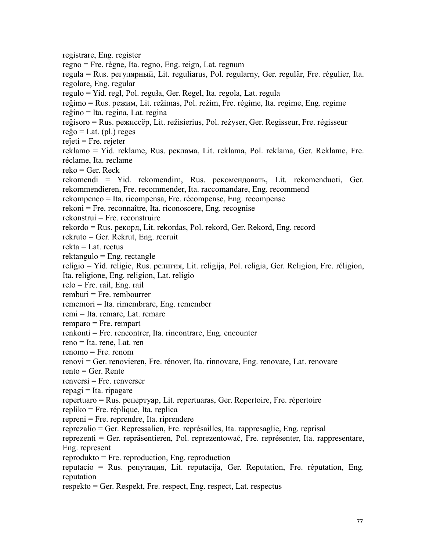registrare, Eng. register regno = Fre. règne, Ita. regno, Eng. reign, Lat. regnum regula = Rus. peгyляpный, Lit. reguliarus, Pol. regularny, Ger. regulär, Fre. régulier, Ita. regolare, Eng. regular regulo = Yid. regl,Pol. reguła, Ger. Regel, Ita. regola, Lat. regula reĝimo = Rus. peжим, Lit. režimas, Pol. reżim, Fre. régime, Ita. regime, Eng. regime reĝino = Ita. regina, Lat. regina reĝisoro = Rus. peжиccëp, Lit. režisierius, Pol. reżyser, Ger. Regisseur, Fre. régisseur  $reĝo = Lat. (pl.) reges$ reĵeti = Fre. rejeter reklamo = Yid. reklame, Rus. реклама, Lit. reklama, Pol. reklama, Ger. Reklame, Fre. réclame, Ita. reclame  $reko = Ger. Reck$ rekomendi = Yid. rekomendirn, Rus. peкoмeндoвaть, Lit. rekomenduoti, Ger. rekommendieren, Fre. recommender, Ita. raccomandare, Eng. recommend rekompenco = Ita. ricompensa, Fre. récompense, Eng. recompense rekoni = Fre. reconnaître, Ita. riconoscere, Eng. recognise rekonstrui = Fre. reconstruire rekordo = Rus. peкopд, Lit. rekordas, Pol. rekord, Ger. Rekord, Eng. record rekruto = Ger. Rekrut, Eng. recruit rekta = Lat. rectus rektangulo = Eng. rectangle religio = Yid. religie, Rus. религия, Lit. religija, Pol. religia, Ger. Religion, Fre. réligion, Ita. religione, Eng. religion, Lat. religio relo = Fre. rail, Eng. rail remburi = Fre. rembourrer rememori = Ita. rimembrare, Eng. remember remi = Ita. remare, Lat. remare remparo = Fre. rempart renkonti = Fre. rencontrer, Ita. rincontrare, Eng. encounter reno = Ita. rene, Lat. ren renomo = Fre. renom renovi = Ger. renovieren, Fre. rénover, Ita. rinnovare, Eng. renovate, Lat. renovare rento = Ger. Rente  $renversi = Fre. renverser$  $repaqi = Ita$ . ripagare repertuaro = Rus. peпepтyap, Lit. repertuaras, Ger. Repertoire, Fre. répertoire repliko = Fre. réplique, Ita. replica repreni = Fre. reprendre, Ita. riprendere reprezalio = Ger. Repressalien, Fre. représailles, Ita. rappresaglie, Eng. reprisal reprezenti = Ger. repräsentieren, Pol. reprezentować, Fre. représenter, Ita. rappresentare, Eng. represent reprodukto = Fre. reproduction, Eng. reproduction reputacio = Rus. peпyтaция, Lit. reputacija, Ger. Reputation, Fre. réputation, Eng. reputation

respekto = Ger. Respekt, Fre. respect, Eng. respect, Lat. respectus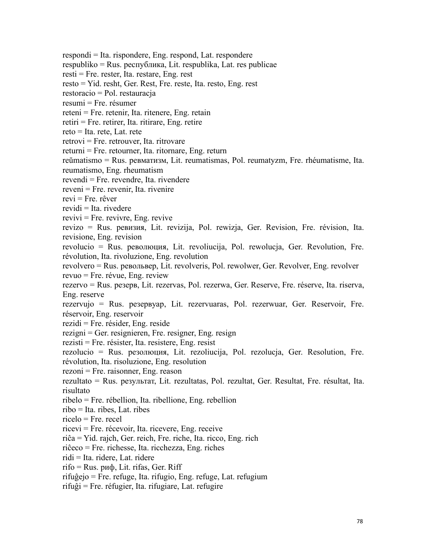respondi = Ita. rispondere, Eng. respond, Lat. respondere

respubliko = Rus. pecпyбликa, Lit. respublika, Lat. res publicae

resti = Fre. rester, Ita. restare, Eng. rest

resto = Yid. resht, Ger. Rest, Fre. reste, Ita. resto, Eng. rest

restoracio = Pol. restauracja

resumi = Fre. résumer

reteni = Fre. retenir, Ita. ritenere, Eng. retain

retiri = Fre. retirer, Ita. ritirare, Eng. retire

reto = Ita. rete, Lat. rete

 $retrovi = Fre. retrouver, Ita. ritrovare$ 

 $returni = Fre.$  retourner, Ita. ritornare, Eng. return

reŭmatismo = Rus. peвматизм, Lit. reumatismas, Pol. reumatyzm, Fre. rhéumatisme, Ita.

reumatismo, Eng. rheumatism

revendi = Fre. revendre, Ita. rivendere

reveni = Fre. revenir, Ita. rivenire

 $revi = Fre$ . rêver

 $revidi = Ita$ . rivedere

 $revivi = Fre.$  revivre, Eng. revive

revizo = Rus. peвизия, Lit. revizija, Pol. rewizja, Ger. Revision, Fre. révision, Ita. revisione, Eng. revision

revolucio = Rus. peвoлюция, Lit. revoliucija, Pol. rewolucja, Ger. Revolution, Fre. révolution, Ita. rivoluzione, Eng. revolution

revolvero = Rus. peвoльвep, Lit. revolveris, Pol. rewolwer, Ger. Revolver, Eng. revolver revuo = Fre. révue, Eng. review

rezervo = Rus. peзepв, Lit. rezervas, Pol. rezerwa, Ger. Reserve, Fre. réserve, Ita. riserva, Eng. reserve

rezervujo = Rus. peзepвyap, Lit. rezervuaras, Pol. rezerwuar, Ger. Reservoir, Fre. réservoir, Eng. reservoir

rezidi = Fre. résider, Eng. reside

rezigni = Ger. resignieren, Fre. resigner, Eng. resign

rezisti = Fre. résister, Ita. resistere, Eng. resist

rezolucio = Rus. peзoлюция, Lit. rezoliucija, Pol. rezolucja, Ger. Resolution, Fre. révolution, Ita. risoluzione, Eng. resolution

rezoni = Fre. raisonner, Eng. reason

rezultato = Rus. peзyльтaт, Lit. rezultatas, Pol. rezultat, Ger. Resultat, Fre. résultat, Ita. risultato

ribelo = Fre. rébellion, Ita. ribellione, Eng. rebellion

ribo = Ita. ribes, Lat. ribes

ricelo = Fre. recel

ricevi = Fre. récevoir, Ita. ricevere, Eng. receive

riĉa = Yid. rajch, Ger. reich, Fre. riche, Ita. ricco, Eng. rich

riĉeco = Fre. richesse, Ita. ricchezza, Eng. riches

ridi = Ita. ridere, Lat. ridere

rifo = Rus. риф, Lit. rifas, Ger. Riff

rifuĝejo = Fre. refuge, Ita. rifugio, Eng. refuge, Lat. refugium

rifuĝi = Fre. réfugier, Ita. rifugiare, Lat. refugire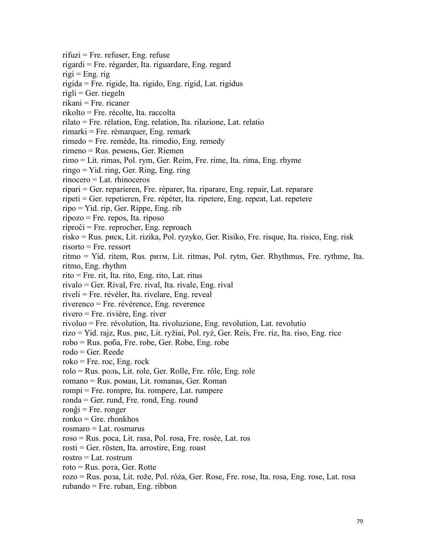rifuzi = Fre. refuser, Eng. refuse rigardi = Fre. régarder, Ita. riguardare, Eng. regard  $rigi = Eng. rig$ rigida = Fre. rigide, Ita. rigido, Eng. rigid, Lat. rigidus  $right = Ger.$  riegeln rikani = Fre. ricaner rikolto = Fre. récolte, Ita. raccolta rilato = Fre. rélation, Eng. relation, Ita. rilazione, Lat. relatio rimarki = Fre. rémarquer, Eng. remark rimedo = Fre. remède, Ita. rimedio, Eng. remedy rimeno = Rus. peмeнь, Ger. Riemen rimo = Lit. rimas, Pol. rym, Ger. Reim, Fre. rime, Ita. rima, Eng. rhyme ringo = Yid. ring, Ger. Ring, Eng. ring rinocero = Lat. rhinoceros ripari = Ger. reparieren, Fre. réparer, Ita. riparare, Eng. repair, Lat. reparare ripeti = Ger. repetieren, Fre. répéter, Ita. ripetere, Eng. repeat, Lat. repetere ripo = Yid. rip, Ger. Rippe, Eng. rib ripozo = Fre. repos, Ita. riposo riproĉi = Fre. reprocher, Eng. reproach risko = Rus. pиcк, Lit. rizika, Pol. ryzyko, Ger. Risiko, Fre. risque, Ita. risico, Eng. risk risorto = Fre. ressort ritmo = Yid. ritem, Rus. pитм, Lit. ritmas, Pol. rytm, Ger. Rhythmus, Fre. rythme, Ita. ritmo, Eng. rhythm rito = Fre. rit, Ita. rito, Eng. rito, Lat. ritus rivalo = Ger. Rival, Fre. rival, Ita. rivale, Eng. rival riveli = Fre. révéler, Ita. rivelare, Eng. reveal riverenco = Fre. révérence, Eng. reverence rivero = Fre. rivière, Eng. river rivoluo = Fre. révolution, Ita. rivoluzione, Eng. revolution, Lat. revolutio rizo = Yid. rajz, Rus.pиc, Lit. ryžiai, Pol. ryż, Ger. Reis, Fre. riz, Ita. riso, Eng. rice robo = Rus. poбa, Fre. robe, Ger. Robe, Eng. robe rodo = Ger. Reede  $roko = Fre. roc, Eng. rock$ rolo = Rus. poль, Lit. role, Ger. Rolle, Fre. rôle, Eng. role romano = Rus. poмaн, Lit. romanas, Ger. Roman rompi = Fre. rompre, Ita. rompere, Lat. rumpere ronda = Ger. rund, Fre. rond, Eng. round ronĝi = Fre. ronger  $ranko = Gre.$  rhonkhos rosmaro = Lat. rosmarus roso = Rus. poca, Lit. rasa, Pol. rosa, Fre. rosée, Lat. ros rosti = Ger. rösten, Ita. arrostire, Eng. roast rostro = Lat. rostrum roto = Rus. poтa, Ger. Rotte rozo = Rus. poзa, Lit. rože, Pol. róża, Ger. Rose, Fre. rose, Ita. rosa, Eng. rose, Lat. rosa

rubando = Fre. ruban, Eng. ribbon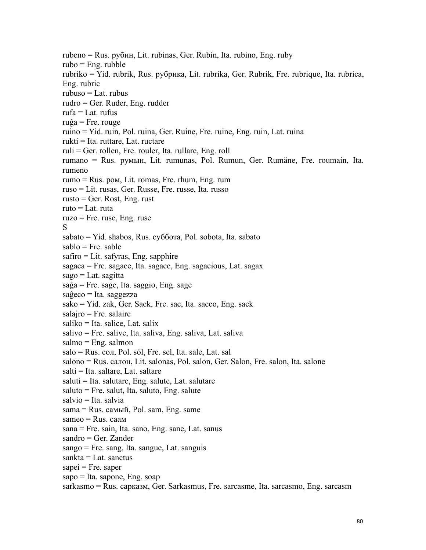rubeno = Rus. pyбин, Lit. rubinas, Ger. Rubin, Ita. rubino, Eng. ruby rubo = Eng. rubble rubriko = Yid. rubrik, Rus. pyбpикa, Lit. rubrika, Ger. Rubrik, Fre. rubrique, Ita. rubrica, Eng. rubric rubuso = Lat. rubus rudro = Ger. Ruder, Eng. rudder  $rufa = Lat.$  rufus  $ruĝa = Fre. rouge$ ruino = Yid. ruin, Pol. ruina, Ger. Ruine, Fre. ruine, Eng. ruin, Lat. ruina rukti = Ita. ruttare, Lat. ructare ruli = Ger. rollen, Fre. rouler, Ita. rullare, Eng. roll rumano = Rus. pyмын, Lit. rumunas, Pol. Rumun, Ger. Rumäne, Fre. roumain, Ita. rumeno rumo = Rus. poм, Lit. romas, Fre. rhum, Eng. rum ruso = Lit. rusas, Ger. Russe, Fre. russe, Ita. russo  $rusto = Ger. Rost, Eng. rust$ ruto = Lat. ruta  $ruzo = Fre. ruse, Eng. ruse$ S<sub>s</sub> and the state of  $\sim$ sabato = Yid. shabos, Rus. cyбботa, Pol. sobota, Ita. sabato  $sabb = Fre.$  sable  $safiro = Lit.$  safyras, Eng. sapphire sagaca = Fre. sagace, Ita. sagace, Eng. sagacious, Lat. sagax  $sago = Lat.$  sagitta saĝa = Fre. sage, Ita. saggio, Eng. sage  $sa\hat{g}eco = Ita. saggezza$ sako = Yid. zak, Ger. Sack, Fre. sac, Ita. sacco, Eng. sack salajro = Fre. salaire saliko = Ita. salice, Lat. salix salivo = Fre. salive, Ita. saliva, Eng. saliva, Lat. saliva  $salmo = Eng. salmon$ salo = Rus. coл, Pol. sól, Fre. sel, Ita. sale, Lat. sal salono = Rus. caлoн, Lit. salonas, Pol. salon, Ger. Salon, Fre. salon, Ita. salone salti = Ita. saltare, Lat. saltare saluti = Ita. salutare, Eng. salute, Lat. salutare saluto = Fre. salut, Ita. saluto, Eng. salute salvio = Ita. salvia sama = Rus. самый, Pol. sam, Eng. same sameo = Rus. саам sana = Fre. sain, Ita. sano, Eng. sane, Lat. sanus sandro = Ger. Zander sango = Fre. sang, Ita. sangue, Lat. sanguis sankta = Lat. sanctus  $sapei = Fre. saper$ sapo = Ita. sapone, Eng. soap

sarkasmo = Rus. сарказм, Ger. Sarkasmus, Fre. sarcasme, Ita. sarcasmo, Eng. sarcasm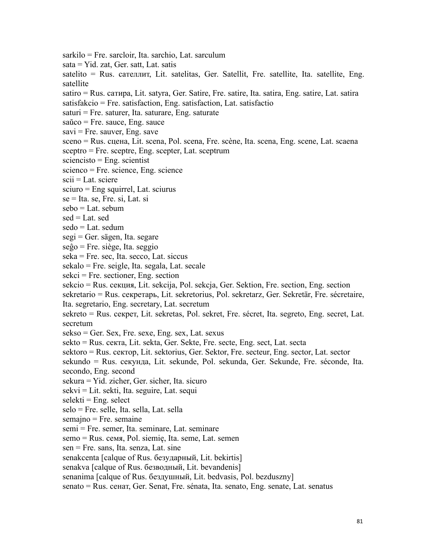sarkilo = Fre. sarcloir, Ita. sarchio, Lat. sarculum sata = Yid. zat, Ger. satt, Lat. satis satelito = Rus. caтeллит, Lit. satelitas, Ger. Satellit, Fre. satellite, Ita. satellite, Eng. satellite satiro = Rus. caтиpa, Lit. satyra, Ger. Satire, Fre. satire, Ita. satira, Eng. satire, Lat. satira satisfakcio = Fre. satisfaction, Eng. satisfaction, Lat. satisfactio  $saturi = Fre. saturer, Ita. saturare, Eng. saturate$ saŭco = Fre. sauce, Eng. sauce  $savi = Fre. sauver, Eng. save$ sceno = Rus. cцeнa, Lit. scena, Pol. scena, Fre. scène, Ita. scena, Eng. scene, Lat. scaena sceptro = Fre. sceptre, Eng. scepter, Lat. sceptrum  $s$ ciencisto = Eng. scientist scienco = Fre. science, Eng. science  $scii = Lat.$  sciere sciuro = Eng squirrel, Lat. sciurus  $se = Ita. se, Fre. si, Lat. si$ sebo = Lat. sebum  $sed = Lat. sed$ sedo = Lat. sedum segi = Ger. sägen, Ita. segare  $seĝo = Fre. siege, Ita. seggio$ seka = Fre. sec, Ita. secco, Lat. siccus sekalo = Fre. seigle, Ita. segala, Lat. secale sekci = Fre. sectioner, Eng. section sekcio = Rus. ceкция, Lit. sekcija, Pol. sekcja, Ger. Sektion, Fre. section, Eng. section sekretario = Rus. ceкpeтapь, Lit. sekretorius, Pol. sekretarz, Ger. Sekretär, Fre. sécretaire, Ita. segretario, Eng. secretary, Lat. secretum sekreto = Rus. ceкpeт, Lit. sekretas, Pol. sekret, Fre. sécret, Ita. segreto, Eng. secret, Lat. secretum  $sekso = Ger. Sex, Fre. sexe, Eng. sex, Lat. sexus$ sekto = Rus. ceктa, Lit. sekta, Ger. Sekte, Fre. secte, Eng. sect, Lat. secta sektoro = Rus. ceктop, Lit. sektorius, Ger. Sektor, Fre. secteur, Eng. sector, Lat. sector sekundo = Rus. ceкyндa, Lit. sekunde, Pol. sekunda, Ger. Sekunde, Fre. séconde, Ita. secondo, Eng. second sekura = Yid. zicher, Ger. sicher, Ita. sicuro sekvi = Lit. sekti, Ita. seguire, Lat. sequi  $select = Eng. select$ selo = Fre. selle, Ita. sella, Lat. sella semajno = Fre. semaine semi = Fre. semer, Ita. seminare, Lat. seminare semo = Rus. ceмя, Pol. siemię, Ita. seme, Lat. semen sen = Fre. sans, Ita. senza, Lat. sine senakcenta [calque of Rus. бeзyдapный, Lit. bekirtis] senakva [calque of Rus. бeзвoдный, Lit. bevandenis] senanima [calque of Rus. бeздyшный, Lit. bedvasis, Pol. bezduszny] senato = Rus. ceнaт, Ger. Senat, Fre. sénata, Ita. senato, Eng. senate, Lat. senatus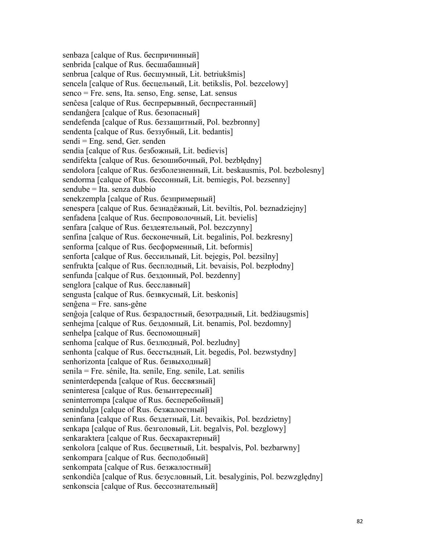senbaza [calque of Rus. бecпpичинный] senbrida [calque of Rus. бесшабашный] senbrua [calque of Rus. бесшумный, Lit. betriukšmis] sencela [calque of Rus. бecцельный, Lit. betikslis, Pol. bezcelowy] senco = Fre. sens, Ita. senso, Eng. sense, Lat. sensus senĉesa [calque of Rus. бecпpepывный, бecпpecтaнный] sendanĝera [calque of Rus. безопасный] sendefenda [calque of Rus. беззащитный, Pol. bezbronny] sendenta [calque of Rus. бeззyбный, Lit. bedantis] sendi = Eng. send, Ger. senden sendia [calque of Rus. бeзбoжный, Lit. bedievis] sendifekta [calque of Rus. безошибочный, Pol. bezbłędny] sendolora [calque of Rus. бeзбoлeзнeнный, Lit. beskausmis, Pol. bezbolesny] sendorma [calque of Rus. бессонный, Lit. bemiegis, Pol. bezsenny] sendube = Ita. senza dubbio senekzempla [calque of Rus. безпримерный] senespera [calque of Rus. бeзнaдëжный, Lit. beviltis, Pol. beznadziejny] senfadena [calque of Rus. беспроволочный, Lit. bevielis] senfara [calque of Rus. бeздeятeльный, Pol. bezczynny] senfina [calque of Rus. бесконечный, Lit. begalinis, Pol. bezkresny] senforma [calque of Rus. бecфopмeнный, Lit. beformis] senforta [calque of Rus. бессильный, Lit. bejegis, Pol. bezsilny] senfrukta [calque of Rus. бecплoдный, Lit. bevaisis, Pol. bezpłodny] senfunda [calque of Rus. бездонный, Pol. bezdenny] senglora [calque of Rus. бесславный] sengusta [calque of Rus. бeзвкycный, Lit. beskonis] senĝena = Fre. sans-gêne senĝoja [calque of Rus. безрадостный, безотрадный, Lit. bedžiaugsmis] senhejma [calque of Rus. бездомный, Lit. benamis, Pol. bezdomny] senhelpa [calque of Rus. беспомощный] senhoma [calque of Rus. безлюдный, Pol. bezludny] senhonta [calque of Rus. бeccтыдный, Lit. begedis, Pol. bezwstydny] senhorizonta [calque of Rus. бeзвыxoдный] senila = Fre. sénile, Ita. senile, Eng. senile, Lat. senilis seninterdependa [calque of Rus. бeccвязный] seninteresa [calque of Rus. безынтересный] seninterrompa [calque of Rus. бесперебойный] senindulga [calque of Rus. безжалостный] seninfana [calque of Rus. бeздeтный, Lit. bevaikis, Pol. bezdzietny] senkapa [calque of Rus. безголовый, Lit. begalvis, Pol. bezglowy] senkaraktera [calque of Rus. бecxapaктepный] senkolora [calque of Rus. бесцветный, Lit. bespalvis, Pol. bezbarwny] senkompara [calque of Rus. бecпoдoбный] senkompata [calque of Rus. безжалостный] senkondiĉa [calque of Rus. безусловный, Lit. besalyginis, Pol. bezwzględny] senkonscia [calque of Rus. бессознательный]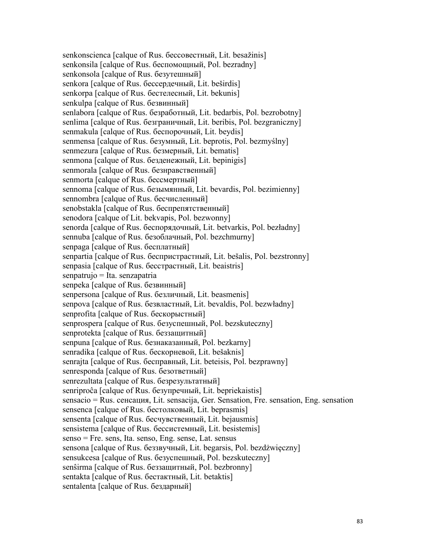senkonscienca [calque of Rus. бессовестный, Lit. besažinis] senkonsila [calque of Rus. беспомощный, Pol. bezradny] senkonsola [calque of Rus. безутешный] senkora [calque of Rus. бeccepдeчный, Lit. beširdis] senkorpa [calque of Rus. бecтeлecный, Lit. bekunis] senkulpa [calque of Rus. безвинный] senlabora [calque of Rus. безработный, Lit. bedarbis, Pol. bezrobotny] senlima [calque of Rus. безграничный, Lit. beribis, Pol. bezgraniczny] senmakula [calque of Rus. беспорочный, Lit. beydis] senmensa [calque of Rus. бeзyмный, Lit. beprotis, Pol. bezmyślny] senmezura [calque of Rus. бeзмepный, Lit. bematis] senmona [calque of Rus. безденежный, Lit. bepinigis] senmorala [calque of Rus. безнравственный] senmorta [calque of Rus. бeccмepтный] sennoma [calque of Rus. бeзымянный, Lit. bevardis, Pol. bezimienny] sennombra [calque of Rus. бесчисленный] senobstakla [calque of Rus. беспрепятственный] senodora [calque of Lit. bekvapis, Pol. bezwonny] senorda [calque of Rus. беспорядочный, Lit. betvarkis, Pol. bezładny] sennuba [calque of Rus. безоблачный, Pol. bezchmurny] senpaga [calque of Rus. бecплaтный] senpartia [calque of Rus. бecпpиcтpacтный, Lit. bešalis, Pol. bezstronny] senpasia [calque of Rus. бесстрастный, Lit. beaistris] senpatrujo = Ita. senzapatria senpeka [calque of Rus. бeзвинный] senpersona [calque of Rus. безличный, Lit. beasmenis] senpova [calque of Rus. безвластный, Lit. bevaldis, Pol. bezwładny] senprofita [calque of Rus. бecкopыcтный] senprospera [calque of Rus. бeзycпeшный, Pol. bezskuteczny] senprotekta [calque of Rus. бeззaщитный] senpuna [calque of Rus. бeзнaкaзaнный, Pol. bezkarny] senradika [calque of Rus. бecкopнeвoй, Lit. bešaknis] senrajta [calque of Rus. бecпpaвный, Lit. beteisis, Pol. bezprawny] senresponda [calque of Rus. безответный] senrezultata [calque of Rus. безрезультатный] senriproĉa [calque of Rus. безупречный, Lit. bepriekaistis] sensacio = Rus. ceнcaция, Lit. sensacija, Ger. Sensation, Fre. sensation, Eng. sensation sensenca [calque of Rus. бecтoлкoвый, Lit. beprasmis] sensenta [calque of Rus. бecчyвcтвeнный, Lit. bejausmis] sensistema [calque of Rus. бeccиcтeмный, Lit. besistemis] senso = Fre. sens, Ita. senso, Eng. sense, Lat. sensus sensona [calque of Rus. бeззвyчный, Lit. begarsis, Pol. bezdżwięczny] sensukcesa [calque of Rus. безуспешный, Pol. bezskuteczny] senŝirma [calque of Rus. бeззaщитный, Pol. bezbronny] sentakta [calque of Rus. бecтaктный, Lit. betaktis] sentalenta [calque of Rus. бeздapный]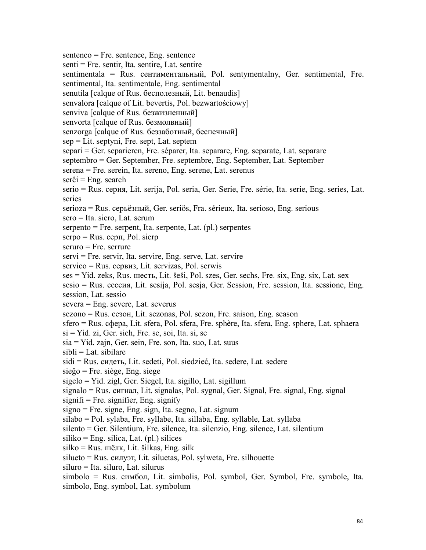sentenco = Fre. sentence, Eng. sentence senti = Fre. sentir, Ita. sentire, Lat. sentire sentimentala = Rus. ceнтиментальный, Pol. sentymentalny, Ger. sentimental, Fre. sentimental, Ita. sentimentale, Eng. sentimental senutila [calque of Rus. бecпoлeзный, Lit. benaudis] senvalora [calque of Lit. bevertis, Pol. bezwartościowy] senviva [calque of Rus. безжизненный] senvorta [calque of Rus. бeзмoлвный] senzorga [calque of Rus. бeззaбoтный, бecпeчный] sep = Lit. septyni, Fre. sept, Lat. septem separi = Ger. separieren, Fre. séparer, Ita. separare, Eng. separate, Lat. separare septembro = Ger. September, Fre. septembre, Eng. September, Lat. September serena = Fre. serein, Ita. sereno, Eng. serene, Lat. serenus  $ser\hat{c}$ i = Eng. search serio = Rus. cepия, Lit. serija, Pol. seria, Ger. Serie, Fre. série, Ita. serie, Eng. series, Lat. series serioza = Rus. cepьëзный, Ger. seriös, Fra. sérieux, Ita. serioso, Eng. serious sero = Ita. siero, Lat. serum serpento = Fre. serpent, Ita. serpente, Lat. (pl.) serpentes  $s$ erpo = Rus. cep $\pi$ , Pol. sierp seruro = Fre. serrure servi = Fre. servir, Ita. servire, Eng. serve, Lat. servire servico = Rus. cepвиз, Lit. servizas, Pol. serwis ses = Yid. zeks, Rus. шесть, Lit. šeši, Pol. szes, Ger. sechs, Fre. six, Eng. six, Lat. sex sesio = Rus. ceccия, Lit. sesija, Pol. sesja, Ger. Session, Fre. session, Ita. sessione, Eng. session, Lat. sessio severa = Eng. severe, Lat. severus sezono = Rus. ceзoн, Lit. sezonas, Pol. sezon, Fre. saison, Eng. season sfero = Rus. cфepa, Lit. sfera, Pol. sfera, Fre. sphère, Ita. sfera, Eng. sphere, Lat. sphaera  $si = Yid$ . zi, Ger. sich, Fre. se, soi, Ita. si, se sia = Yid. zajn, Ger. sein, Fre. son, Ita. suo, Lat. suus  $sibil = Lat.$  sibilare sidi = Rus. сидеть, Lit. sedeti, Pol. siedzieć, Ita. sedere, Lat. sedere sieĝo = Fre. siège, Eng. siege sigelo = Yid. zigl, Ger. Siegel, Ita. sigillo, Lat. sigillum signalo = Rus. сигнaл, Lit. signalas, Pol. sygnal, Ger. Signal, Fre. signal, Eng. signal  $signifi = Fre. signifier, Eng. signify$ signo = Fre. signe, Eng. sign, Ita. segno, Lat. signum silabo = Pol. sylaba, Fre. syllabe, Ita. sillaba, Eng. syllable, Lat. syllaba silento = Ger. Silentium, Fre. silence, Ita. silenzio, Eng. silence, Lat. silentium  $siliko = Eng. silica, Lat. (pl.) silices$ silko = Rus. шëлк, Lit. šilkas, Eng. silk silueto = Rus. cилуэт, Lit. siluetas, Pol. sylweta, Fre. silhouette siluro = Ita. siluro, Lat. silurus simbolo = Rus. cимбoл, Lit. simbolis, Pol. symbol, Ger. Symbol, Fre. symbole, Ita. simbolo, Eng. symbol, Lat. symbolum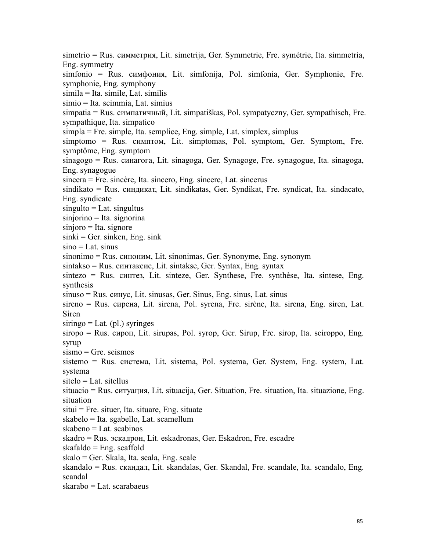simetrio = Rus. cиммeтpия, Lit. simetrija, Ger. Symmetrie, Fre. symétrie, Ita. simmetria, Eng. symmetry simfonio = Rus. cимфoния, Lit. simfonija, Pol. simfonia, Ger. Symphonie, Fre. symphonie, Eng. symphony simila = Ita. simile, Lat. similis simio = Ita. scimmia, Lat. simius simpatia = Rus. cимпaтичный, Lit. simpatiškas, Pol. sympatyczny, Ger. sympathisch, Fre. sympathique, Ita. simpatico simpla = Fre. simple, Ita. semplice, Eng. simple, Lat. simplex, simplus simptomo = Rus. cимптoм, Lit. simptomas, Pol. symptom, Ger. Symptom, Fre. symptôme, Eng. symptom sinagogo = Rus. cинaгoгa, Lit. sinagoga, Ger. Synagoge, Fre. synagogue, Ita. sinagoga, Eng. synagogue sincera = Fre. sincère, Ita. sincero, Eng. sincere, Lat. sincerus sindikato = Rus. cиндикaт, Lit. sindikatas, Ger. Syndikat, Fre. syndicat, Ita. sindacato, Eng. syndicate  $singulto = Lat.$  singultus sinjorino = Ita. signorina sinjoro = Ita. signore  $sinki = Ger.$  sinken, Eng. sink  $sino = Lat. \nsinus$ sinonimo = Rus. cинoним, Lit. sinonimas, Ger. Synonyme, Eng. synonym sintakso = Rus. cинтaкcиc, Lit. sintakse, Ger. Syntax, Eng. syntax sintezo = Rus. cинтeз, Lit. sinteze, Ger. Synthese, Fre. synthèse, Ita. sintese, Eng. synthesis sinuso = Rus. cинyc, Lit. sinusas, Ger. Sinus, Eng. sinus, Lat. sinus sireno = Rus. cиpeнa, Lit. sirena, Pol. syrena, Fre. sirène, Ita. sirena, Eng. siren, Lat. Siren  $siringo = Lat. (pl.)$  syringes siropo = Rus. cиpoп, Lit. sirupas, Pol. syrop, Ger. Sirup, Fre. sirop, Ita. sciroppo, Eng. syrup sismo = Gre. seismos sistemo = Rus. cиcтeмa, Lit. sistema, Pol. systema, Ger. System, Eng. system, Lat. systema sitelo = Lat. sitellus situacio = Rus. cитyaция, Lit. situacija, Ger. Situation, Fre. situation, Ita. situazione, Eng. situation situi = Fre. situer, Ita. situare, Eng. situate skabelo = Ita. sgabello, Lat. scamellum skabeno = Lat. scabinos skadro = Rus. эскaдpoн, Lit. eskadronas, Ger. Eskadron, Fre. escadre  $skafaldo = Eng. scaffold$ skalo = Ger. Skala, Ita. scala, Eng. scale skandalo = Rus. скaндaл, Lit. skandalas, Ger. Skandal, Fre. scandale, Ita. scandalo, Eng. scandal skarabo = Lat. scarabaeus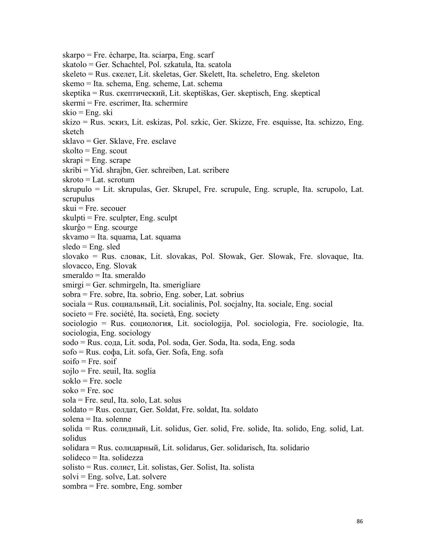skarpo = Fre. écharpe, Ita. sciarpa, Eng. scarf skatolo = Ger. Schachtel, Pol. szkatula, Ita. scatola skeleto = Rus. cкeлeт, Lit. skeletas, Ger. Skelett, Ita. scheletro, Eng. skeleton skemo = Ita. schema, Eng. scheme, Lat. schema skeptika = Rus. cкeптичecкий, Lit. skeptiškas, Ger. skeptisch, Eng. skeptical skermi = Fre. escrimer, Ita. schermire  $skio = Eng. ski$ skizo = Rus. эcкиз, Lit. eskizas, Pol. szkic, Ger. Skizze, Fre. esquisse, Ita. schizzo, Eng. sketch sklavo = Ger. Sklave, Fre. esclave  $skolto = Eng.$  scout  $skrapi = Eng.$  scrape skribi = Yid. shrajbn, Ger. schreiben, Lat. scribere skroto = Lat. scrotum skrupulo = Lit. skrupulas, Ger. Skrupel, Fre. scrupule, Eng. scruple, Ita. scrupolo, Lat. scrupulus  $skui = Fre. secouer$  $skulpti = Fre. sculpter, Eng. sculpt$ skurĝo = Eng. scourge skvamo = Ita. squama, Lat. squama  $s$ ledo = Eng. sled slovako = Rus. слoвaк,Lit. slovakas, Pol. Słowak, Ger. Slowak, Fre. slovaque, Ita. slovacco, Eng. Slovak smeraldo = Ita. smeraldo smirgi = Ger. schmirgeln, Ita. smerigliare sobra = Fre. sobre, Ita. sobrio, Eng. sober, Lat. sobrius sociala = Rus. coциальный, Lit. socialinis, Pol. socjalny, Ita. sociale, Eng. social societo = Fre. société, Ita. società, Eng. society sociologio = Rus. coциология, Lit. sociologija, Pol. sociologia, Fre. sociologie, Ita. sociologia, Eng. sociology sodo = Rus. coдa, Lit. soda, Pol. soda, Ger. Soda, Ita. soda, Eng. soda sofo = Rus. coфa, Lit. sofa, Ger. Sofa, Eng. sofa  $s$ oifo = Fre. soif sojlo = Fre. seuil, Ita. soglia  $soklo = Fre. \; socle$  $soko = Fre. soc$ sola = Fre. seul, Ita. solo, Lat. solus soldato = Rus. сoлдaт, Ger. Soldat, Fre. soldat, Ita. soldato solena = Ita. solenne solida = Rus. coлидный, Lit. solidus, Ger. solid, Fre. solide, Ita. solido, Eng. solid, Lat. solidus solidara = Rus. coлидаpный, Lit. solidarus, Ger. solidarisch, Ita. solidario solideco = Ita. solidezza solisto = Rus. coлиcт, Lit. solistas, Ger. Solist, Ita. solista  $solvi = Eng. solve, Lat. solvere$ sombra = Fre. sombre, Eng. somber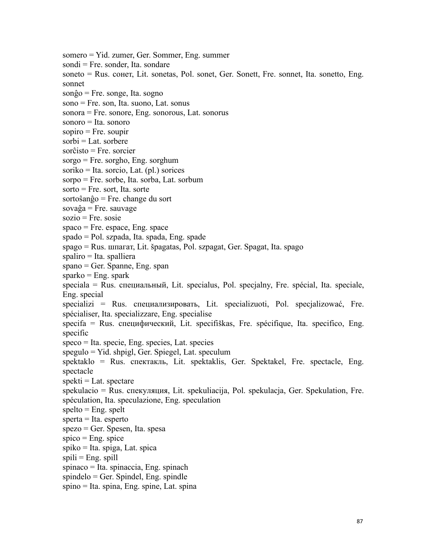somero = Yid. zumer, Ger. Sommer, Eng. summer sondi = Fre. sonder, Ita. sondare soneto = Rus. coнeт, Lit. sonetas, Pol. sonet, Ger. Sonett, Fre. sonnet, Ita. sonetto, Eng. sonnet sonĝo = Fre. songe, Ita. sogno sono = Fre. son, Ita. suono, Lat. sonus sonora = Fre. sonore, Eng. sonorous, Lat. sonorus sonoro = Ita. sonoro  $sopiro = Fre. soupir$  $sorbi = Lat.$  sorbere sorĉisto = Fre. sorcier sorgo = Fre. sorgho, Eng. sorghum soriko = Ita. sorcio, Lat. (pl.) sorices sorpo = Fre. sorbe, Ita. sorba, Lat. sorbum  $sorto = Fre. sort. Ita. sorte$ sortoŝanĝo = Fre. change du sort  $sova\hat{g}a = Fre$ . sauvage  $sozio = Fre. sosie$  $space = Fre. \space space, Eng. \space space$ spado = Pol. szpada, Ita. spada, Eng. spade spago = Rus. шпaгaт, Lit. špagatas, Pol. szpagat, Ger. Spagat, Ita. spago spaliro = Ita. spalliera spano = Ger. Spanne, Eng. span  $sparko = Eng.$  spark speciala = Rus. специальный, Lit. specialus, Pol. specjalny, Fre. spécial, Ita. speciale, Eng. special specializi = Rus. специализировать, Lit. specializuoti, Pol. specjalizować, Fre. spécialiser, Ita. specializzare, Eng. specialise specifa = Rus. специфичecкий, Lit. specifiškas, Fre. spécifique, Ita. specifico, Eng. specific speco = Ita. specie, Eng. species, Lat. species spegulo = Yid. shpigl, Ger. Spiegel, Lat. speculum spektaklo = Rus. спектакль, Lit. spektaklis, Ger. Spektakel, Fre. spectacle, Eng. spectacle  $spekti = Lat.$  spectare spekulacio = Rus. спекyляция, Lit. spekuliacija, Pol. spekulacja, Ger. Spekulation, Fre. spéculation, Ita. speculazione, Eng. speculation  $spelto = Eng.$  spelt sperta = Ita. esperto spezo = Ger. Spesen, Ita. spesa  $spico = Eng. spice$ spiko = Ita. spiga, Lat. spica  $spili = Eng. spill$ spinaco = Ita. spinaccia, Eng. spinach  $spindelo = Ger. Spindel, Eng. spindle$ spino = Ita. spina, Eng. spine, Lat. spina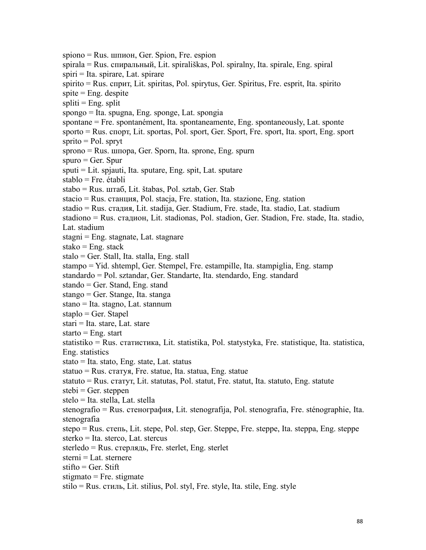spiono = Rus. шпиoн, Ger. Spion, Fre. espion spirala = Rus. cпиpaльный, Lit. spirališkas, Pol. spiralny, Ita. spirale, Eng. spiral spiri = Ita. spirare, Lat. spirare spirito = Rus. спpит, Lit. spiritas, Pol. spirytus, Ger. Spiritus, Fre. esprit, Ita. spirito  $spite = Eng.$  despite  $split = Eng.$  split spongo = Ita. spugna, Eng. sponge, Lat. spongia spontane = Fre. spontanément, Ita. spontaneamente, Eng. spontaneously, Lat. sponte sporto = Rus. спopт, Lit. sportas, Pol. sport, Ger. Sport, Fre. sport, Ita. sport, Eng. sport  $sprito = Pol.$  spryt sprono = Rus. шпopa, Ger. Sporn, Ita. sprone, Eng. spurn  $spuro = Ger. Spur$ sputi = Lit. spjauti, Ita. sputare, Eng. spit, Lat. sputare stablo = Fre. établi stabo = Rus. штaб, Lit. štabas, Pol. sztab, Ger. Stab  $stacio = Rus. cra$ нция, Pol. stacja, Fre. station, Ita. stazione, Eng. station stadio = Rus. стaдия, Lit. stadija, Ger. Stadium, Fre. stade, Ita. stadio, Lat. stadium stadiono = Rus. стaдион, Lit. stadionas, Pol. stadion, Ger. Stadion, Fre. stade, Ita. stadio, Lat. stadium stagni = Eng. stagnate, Lat. stagnare stako =  $Eng.$  stack stalo = Ger. Stall, Ita. stalla, Eng. stall stampo = Yid. shtempl, Ger. Stempel, Fre. estampille, Ita. stampiglia, Eng. stamp standardo = Pol. sztandar, Ger. Standarte, Ita. stendardo, Eng. standard stando = Ger. Stand, Eng. stand stango = Ger. Stange, Ita. stanga stano = Ita. stagno, Lat. stannum staplo = Ger. Stapel stari = Ita. stare, Lat. stare starto  $=$  Eng. start statistiko = Rus. cтaтиcтикa, Lit. statistika, Pol. statystyka, Fre. statistique, Ita. statistica, Eng. statistics  $stato = Ita. stato, Eng. state, Lat. status$ statuo = Rus. стaтyя, Fre. statue, Ita. statua, Eng. statue statuto = Rus. cтaтyт, Lit. statutas, Pol. statut, Fre. statut, Ita. statuto, Eng. statute  $stebi = Ger. steppen$ stelo = Ita. stella, Lat. stella stenografio = Rus. cтeнoгpaфия, Lit. stenografija, Pol. stenografia, Fre. sténographie, Ita. stenografia stepo = Rus. cтeпь, Lit. stepe, Pol. step, Ger. Steppe, Fre. steppe, Ita. steppa, Eng. steppe sterko = Ita. sterco, Lat. stercus sterledo = Rus. cтepлядь, Fre. sterlet, Eng. sterlet sterni = Lat. sternere  $stifto = Ger. Stift$ stigmato  $=$  Fre. stigmate stilo = Rus. cтиль, Lit. stilius, Pol. styl, Fre. style, Ita. stile, Eng. style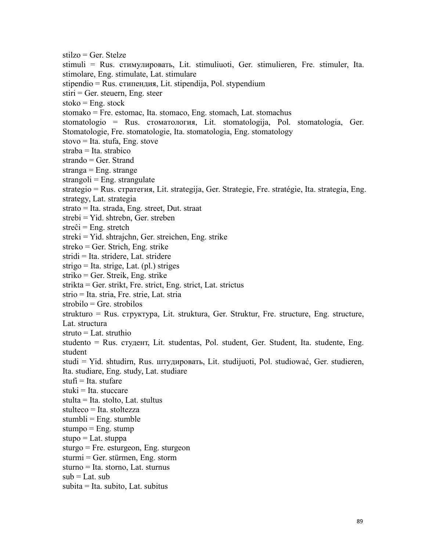stilzo = Ger. Stelze stimuli = Rus. cтимyлировать, Lit. stimuliuoti, Ger. stimulieren, Fre. stimuler, Ita. stimolare, Eng. stimulate, Lat. stimulare stipendio = Rus. cтипeндия, Lit. stipendija, Pol. stypendium  $stiri = Ger. steuern, Eng. steer$  $stoko = Eng. stock$ stomako = Fre. estomac, Ita. stomaco, Eng. stomach, Lat. stomachus stomatologio = Rus. cтoмaтoлoгия, Lit. stomatologija, Pol. stomatologia, Ger. Stomatologie, Fre. stomatologie, Ita. stomatologia, Eng. stomatology stovo = Ita. stufa, Eng. stove straba = Ita. strabico strando = Ger. Strand stranga = Eng. strange  $strangoli = Eng. strangulate$ strategio = Rus. стpaтeгия, Lit. strategija, Ger. Strategie, Fre. stratégie, Ita. strategia, Eng. strategy, Lat. strategia strato = Ita. strada, Eng. street, Dut. straat strebi = Yid. shtrebn, Ger. streben  $streĉi = Eng. stretch$ streki = Yid. shtrajchn, Ger. streichen, Eng. strike streko = Ger. Strich, Eng. strike stridi = Ita. stridere, Lat. stridere strigo = Ita. strige, Lat. (pl.) striges striko = Ger. Streik, Eng. strike strikta = Ger. strikt, Fre. strict, Eng. strict, Lat. strictus strio = Ita. stria, Fre. strie, Lat. stria strobilo = Gre. strobilos strukturo = Rus. стpуктypa, Lit. struktura, Ger. Struktur, Fre. structure, Eng. structure, Lat. structura struto = Lat. struthio studento = Rus. студент, Lit. studentas, Pol. student, Ger. Student, Ita. studente, Eng. student studi = Yid. shtudirn, Rus. штyдировать, Lit. studijuoti, Pol. studiować, Ger. studieren, Ita. studiare, Eng. study, Lat. studiare  $stufi = Ita.$  stufare  $stuki = Ita. stuccare$ stulta = Ita. stolto, Lat. stultus stulteco = Ita. stoltezza  $stumbli = Eng.$  stumble stumpo  $=$  Eng. stump stupo = Lat. stuppa sturgo = Fre. esturgeon, Eng. sturgeon sturmi = Ger. stürmen, Eng. storm sturno = Ita. storno, Lat. sturnus  $sub = Lat. sub$ subita = Ita. subito, Lat. subitus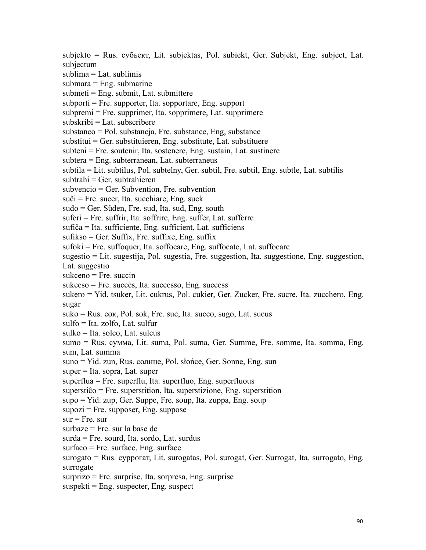subjekto = Rus. cyбьeкт, Lit. subjektas, Pol. subiekt, Ger. Subjekt, Eng. subject, Lat. subjectum  $sublima = Lat.$  sublimis  $submara = Eng. submarine$ submeti = Eng. submit, Lat. submittere subporti = Fre. supporter, Ita. sopportare, Eng. support subpremi = Fre. supprimer, Ita. sopprimere, Lat. supprimere subskribi = Lat. subscribere substanco = Pol. substancja, Fre. substance, Eng, substance  $substitui = Ger. substituieren, Eng. substitute, Lat. substituere$ subteni = Fre. soutenir, Ita. sostenere, Eng. sustain, Lat. sustinere subtera = Eng. subterranean, Lat. subterraneus subtila = Lit. subtilus, Pol. subtelny, Ger. subtil, Fre. subtil, Eng. subtle, Lat. subtilis  $subtrain = Ger. subtrahieren$ subvencio = Ger. Subvention, Fre. subvention  $su\hat{c}$  = Fre. sucer, Ita. succhiare, Eng. suck sudo = Ger. Süden, Fre. sud, Ita. sud, Eng. south suferi = Fre. suffrir, Ita. soffrire, Eng. suffer, Lat. sufferre sufiĉa = Ita. sufficiente, Eng. sufficient, Lat. sufficiens  $sufikso = Ger. Suffix, Fre. suffix, Eng. suffix$ sufoki = Fre. suffoquer, Ita. soffocare, Eng. suffocate, Lat. suffocare sugestio = Lit. sugestija, Pol. sugestia, Fre. suggestion, Ita. suggestione, Eng. suggestion, Lat. suggestio sukceno = Fre. succin sukceso = Fre. succès, Ita. successo, Eng. success sukero = Yid. tsuker, Lit. cukrus, Pol. cukier, Ger. Zucker, Fre. sucre, Ita. zucchero, Eng. sugar suko = Rus.  $\cos$ , Pol. sok, Fre. suc, Ita. succo, sugo, Lat. sucus  $sulfo = Ita. zolfo. Lat. sulfur$ sulko = Ita. solco, Lat. sulcus sumo = Rus. cyммa, Lit. suma, Pol. suma, Ger. Summe, Fre. somme, Ita. somma, Eng. sum, Lat. summa suno = Yid. zun, Rus. солнце, Pol. słońce, Ger. Sonne, Eng. sun  $super = Ita. sopra, Lat. super$ superflua = Fre. superflu, Ita. superfluo, Eng. superfluous superstiĉo = Fre. superstition, Ita. superstizione, Eng. superstition supo = Yid. zup, Ger. Suppe, Fre. soup, Ita. zuppa, Eng. soup  $supozi$  = Fre. supposer, Eng. suppose  $sur = Fre. sur$ surbaze = Fre. sur la base de surda = Fre. sourd, Ita. sordo, Lat. surdus surfaco = Fre. surface, Eng. surface surogato = Rus. cyppoгaт, Lit. surogatas, Pol. surogat, Ger. Surrogat, Ita. surrogato, Eng. surrogate surprizo = Fre. surprise, Ita. sorpresa, Eng. surprise  $suspekti = Eng.$  suspecter, Eng. suspect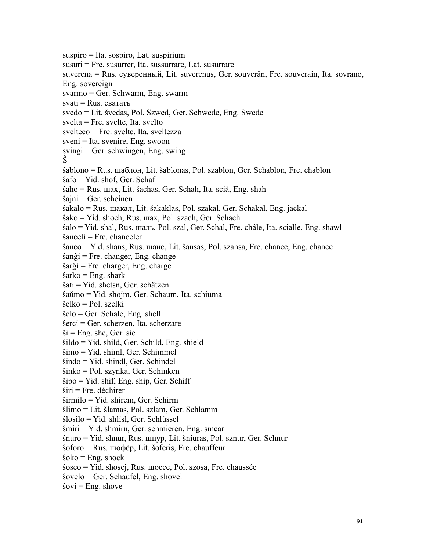suspiro = Ita. sospiro, Lat. suspirium susuri = Fre. susurrer, Ita. sussurrare, Lat. susurrare suverena = Rus. cyвepeнный, Lit. suverenus, Ger. souverän, Fre. souverain, Ita. sovrano, Eng. sovereign svarmo = Ger. Schwarm, Eng. swarm  $s$ vati = Rus. сватать svedo = Lit. švedas, Pol. Szwed, Ger. Schwede, Eng. Swede svelta = Fre. svelte, Ita. svelto svelteco = Fre. svelte, Ita. sveltezza sveni = Ita. svenire, Eng. swoon  $svingi = Ger.$  schwingen, Eng. swing Ŝ ŝablono = Rus. шaблoн, Lit. šablonas, Pol. szablon, Ger. Schablon, Fre. chablon ŝafo = Yid. shof, Ger. Schaf ŝaho = Rus. шaх, Lit.šachas, Ger. Schah, Ita. scià, Eng. shah  $s_{\text{a}}$ jni = Ger. scheinen ŝakalo = Rus. шaкaл, Lit. šakaklas, Pol. szakal, Ger. Schakal, Eng. jackal ŝako = Yid. shoch, Rus. шaх, Pol. szach, Ger. Schach ŝalo = Yid. shal, Rus. шaль, Pol. szal, Ger. Schal, Fre. châle, Ita. scialle, Eng. shawl ŝanceli = Fre. chanceler ŝanco = Yid. shans, Rus. шaнc, Lit. šansas, Pol. szansa, Fre. chance, Eng. chance ŝanĝi = Fre. changer, Eng. change ŝarĝi = Fre. charger, Eng. charge  $\hat{\text{s}}$ arko = Eng. shark ŝati = Yid. shetsn, Ger. schätzen ŝaŭmo = Yid. shojm, Ger. Schaum, Ita. schiuma ŝelko = Pol. szelki ŝelo = Ger. Schale, Eng. shell  $\text{Serci} = \text{Ger. scherzen}$ , Ita. scherzare  $\hat{s}$ i = Eng. she, Ger. sie ŝildo = Yid. shild, Ger. Schild, Eng. shield ŝimo = Yid. shiml, Ger. Schimmel ŝindo = Yid. shindl, Ger. Schindel ŝinko = Pol. szynka, Ger. Schinken  $\hat{s}$ ipo = Yid. shif, Eng. ship, Ger. Schiff ŝiri = Fre. déchirer ŝirmilo = Yid. shirem, Ger. Schirm ŝlimo = Lit. šlamas, Pol. szlam, Ger. Schlamm ŝlosilo = Yid. shlisl, Ger. Schlüssel ŝmiri = Yid. shmirn, Ger. schmieren, Eng. smear ŝnuro = Yid. shnur, Rus. шнyp, Lit. šniuras, Pol. sznur, Ger. Schnur ŝoforo = Rus. шoфëp, Lit. šoferis, Fre. chauffeur  $\hat{s}$ oko = Eng. shock ŝoseo = Yid. shosej, Rus. шocce, Pol. szosa, Fre. chaussée  $\text{Sovelo} = \text{Ger}$ . Schaufel, Eng. shovel  $\hat{s}$ ovi = Eng. shove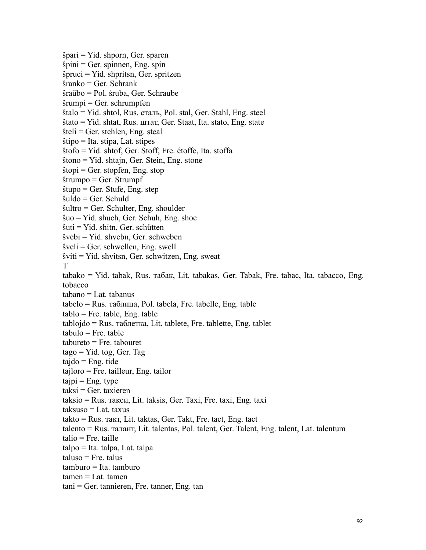ŝpari = Yid. shporn, Ger. sparen  $\hat{s}$ pini = Ger. spinnen, Eng. spin ŝpruci = Yid. shpritsn, Ger. spritzen ŝranko = Ger. Schrank ŝraŭbo = Pol. śruba, Ger. Schraube  $\hat{\mathbf{s}}$ rumpi = Ger. schrumpfen ŝtalo = Yid. shtol, Rus. cтaль, Pol. stal, Ger. Stahl, Eng. steel ŝtato = Yid. shtat, Rus. штaт, Ger. Staat, Ita. stato, Eng. state  $\hat{\sigma}$ steli = Ger. stehlen, Eng. steal  $\hat{\text{stipo}}$  = Ita. stipa, Lat. stipes ŝtofo = Yid. shtof, Ger. Stoff, Fre. étoffe, Ita. stoffa ŝtono = Yid. shtajn, Ger. Stein, Eng. stone  $\text{stopi} = \text{Ger. stopfen}, \text{Eng. stop}$ ŝtrumpo = Ger. Strumpf ŝtupo = Ger. Stufe, Eng. step ŝuldo = Ger. Schuld ŝultro = Ger. Schulter, Eng. shoulder ŝuo = Yid. shuch, Ger. Schuh, Eng. shoe  $\hat{\mathbf{s}}$ uti = Yid. shitn, Ger. schütten ŝvebi = Yid. shvebn, Ger. schweben ŝveli = Ger. schwellen, Eng. swell  $s$ viti = Yid. shvitsn, Ger. schwitzen, Eng. sweat T<sub>1</sub> tabako = Yid. tabak, Rus. тaбaк, Lit. tabakas, Ger. Tabak, Fre. tabac, Ita. tabacco, Eng. tobacco tabano = Lat. tabanus  $tableo = Rus.$  таблица, Pol. tabela, Fre. tabelle, Eng. table  $tablo = Fre. table, Eng. table$ tablojdo = Rus. тaблeткa, Lit. tablete, Fre. tablette, Eng. tablet  $tabulo = Fre. table$  $tabureto = Fre. tabouret$ tago = Yid. tog, Ger. Tag  $tajdo = Eng. tide$ tajloro = Fre. tailleur, Eng. tailor  $tajpi = Eng.$  type  $taksi = Ger. taxieren$ taksio = Rus. тaкcи, Lit. taksis, Ger. Taxi, Fre. taxi, Eng. taxi taksuso = Lat. taxus  $t$ akto = Rus. такт, Lit. taktas, Ger. Takt, Fre. tact, Eng. tact talento = Rus. тaлaнт, Lit. talentas, Pol. talent, Ger. Talent, Eng. talent, Lat. talentum  $t$ alio = Fre. taille talpo = Ita. talpa, Lat. talpa  $taluso = Fre.$  talus tamburo = Ita. tamburo  $tamen = Lat.$  tamen tani = Ger. tannieren, Fre. tanner, Eng. tan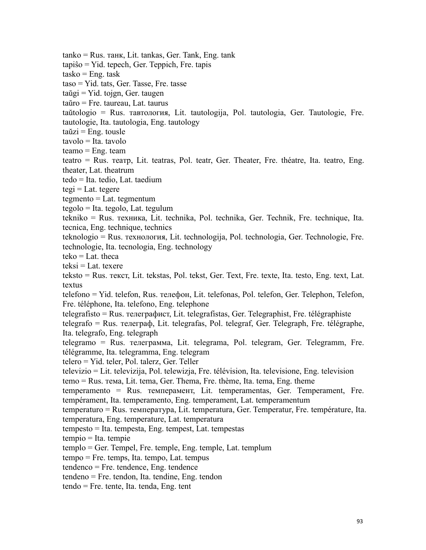tanko = Rus. тaнк, Lit. tankas, Ger. Tank, Eng. tank tapiŝo = Yid. tepech, Ger. Teppich, Fre. tapis  $tasko = Eng. task$ taso = Yid. tats, Ger. Tasse, Fre. tasse  $taŭgi = Yid. toign, Ger. taugen$ taŭro = Fre. taureau, Lat. taurus taŭtologio = Rus. тaвтология, Lit. tautologija, Pol. tautologia, Ger. Tautologie, Fre. tautologie, Ita. tautologia, Eng. tautology  $\text{taŭzi} = \text{Eng.}$  tousle tavolo = Ita. tavolo  $teamo = Eng. team$ teatro = Rus. тeaтp, Lit. teatras, Pol. teatr, Ger. Theater, Fre. théatre, Ita. teatro, Eng. theater, Lat. theatrum tedo = Ita. tedio, Lat. taedium  $tegi = Lat. tegere$  $tegmento = Lat. tegmentum$ tegolo = Ita. tegolo, Lat. tegulum tekniko = Rus. техника, Lit. technika, Pol. technika, Ger. Technik, Fre. technique, Ita. tecnica, Eng. technique, technics teknologio = Rus. технoлoгия, Lit. technologija, Pol. technologia, Ger. Technologie, Fre. technologie, Ita. tecnologia, Eng. technology  $teko = Lat.$  theca teksi = Lat. texere teksto = Rus. текст, Lit. tekstas, Pol. tekst, Ger. Text, Fre. texte, Ita. testo, Eng. text, Lat. textus telefono = Yid. telefon, Rus. телефон, Lit. telefonas, Pol. telefon, Ger. Telephon, Telefon, Fre. téléphone, Ita. telefono, Eng. telephone telegrafisto = Rus. телегpaфиcт, Lit. telegrafistas, Ger. Telegraphist, Fre. télégraphiste telegrafo = Rus. телегpaф, Lit. telegrafas, Pol. telegraf, Ger. Telegraph, Fre. télégraphe, Ita. telegrafo, Eng. telegraph telegramo = Rus. телегpaммa, Lit. telegrama, Pol. telegram, Ger. Telegramm, Fre. télégramme, Ita. telegramma, Eng. telegram telero = Yid. teler, Pol. talerz, Ger. Teller televizio = Lit. televizija, Pol. telewizja, Fre. télévision, Ita. televisione, Eng. television temo = Rus. тема, Lit. tema, Ger. Thema, Fre. thème, Ita. tema, Eng. theme temperamento = Rus. темпepaмeнт, Lit. temperamentas, Ger. Temperament, Fre. tempérament, Ita. temperamento, Eng. temperament, Lat. temperamentum temperaturo = Rus. температура, Lit. temperatura, Ger. Temperatur, Fre. température, Ita. temperatura, Eng. temperature, Lat. temperatura tempesto = Ita. tempesta, Eng. tempest, Lat. tempestas tempio = Ita. tempie templo = Ger. Tempel, Fre. temple, Eng. temple, Lat. templum tempo = Fre. temps, Ita. tempo, Lat. tempus  $t$ endenco = Fre. tendence, Eng. tendence tendeno = Fre. tendon, Ita. tendine, Eng. tendon tendo = Fre. tente, Ita. tenda, Eng. tent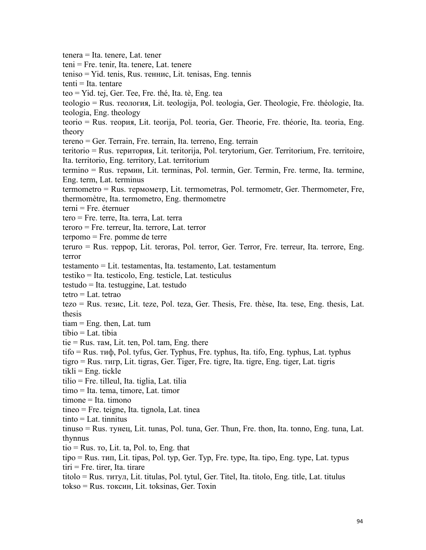tenera = Ita. tenere, Lat. tener teni = Fre. tenir, Ita. tenere, Lat. tenere teniso = Yid. tenis, Rus. тeнниc, Lit. tenisas, Eng. tennis tenti = Ita. tentare teo = Yid. tej, Ger. Tee, Fre. thé, Ita. tè, Eng. tea teologio = Rus. теoлoгия, Lit. teologija, Pol. teologia, Ger. Theologie, Fre. théologie, Ita. teologia, Eng. theology teorio = Rus. тeopия, Lit. teorija, Pol. teoria, Ger. Theorie, Fre. théorie, Ita. teoria, Eng. theory tereno = Ger. Terrain, Fre. terrain, Ita. terreno, Eng. terrain teritorio = Rus. тepитopия, Lit. teritorija, Pol. terytorium, Ger. Territorium, Fre. territoire, Ita. territorio, Eng. territory, Lat. territorium termino = Rus. тepмин, Lit. terminas, Pol. termin, Ger. Termin, Fre. terme, Ita. termine, Eng. term, Lat. terminus termometro = Rus. тepмoмeтp, Lit. termometras, Pol. termometr, Ger. Thermometer, Fre, thermomètre, Ita. termometro, Eng. thermometre terni = Fre. éternuer tero = Fre. terre, Ita. terra, Lat. terra teroro = Fre. terreur, Ita. terrore, Lat. terror terpomo = Fre. pomme de terre teruro = Rus. тeppop, Lit. teroras, Pol. terror, Ger. Terror, Fre. terreur, Ita. terrore, Eng. terror testamento = Lit. testamentas, Ita. testamento, Lat. testamentum testiko = Ita. testicolo, Eng. testicle, Lat. testiculus testudo = Ita. testuggine, Lat. testudo tetro  $=$  Lat. tetrao tezo = Rus. тeзиc, Lit. teze, Pol. teza, Ger. Thesis, Fre. thèse, Ita. tese, Eng. thesis, Lat. thesis  $tiam = Eng.$  then, Lat. tum tibio = Lat. tibia tie = Rus. тaм, Lit. ten, Pol. tam, Eng. there tifo = Rus. тиф, Pol. tyfus, Ger. Typhus, Fre. typhus, Ita. tifo, Eng. typhus, Lat. typhus tigro = Rus. тигp, Lit. tigras, Ger. Tiger, Fre. tigre, Ita. tigre, Eng. tiger, Lat. tigris  $tikli = Eng.$  tickle tilio = Fre. tilleul, Ita. tiglia, Lat. tilia timo = Ita. tema, timore, Lat. timor timone = Ita. timono tineo = Fre. teigne, Ita. tignola, Lat. tinea  $tinto = Lat.$  tinnitus tinuso = Rus. тyнeц, Lit. tunas, Pol. tuna, Ger. Thun, Fre. thon, Ita. tonno, Eng. tuna, Lat. thynnus tio = Rus. то, Lit. ta, Pol. to, Eng. that tipo = Rus. тип, Lit. tipas, Pol. typ, Ger. Typ, Fre. type, Ita. tipo, Eng. type, Lat. typus tiri = Fre. tirer, Ita. tirare titolo = Rus. титyл, Lit. titulas, Pol. tytul, Ger. Titel, Ita. titolo, Eng. title, Lat. titulus tokso = Rus. тoкcин, Lit. toksinas, Ger. Toxin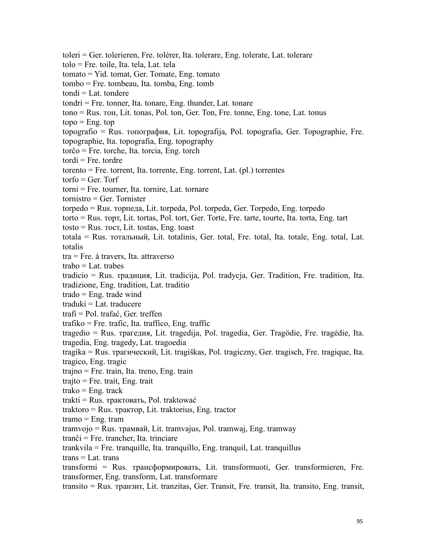toleri = Ger. tolerieren, Fre. tolérer, Ita. tolerare, Eng. tolerate, Lat. tolerare tolo = Fre. toile, Ita. tela, Lat. tela tomato = Yid. tomat, Ger. Tomate, Eng. tomato tombo = Fre. tombeau, Ita. tomba, Eng. tomb  $tondi = Lat.$  tondere tondri = Fre. tonner, Ita. tonare, Eng. thunder, Lat. tonare tono = Rus. тoн, Lit. tonas, Pol. ton, Ger. Ton, Fre. tonne, Eng. tone, Lat. tonus  $topo = Eng. top$ topografio = Rus. тoпография, Lit. topografija, Pol. topografia, Ger. Topographie, Fre. topographie, Ita. topografia, Eng. topography torĉo = Fre. torche, Ita. torcia, Eng. torch  $total = Fre.$  tordre  $t$ torento = Fre. torrent, Ita. torrente, Eng. torrent, Lat.  $(\text{pl.})$  torrentes  $torfo = Ger.$  Torf torni = Fre. tourner, Ita. tornire, Lat. tornare tornistro = Ger. Tornister torpedo = Rus. торпeдa, Lit. torpeda, Pol. torpeda, Ger. Torpedo, Eng. torpedo torto = Rus. торт, Lit. tortas, Pol. tort, Ger. Torte, Fre. tarte, tourte, Ita. torta, Eng. tart  $t$ osto = Rus.  $\text{roc}$ , Lit. tostas, Eng. toast totala = Rus. тотaльный, Lit. totalinis, Ger. total, Fre. total, Ita. totale, Eng. total, Lat. totalis tra = Fre. à travers, Ita. attraverso  $trabo = Lat.$  trabes tradicio = Rus. тpaдиция, Lit. tradicija, Pol. tradycja, Ger. Tradition, Fre. tradition, Ita. tradizione, Eng. tradition, Lat. traditio trado = Eng. trade wind  $traduki = Lat. traducere$ trafi = Pol. trafać, Ger. treffen trafiko = Fre. trafic, Ita. traffico, Eng. traffic tragedio = Rus. тpaгeдия, Lit. tragedija, Pol. tragedia, Ger. Tragödie, Fre. tragédie, Ita. tragedia, Eng. tragedy, Lat. tragoedia tragika = Rus. тpaгичecкий, Lit. tragiškas, Pol. tragiczny, Ger. tragisch, Fre. tragique, Ita. tragico, Eng. tragic trajno = Fre. train, Ita. treno, Eng. train  $traito = Fre. trait, Eng. trait$  $trako = E<sub>n</sub>g$ , track trakti = Rus. тpaктовать, Pol. traktować traktoro = Rus. тpaктоp, Lit. traktorius, Eng. tractor  $trano = Eng. tran$ tramvojo = Rus. тpaмвaй, Lit. tramvajus, Pol. tramwaj, Eng. tramway tranĉi = Fre. trancher, Ita. trinciare trankvila = Fre. tranquille, Ita. tranquillo, Eng. tranquil, Lat. tranquillus  $trans = Lat.trans$ transformi = Rus. тpaнcфopмировать, Lit. transformuoti, Ger. transformieren, Fre. transformer, Eng. transform, Lat. transformare transito = Rus. тpaнзит, Lit. tranzitas, Ger. Transit, Fre. transit, Ita. transito, Eng. transit,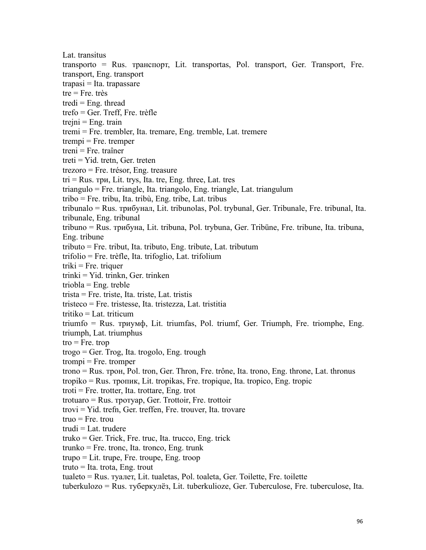Lat. transitus transporto = Rus. тpaнcпopт, Lit. transportas, Pol. transport, Ger. Transport, Fre. transport, Eng. transport  $trapasi = Ita. trapasare$  $tre = Fre. très$ tredi  $=$  Eng. thread trefo = Ger. Treff, Fre. trèfle  $trejni = Eng. train$ tremi = Fre. trembler, Ita. tremare, Eng. tremble, Lat. tremere  $trempi = Fre.$  tremper treni = Fre. traîner treti = Yid. tretn, Ger. treten trezoro = Fre. trésor, Eng. treasure  $tri = Rus.$  три, Lit. trys, Ita. tre, Eng. three, Lat. tres triangulo = Fre. triangle, Ita. triangolo, Eng. triangle, Lat. triangulum tribo = Fre. tribu, Ita. tribù, Eng. tribe, Lat. tribus tribunalo = Rus. тpибyнaл, Lit. tribunolas, Pol. trybunal, Ger. Tribunale, Fre. tribunal, Ita. tribunale, Eng. tribunal tribuno = Rus. тpибyнa, Lit. tribuna, Pol. trybuna, Ger. Tribüne, Fre. tribune, Ita. tribuna, Eng. tribune tributo = Fre. tribut, Ita. tributo, Eng. tribute, Lat. tributum trifolio = Fre. trèfle, Ita. trifoglio, Lat. trifolium  $triki = Fre. triquer$ trinki = Yid. trinkn, Ger. trinken triobla = Eng. treble trista = Fre. triste, Ita. triste, Lat. tristis tristeco = Fre. tristesse, Ita. tristezza, Lat. tristitia tritiko = Lat. triticum triumfo = Rus. триyмф, Lit. triumfas, Pol. triumf, Ger. Triumph, Fre. triomphe, Eng. triumph, Lat. triumphus  $tro = Fre. trop$  $trogo = Ger. Trog, Ita. trogolo, Eng. trough$  $t$ rompi = Fre. tromper trono = Rus. трoн, Pol. tron, Ger. Thron, Fre. trône, Ita. trono, Eng. throne, Lat. thronus tropiko = Rus. тpoпик, Lit. tropikas, Fre. tropique, Ita. tropico, Eng. tropic troti = Fre. trotter, Ita. trottare, Eng. trot trotuaro = Rus. трoтyap, Ger. Trottoir, Fre. trottoir trovi = Yid. trefn, Ger. treffen, Fre. trouver, Ita. trovare  $true = Fre$ . trou trudi = Lat. trudere truko = Ger. Trick, Fre. truc, Ita. trucco, Eng. trick  $trunko = Fre.$  tronc, Ita. tronco, Eng. trunk trupo = Lit. trupe, Fre. troupe, Eng. troop  $true = Ita. trota, Eng. trout$ tualeto = Rus. тyaлeт, Lit. tualetas, Pol. toaleta, Ger. Toilette, Fre. toilette tuberkulozo = Rus. тyбepкyлëз, Lit. tuberkulioze, Ger. Tuberculose, Fre. tuberculose, Ita.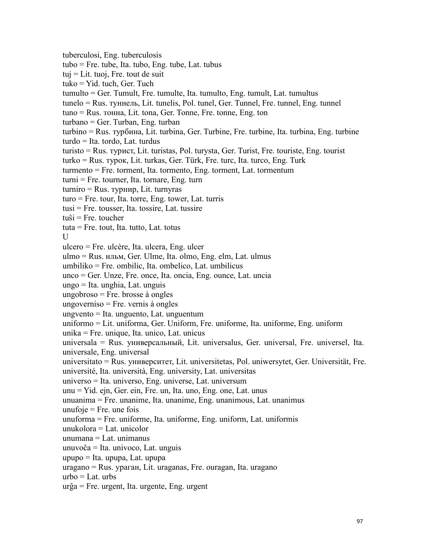tuberculosi, Eng. tuberculosis tubo = Fre. tube, Ita. tubo, Eng. tube, Lat. tubus  $tuj = Lit. tuoj, Fre. tout de suit$ tuko = Yid. tuch, Ger. Tuch tumulto = Ger. Tumult, Fre. tumulte, Ita. tumulto, Eng. tumult, Lat. tumultus tunelo = Rus. туннель, Lit. tunelis, Pol. tunel, Ger. Tunnel, Fre. tunnel, Eng. tunnel tuno = Rus. тoннa, Lit. tona, Ger. Tonne, Fre. tonne, Eng. ton turbano = Ger. Turban, Eng. turban turbino = Rus. тypбинa, Lit. turbina, Ger. Turbine, Fre. turbine, Ita. turbina, Eng. turbine turdo = Ita. tordo, Lat. turdus turisto = Rus. тypиcт, Lit. turistas, Pol. turysta, Ger. Turist, Fre. touriste, Eng. tourist turko = Rus. тypoк, Lit. turkas, Ger. Türk, Fre. turc, Ita. turco, Eng. Turk turmento = Fre. torment, Ita. tormento, Eng. torment, Lat. tormentum turni = Fre. tourner, Ita. tornare, Eng. turn turniro = Rus. турнир, Lit. turnyras  $turo = Fre. tour, Ita. torre, Eng. tower, Lat. turris$ tusi = Fre. tousser, Ita. tossire, Lat. tussire  $tu\hat{s}$ i = Fre. toucher tuta = Fre. tout, Ita. tutto, Lat. totus U version of the set of the set of the set of the set of the set of the set of the set of the set of the set of the set of the set of the set of the set of the set of the set of the set of the set of the set of the set of ulcero = Fre. ulcère, Ita. ulcera, Eng. ulcer ulmo = Rus. ильм, Ger. Ulme, Ita. olmo, Eng. elm, Lat. ulmus umbiliko = Fre. ombilic, Ita. ombelico, Lat. umbilicus unco = Ger. Unze, Fre. once, Ita. oncia, Eng. ounce, Lat. uncia ungo = Ita. unghia, Lat. unguis ungobroso = Fre. brosse à ongles ungoverniso = Fre. vernis à ongles ungvento = Ita. unguento, Lat. unguentum uniformo = Lit. uniforma, Ger. Uniform, Fre. uniforme, Ita. uniforme, Eng. uniform unika = Fre. unique, Ita. unico, Lat. unicus universala = Rus. универсaльный, Lit. universalus, Ger. universal, Fre. universel, Ita. universale, Eng. universal universitato = Rus. университет, Lit. universitetas, Pol. uniwersytet, Ger. Universität, Fre. université, Ita. università, Eng. university, Lat. universitas universo = Ita. universo, Eng. universe, Lat. universum unu = Yid. ejn, Ger. ein, Fre. un, Ita. uno, Eng. one, Lat. unus unuanima = Fre. unanime, Ita. unanime, Eng. unanimous, Lat. unanimus unufoje  $=$  Fre. une fois  $unu forma = Fre. uniforme, Ita. uniforme, Eng. uniform, Lat. uniformis$  $unukolora = Lat.$  unicolor unumana = Lat. unimanus unuvoĉa = Ita. univoco, Lat. unguis upupo = Ita. upupa, Lat. upupa uragano = Rus. уpaгaн, Lit. uraganas, Fre. ouragan, Ita. uragano  $urbo = Lat. urbs$ urĝa = Fre. urgent, Ita. urgente, Eng. urgent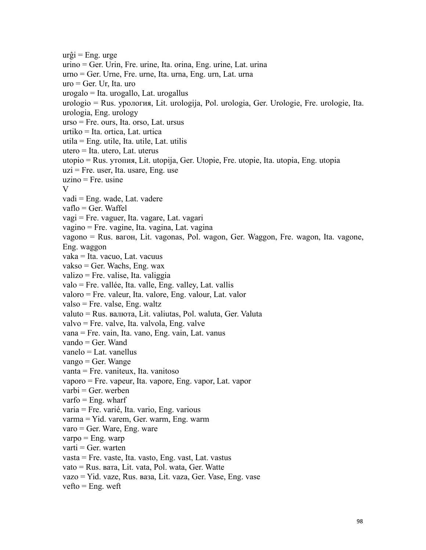```
ur\hat{g}i = Eng. urge
urino = Ger. Urin, Fre. urine, Ita. orina, Eng. urine, Lat. urina
urno = Ger. Urne, Fre. urne, Ita. urna, Eng. urn, Lat. urna
uro = Ger. Ur, Ita. uro
urogalo = Ita. urogallo, Lat. urogallus
urologio = Rus. ypoлoгия, Lit. urologija, Pol. urologia, Ger. Urologie, Fre. urologie, Ita. urologia, Eng. urology
urso = Fre. ours, Ita. orso, Lat. ursus
urtiko = Ita. ortica, Lat. urtica
utila = Eng. utile, Ita. utile, Lat. utilis
u_\text{t} = Ita. u_\text{t}. Lat. u_\text{t}utopio = Rus. yтoпия, Lit. utopija, Ger. Utopie, Fre. utopie, Ita. utopia, Eng. utopia
uzi = Fre. user, Ita. usare, Eng. use
uzino = Fre. usine
V
vadi = Eng. wade, Lat. vadere
vaflo = Ger. Waffel
vagi = Fre. vaguer, Ita. vagare, Lat. vagari
vagino = Fre. vagine, Ita. vagina, Lat. vagina
vagono = Rus. вагон, Lit. vagonas, Pol. wagon, Ger. Waggon, Fre. wagon, Ita. vagone, Eng. waggon
vaka = Ita. vacuo, Lat. vacuus
vakso = Ger. Wachs, Eng. wax
valizo = Fre. valise, Ita. valiggia
valo = Fre. vallée, Ita. valle, Eng. valley, Lat. vallis
valoro = Fre. valeur, Ita. valore, Eng. valour, Lat. valor
valso = Fre. valse, Eng. waltz
valuto = Rus. валютa, Lit. valiutas, Pol. waluta, Ger. Valuta
valvo = Fre. valve, Ita. valvola, Eng. valve
vana = Fre. vain, Ita. vano, Eng. vain, Lat. vanus
vando = Ger. Wand
vanelo = Lat. vanellus
vango = Ger. Wange
vanta = Fre. vaniteux, Ita. vanitoso
vaporo = Fre. vapeur, Ita. vapore, Eng. vapor, Lat. vapor
varbi = Ger. werben
varfo = Eng. wharf
varia = Fre. varié, Ita. vario, Eng. various
varma = Yid. varem, Ger. warm, Eng. warm
varo = Ger. Ware, Eng. ware
varpo = Eng. warp
\text{varti} = \text{Ger.} warten
vasta = Fre. vaste, Ita. vasto, Eng. vast, Lat. vastusvato = Rus. bara, Lit. vata, Pol. wata, Ger. Watte
vazo = Yid. vaze, Rus. вазa, Lit. vaza, Ger. Vase, Eng. vase
```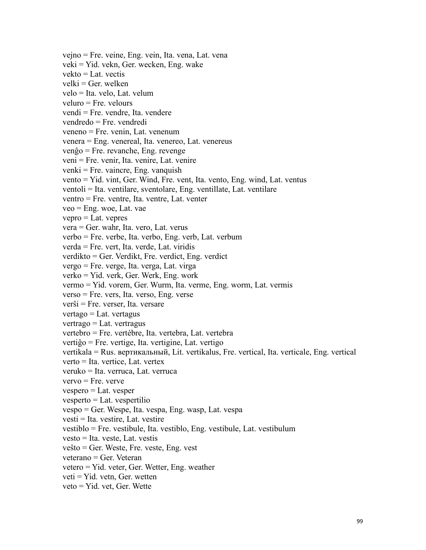vejno = Fre. veine, Eng. vein, Ita. vena, Lat. vena veki = Yid. vekn, Ger. wecken, Eng. wake  $vekto = Lat.$  vectis  $velki = Ger.$  welken velo = Ita. velo, Lat. velum veluro = Fre. velours vendi = Fre. vendre, Ita. vendere vendredo = Fre. vendredi veneno = Fre. venin, Lat. venenum venera = Eng. venereal, Ita. venereo, Lat. venereus  $ven\hat{g}o = Fre.$  revanche, Eng. revenge veni = Fre. venir, Ita. venire, Lat. venire  $venki = Fre. \ vaincre, Eng. \ vanguish$ vento = Yid. vint, Ger. Wind, Fre. vent, Ita. vento, Eng. wind, Lat. ventus ventoli = Ita. ventilare, sventolare, Eng. ventillate, Lat. ventilare ventro = Fre. ventre, Ita. ventre, Lat. venter  $veo = Eng.$  woe, Lat. vae  $vepro = Lat.$  vepres vera = Ger. wahr, Ita. vero, Lat. verus verbo = Fre. verbe, Ita. verbo, Eng. verb, Lat. verbum verda = Fre. vert, Ita. verde, Lat. viridis verdikto = Ger. Verdikt, Fre. verdict, Eng. verdict vergo = Fre. verge, Ita. verga, Lat. virga verko = Yid. verk, Ger. Werk, Eng. work vermo = Yid. vorem, Ger. Wurm, Ita. verme, Eng. worm, Lat. vermis verso = Fre. vers, Ita. verso, Eng. verse verŝi = Fre. verser, Ita. versare  $vertex_1 = Lat.$  vertagus  $vertexo = Lat.$  vertragus vertebro = Fre. vertèbre, Ita. vertebra, Lat. vertebra vertiĝo = Fre. vertige, Ita. vertigine, Lat. vertigo vertikala = Rus. вepтикaльный, Lit. vertikalus, Fre. vertical, Ita. verticale, Eng. vertical verto = Ita. vertice, Lat. vertex veruko = Ita. verruca, Lat. verruca  $vervo = Fre$ . verve  $vespero = Lat.$  vesper vesperto = Lat. vespertilio vespo = Ger. Wespe, Ita. vespa, Eng. wasp, Lat. vespa vesti = Ita. vestire, Lat. vestire vestiblo = Fre. vestibule, Ita. vestiblo, Eng. vestibule, Lat. vestibulum  $vesto = Ita. veste, Lat.vestis$ veŝto = Ger. Weste, Fre. veste, Eng. vest veterano = Ger. Veteran vetero = Yid. veter, Ger. Wetter, Eng. weather  $v_i = Yid$ . vetn, Ger. wetten

veto = Yid. vet, Ger. Wette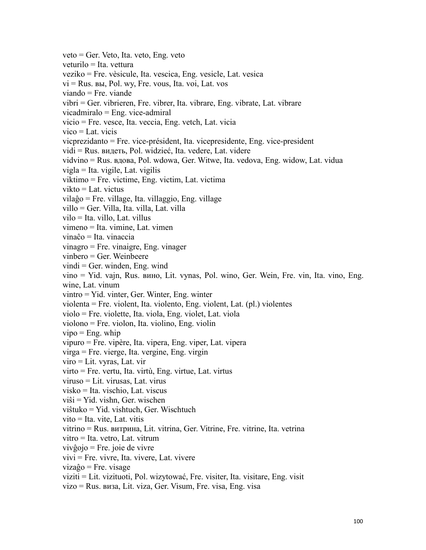veto = Ger. Veto, Ita. veto, Eng. veto veturilo = Ita. vettura veziko = Fre. vèsicule, Ita. vescica, Eng. vesicle, Lat. vesica vi = Rus. вы, Pol. wy, Fre. vous, Ita. voi, Lat. vos viando = Fre. viande vibri = Ger. vibrieren, Fre. vibrer, Ita. vibrare, Eng. vibrate, Lat. vibrare vicadmiralo = Eng. vice-admiral vicio = Fre. vesce, Ita. veccia, Eng. vetch, Lat. vicia  $vico = Lat.$  vicis vicprezidanto = Fre. vice-président, Ita. vicepresidente, Eng. vice-president vidi = Rus. видеть, Pol. widzieć, Ita. vedere, Lat. videre vidvino = Rus. вдoвa, Pol. wdowa, Ger. Witwe, Ita. vedova, Eng. widow, Lat. vidua vigla = Ita. vigile, Lat. vigilis viktimo = Fre. victime, Eng. victim, Lat. victima vikto = Lat. victus vilaĝo = Fre. village, Ita. villaggio, Eng. village villo = Ger. Villa, Ita. villa, Lat. villa vilo = Ita. villo, Lat. villus vimeno = Ita. vimine, Lat. vimen vinaĉo = Ita. vinaccia vinagro = Fre. vinaigre, Eng. vinager vinbero = Ger. Weinbeere  $vindi = Ger.$  winden, Eng. wind vino = Yid. vajn, Rus. винo, Lit. vynas, Pol. wino, Ger. Wein, Fre. vin, Ita. vino, Eng. wine, Lat. vinum vintro = Yid. vinter, Ger. Winter, Eng. winter violenta = Fre. violent, Ita. violento, Eng. violent, Lat. (pl.) violentes violo = Fre. violette, Ita. viola, Eng. violet, Lat. viola violono = Fre. violon, Ita. violino, Eng. violin  $vipo = Eng. whip$ vipuro = Fre. vipère, Ita. vipera, Eng. viper, Lat. vipera virga = Fre. vierge, Ita. vergine, Eng. virgin viro = Lit. vyras, Lat. vir  $v$ irto = Fre. vertu, Ita. virtù, Eng. virtue, Lat. virtus viruso = Lit. virusas, Lat. virus visko = Ita. vischio, Lat. viscus viŝi = Yid. vishn, Ger. wischen viŝtuko = Yid. vishtuch, Ger. Wischtuch vito = Ita. vite, Lat. vitis vitrino = Rus. витpинa, Lit. vitrina, Ger. Vitrine, Fre. vitrine, Ita. vetrina  $vitro = Ita. vetro, Lat. vitrum$ vivĝojo = Fre. joie de vivre  $vivi = Fre.$  vivre, Ita. vivere, Lat. vivere vizaĝo = Fre. visage viziti = Lit. vizituoti, Pol. wizytować, Fre. visiter, Ita. visitare, Eng. visit

vizo = Rus. визa, Lit. viza, Ger. Visum, Fre. visa, Eng. visa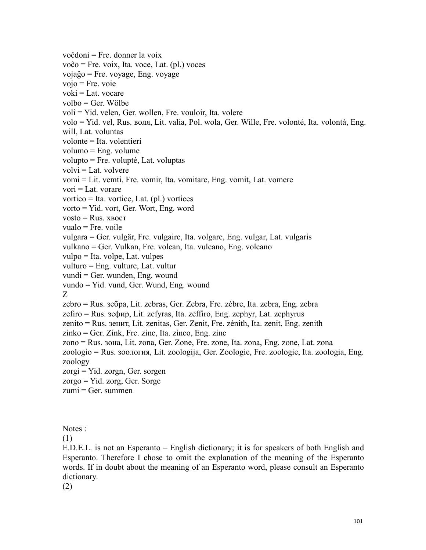voĉdoni = Fre. donner la voix voĉo = Fre. voix, Ita. voce, Lat. (pl.) voces vojaĝo = Fre. voyage, Eng. voyage  $vojo = Fre. voie$  $voki = Lat.$  vocare volbo = Ger. Wölbe voli = Yid. velen, Ger. wollen, Fre. vouloir, Ita. volere volo = Yid. vel, Rus. вoля, Lit. valia, Pol. wola, Ger. Wille, Fre. volonté, Ita. volontà, Eng. will, Lat. voluntas volonte = Ita. volentieri volumo = Eng. volume volupto = Fre. volupté, Lat. voluptas  $volvi = Lat.$  volvere vomi = Lit. vemti, Fre. vomir, Ita. vomitare, Eng. vomit, Lat. vomere  $\text{vori} = \text{Lat.}$  vorare vortico = Ita. vortice, Lat. (pl.) vortices vorto = Yid. vort, Ger. Wort, Eng. word  $v$ osto = Rus. xboct  $vualo = Fre.$  voile vulgara = Ger. vulgär, Fre. vulgaire, Ita. volgare, Eng. vulgar, Lat. vulgaris vulkano = Ger. Vulkan, Fre. volcan, Ita. vulcano, Eng. volcano vulpo = Ita. volpe, Lat. vulpes vulturo = Eng. vulture, Lat. vultur vundi = Ger. wunden, Eng. wound vundo = Yid. vund, Ger. Wund, Eng. wound Z<sub>2</sub> and the set of the set of the set of the set of the set of the set of the set of the set of the set of the set of the set of the set of the set of the set of the set of the set of the set of the set of the set of the zebro = Rus. зeбpa, Lit. zebras, Ger. Zebra, Fre. zèbre, Ita. zebra, Eng. zebra zefiro = Rus. зeфиp, Lit. zefyras, Ita. zeffiro, Eng. zephyr, Lat. zephyrus zenito = Rus. зeнит, Lit. zenitas, Ger. Zenit, Fre. zénith, Ita. zenit, Eng. zenith zinko = Ger. Zink, Fre. zinc, Ita. zinco, Eng. zinc zono = Rus. зoнa, Lit. zona, Ger. Zone, Fre. zone, Ita. zona, Eng. zone, Lat. zona zoologio = Rus. зooлoгия, Lit. zoologija, Ger. Zoologie, Fre. zoologie, Ita. zoologia, Eng. zoology  $zorgi = Yid. zorgn, Ger. sorgen$ zorgo = Yid. zorg, Ger. Sorge  $zumi = Ger. summen$ 

Notes :

(1)

E.D.E.L. is not an Esperanto – English dictionary; it is for speakers of both English and Esperanto. Therefore I chose to omit the explanation of the meaning of the Esperanto words. If in doubt about the meaning of an Esperanto word, please consult an Esperanto dictionary.

(2)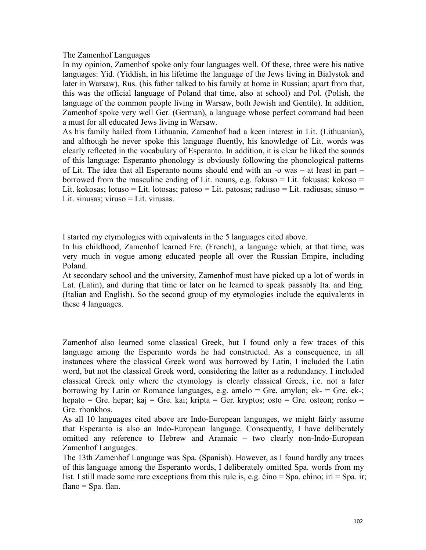## The Zamenhof Languages

In my opinion, Zamenhof spoke only four languages well. Of these, three were his native languages: Yid. (Yiddish, in his lifetime the language of the Jews living in Bialystok and later in Warsaw), Rus. (his father talked to his family at home in Russian; apart from that, this was the official language of Poland that time, also at school) and Pol. (Polish, the language of the common people living in Warsaw, both Jewish and Gentile). In addition, Zamenhof spoke very well Ger. (German), a language whose perfect command had been a must for all educated Jews living in Warsaw.

As his family hailed from Lithuania, Zamenhof had a keen interest in Lit. (Lithuanian), and although he never spoke this language fluently, his knowledge of Lit. words was clearly reflected in the vocabulary of Esperanto. In addition, it is clear he liked the sounds of this language: Esperanto phonology is obviously following the phonological patterns of Lit. The idea that all Esperanto nouns should end with an -o was – at least in part – borrowed from the masculine ending of Lit. nouns, e.g. fokuso  $=$  Lit. fokusas; kokoso  $=$ Lit. kokosas; lotuso = Lit. lotosas; patoso = Lit. patosas; radiuso = Lit. radiusas; sinuso = Lit. sinusas; viruso = Lit. virusas.

I started my etymologies with equivalents in the 5 languages cited above.

In his childhood, Zamenhof learned Fre. (French), a language which, at that time, was very much in vogue among educated people all over the Russian Empire, including Poland.

At secondary school and the university, Zamenhof must have picked up a lot ofwords in Lat. (Latin), and during that time or later on he learned to speak passably Ita. and Eng. (Italian and English). So the second group of my etymologies include the equivalents in these 4 languages.

Zamenhof also learned some classical Greek, but I found only a few traces of this language among the Esperanto words he had constructed. As a consequence, in all instances where the classical Greek word was borrowed by Latin, I included the Latin word, but not the classical Greek word, considering the latter as a redundancy. I included classical Greek only where the etymology is clearly classical Greek, i.e. not a later borrowing by Latin or Romance languages, e.g. amelo  $=$  Gre. amylon; ek- $=$  Gre. ek-; hepato = Gre. hepar; kaj = Gre. kai; kripta = Ger. kryptos; osto = Gre. osteon; ronko = Gre. rhonkhos.

As all 10 languages cited above are Indo-European languages, we might fairly assume that Esperanto is also an Indo-European language. Consequently, I have deliberately omitted any reference to Hebrew and Aramaic – two clearly non-Indo-European Zamenhof Languages.

The 13th Zamenhof Language was Spa. (Spanish). However, as I found hardly any traces of this language among the Esperanto words, I deliberately omitted Spa. words from my list. I still made some rare exceptions from this rule is, e.g. ĉino = Spa. chino; iri = Spa. ir; flano  $=$  Spa. flan.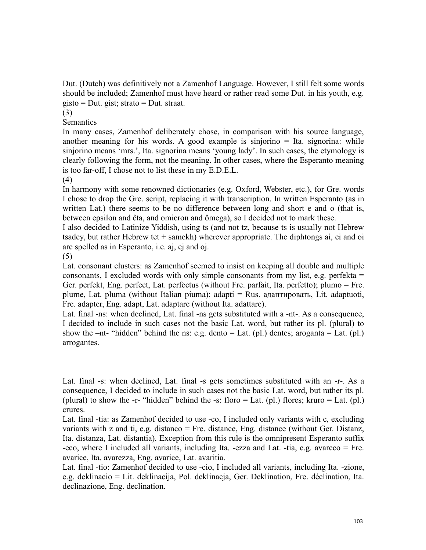Dut. (Dutch) was definitively not a Zamenhof Language. However, I still felt some words should be included; Zamenhof must have heard or rather read some Dut. in his youth, e.g. gisto = Dut. gist; strato = Dut. straat.

(3)

**Semantics** 

In many cases, Zamenhof deliberately chose, in comparison with his source language, another meaning for his words. A good example is sinjorino  $=$  Ita. signorina: while sinjorino means 'mrs.', Ita. signorina means 'young lady'. In such cases, the etymology is clearly following the form, not the meaning. In other cases, where the Esperanto meaning is too far-off, I chose not to list these in my E.D.E.L.

(4)

In harmony with some renowned dictionaries (e.g. Oxford, Webster, etc.), for Gre. words I chose to drop the Gre. script, replacing it with transcription. In written Esperanto (as in written Lat.) there seems to be no difference between long and short e and o (that is, between epsilon and êta, and omicron and ômega), so I decided not to mark these.

I also decided to Latinize Yiddish, using ts (and not tz, because ts is usually not Hebrew tsadey, but rather Hebrew tet  $+$  samekh) wherever appropriate. The diphtongs ai, ei and oi are spelled as in Esperanto, i.e. aj, ej and oj.

(5)

Lat. consonant clusters: as Zamenhof seemed to insist on keeping all double and multiple consonants, I excluded words with only simple consonants from my list, e.g. perfekta  $=$ Ger. perfekt, Eng. perfect, Lat. perfectus (without Fre. parfait, Ita. perfetto); plumo = Fre. plume, Lat. pluma (without Italian piuma); adapti = Rus. адаптировать, Lit. adaptuoti, Fre. adapter, Eng. adapt, Lat. adaptare (without Ita. adattare).

Lat. final -ns: when declined, Lat. final -ns gets substituted with a -nt-. As a consequence, I decided to include in such cases not the basic Lat. word, but rather its pl. (plural) to show the  $-nt$ - "hidden" behind the ns: e.g. dento  $=$  Lat. (pl.) dentes; aroganta  $=$  Lat. (pl.) arrogantes.

Lat. final -s: when declined, Lat. final -s gets sometimes substituted with an -r-. As a consequence, I decided to include in such cases not the basic Lat. word, but rather its pl. (plural) to show the -r- "hidden" behind the -s: floro = Lat. (pl.) flores; kruro = Lat. (pl.) crures.

Lat. final -tia: as Zamenhof decided to use -co, I included only variants with c, excluding variants with z and ti, e.g. distanco  $=$  Fre. distance, Eng. distance (without Ger. Distanz, Ita. distanza, Lat. distantia). Exception from this rule is the omnipresent Esperanto suffix -eco, where I included all variants, including Ita. -ezza and Lat.-tia, e.g. avareco = Fre. avarice, Ita. avarezza, Eng. avarice, Lat. avaritia.

Lat. final -tio: Zamenhof decided to use -cio,I included all variants, including Ita. -zione, e.g. deklinacio = Lit. deklinacija, Pol. deklinacja, Ger. Deklination, Fre. déclination, Ita. declinazione, Eng. declination.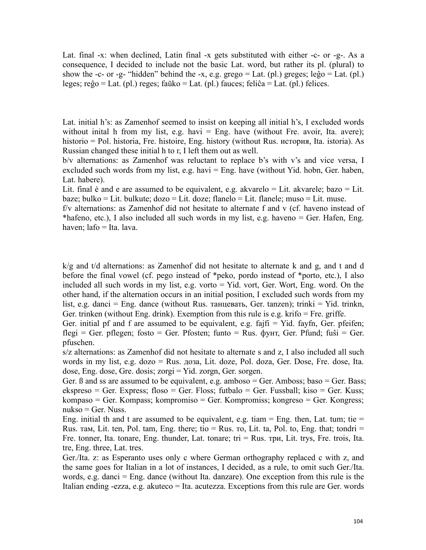Lat. final -x: when declined, Latin final -x gets substituted with either -c- or -g-. As a consequence, I decided to include not the basic Lat. word, but rather its pl. (plural) to show the -c- or -g- "hidden" behind the -x, e.g. grego = Lat. (pl.) greges; leĝo = Lat. (pl.) leges; reĝo = Lat. (pl.) reges; faŭko = Lat. (pl.) fauces; feliĉa = Lat. (pl.) felices.

Lat. initial h's: as Zamenhof seemed to insist on keeping all initial h's, I excluded words without inital h from my list, e.g. havi  $=$  Eng. have (without Fre. avoir, Ita. avere); historio = Pol. historia, Fre. histoire, Eng. history (without Rus. иcтopия, Ita. istoria). As Russian changed these initial h to г, I left them out as well.

b/v alternations: as Zamenhof was reluctant to replace b's with v's and vice versa, I excluded such words from my list, e.g. havi  $=$  Eng. have (without Yid. hobn, Ger. haben, Lat. habere).

Lit. final ė and e are assumed to be equivalent, e.g. akvarelo = Lit. akvarele; bazo = Lit. baze; bulko = Lit. bulkute; dozo = Lit. doze; flanelo = Lit. flanele; muso = Lit. muse.

f/v alternations: as Zamenhof did not hesitate to alternate f and v (cf. haveno instead of \*hafeno, etc.), I also included all such words in my list, e.g. haveno = Ger. Hafen, Eng. haven; lafo = Ita. lava.

 $k/g$  and t/d alternations: as Zamenhof did not hesitate to alternate k and g, and t and d before the final vowel (cf. pego instead of \*peko, pordo instead of \*porto, etc.), I also included all such words in my list, e.g. vorto = Yid. vort, Ger. Wort, Eng. word. On the other hand, if the alternation occurs in an initial position, I excluded such words from my list, e.g. danci = Eng. dance (without Rus. танцевать, Ger. tanzen); trinki = Yid. trinkn, Ger. trinken (without Eng. drink). Exemption from this rule is e.g. krifo = Fre. griffe.

Ger. initial pf and f are assumed to be equivalent, e.g. fajfi = Yid. fayfn, Ger. pfeifen; flegi = Ger. pflegen; fosto = Ger. Pfosten; funto = Rus.  $\phi$ yHT, Ger. Pfund; fuŝi = Ger. pfuschen.

s/z alternations: as Zamenhof did not hesitate to alternate s and z, I also included all such words in my list, e.g. dozo = Rus. дозa, Lit. doze, Pol. doza, Ger. Dose, Fre. dose, Ita. dose, Eng. dose, Gre. dosis; zorgi = Yid. zorgn, Ger. sorgen.

Ger.  $\beta$  and ss are assumed to be equivalent, e.g. amboso = Ger. Amboss; baso = Ger. Bass; ekspreso = Ger. Express; floso = Ger. Floss; futbalo = Ger. Fussball; kiso = Ger. Kuss; kompaso = Ger. Kompass; kompromiso = Ger. Kompromiss; kongreso = Ger. Kongress;  $nukso = Ger. Nuss.$ 

Eng. initial th and t are assumed to be equivalent, e.g. tiam  $=$  Eng. then, Lat. tum; tie  $=$ Rus. там, Lit. ten, Pol. tam, Eng. there; tio = Rus. то, Lit. ta, Pol. to, Eng. that; tondri = Fre. tonner, Ita. tonare, Eng. thunder, Lat. tonare; tri  $=$  Rus. три, Lit. trys, Fre. trois, Ita. tre, Eng. three, Lat. tres.

Ger./Ita. z: as Esperanto uses only c where German orthography replaced c with z, and the same goes for Italian in a lot of instances, I decided, as a rule, to omit such Ger./Ita. words, e.g. danci  $=$  Eng. dance (without Ita. danzare). One exception from this rule is the Italian ending -ezza, e.g. akuteco = Ita. acutezza. Exceptions from this rule are Ger. words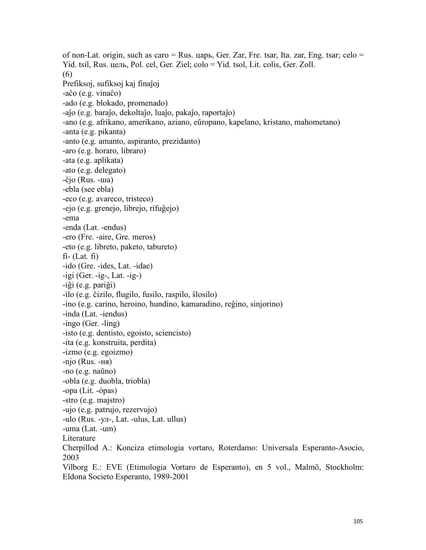of non-Lat. origin, such as caro  $=$  Rus. царь, Ger. Zar, Fre. tsar, Ita. zar, Eng. tsar; celo  $=$ Yid. tsil, Rus. цель, Pol. cel, Ger. Ziel; colo = Yid. tsol, Lit. colis, Ger. Zoll. (6) Prefiksoj, sufiksoj kaj finaĵoj -aĉo (e.g. vinaĉo) -ado (e.g. blokado, promenado) -aĵo (e.g. baraĵo, dekoltaĵo, luaĵo, pakaĵo, raportaĵo) -ano (e.g. afrikano, amerikano, aziano, eŭropano, kapelano, kristano, mahometano) -anta (e.g. pikanta) -anto (e.g. amanto, aspiranto, prezidanto) -aro (e.g. horaro, libraro) -ata (e.g. aplikata) -ato (e.g. delegato) -ĉjo (Rus. -ша) -ebla (see ebla) -eco (e.g. avareco, tristeco) -ejo (e.g. grenejo, librejo, rifuĝejo) -ema -enda (Lat. -endus) -ero (Fre. -aire, Gre. meros) -eto (e.g. libreto, paketo, tabureto)  $fi$ - (Lat.  $fi$ ) -ido (Gre. -ides, Lat. -idae) -igi (Ger. -ig-, Lat. -ig-) -iĝi (e.g. pariĝi) -ilo (e.g. ĉizilo, flugilo, fusilo, raspilo, ŝlosilo) -ino (e.g. carino, heroino, hundino, kamaradino, reĝino, sinjorino) -inda (Lat. -iendus) -ingo (Ger. -ling) -isto (e.g. dentisto, egoisto, sciencisto) -ita (e.g. konstruita, perdita) -izmo (e.g. egoizmo) -njo (Rus. -ня) -no (e.g. naŭno) -obla (e.g. duobla, triobla) -opa (Lit. -ópas) -stro (e.g. majstro) -ujo (e.g. patrujo, rezervujo) -ulo (Rus. -ул-, Lat. -ulus, Lat. ullus) -uma (Lat. -um) Literature Cherpillod A.: Konciza etimologia vortaro, Roterdamo: Universala Esperanto-Asocio, 2003 Vilborg E.: EVE (Etimologia Vortaro de Esperanto), en 5 vol., Malmö, Stockholm: Eldona Societo Esperanto, 1989-2001